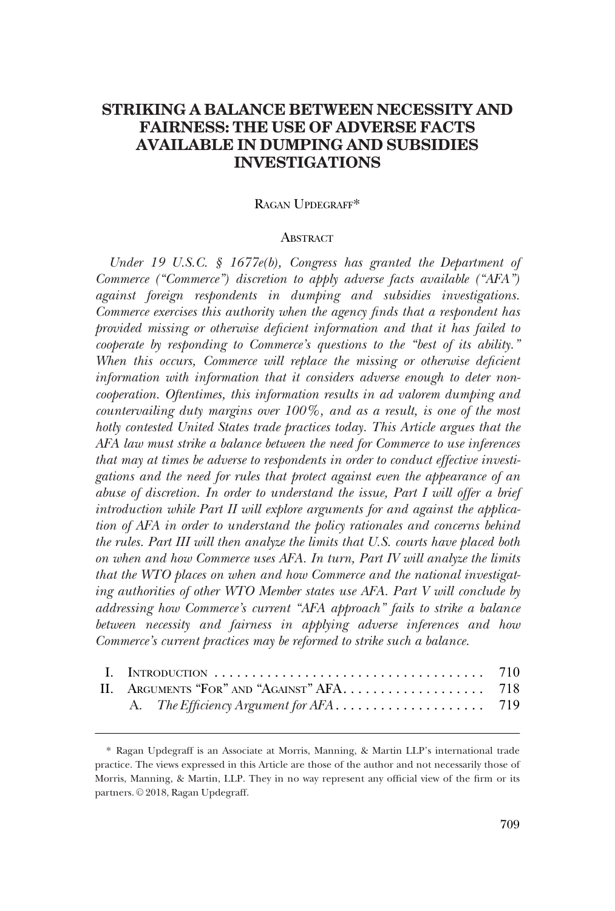# **STRIKING A BALANCE BETWEEN NECESSITY AND FAIRNESS: THE USE OF ADVERSE FACTS AVAILABLE IN DUMPING AND SUBSIDIES INVESTIGATIONS**

### RAGAN UPDEGRAFF\*

### **ABSTRACT**

*Under 19 U.S.C. § 1677e(b), Congress has granted the Department of Commerce ("Commerce") discretion to apply adverse facts available ("AFA") against foreign respondents in dumping and subsidies investigations. Commerce exercises this authority when the agency finds that a respondent has provided missing or otherwise deficient information and that it has failed to cooperate by responding to Commerce's questions to the "best of its ability."*  When this occurs, Commerce will replace the missing or otherwise deficient *information with information that it considers adverse enough to deter noncooperation. Oftentimes, this information results in ad valorem dumping and countervailing duty margins over 100%, and as a result, is one of the most hotly contested United States trade practices today. This Article argues that the AFA law must strike a balance between the need for Commerce to use inferences that may at times be adverse to respondents in order to conduct effective investigations and the need for rules that protect against even the appearance of an abuse of discretion. In order to understand the issue, Part I will offer a brief introduction while Part II will explore arguments for and against the application of AFA in order to understand the policy rationales and concerns behind the rules. Part III will then analyze the limits that U.S. courts have placed both on when and how Commerce uses AFA. In turn, Part IV will analyze the limits that the WTO places on when and how Commerce and the national investigating authorities of other WTO Member states use AFA. Part V will conclude by addressing how Commerce's current "AFA approach" fails to strike a balance between necessity and fairness in applying adverse inferences and how Commerce's current practices may be reformed to strike such a balance.* 

<sup>\*</sup> Ragan Updegraff is an Associate at Morris, Manning, & Martin LLP's international trade practice. The views expressed in this Article are those of the author and not necessarily those of Morris, Manning, & Martin, LLP. They in no way represent any official view of the firm or its partners. © 2018, Ragan Updegraff.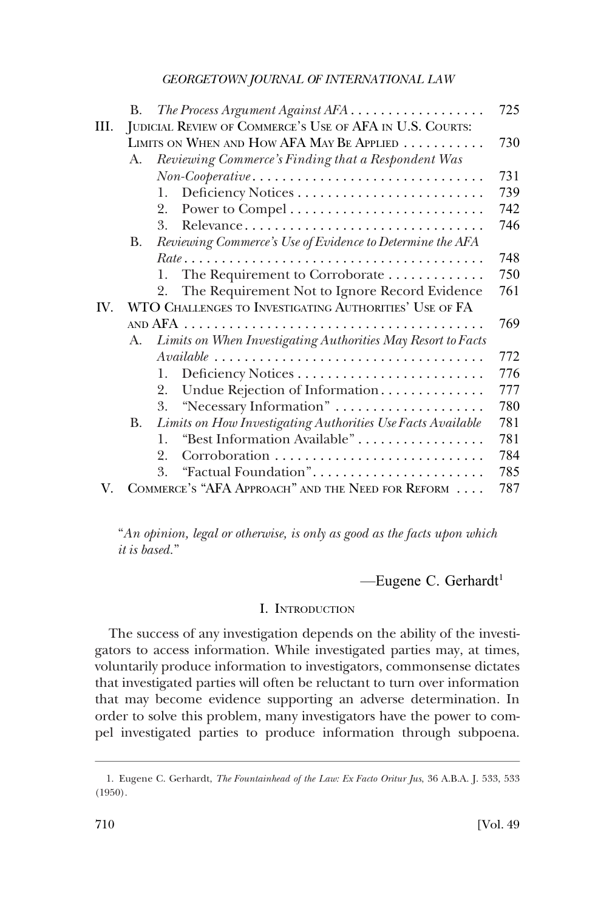<span id="page-1-0"></span>

|      | В.        | The Process Argument Against AFA                                                                    | 725 |
|------|-----------|-----------------------------------------------------------------------------------------------------|-----|
| III. |           | JUDICIAL REVIEW OF COMMERCE'S USE OF AFA IN U.S. COURTS:                                            |     |
|      |           | LIMITS ON WHEN AND HOW AFA MAY BE APPLIED                                                           | 730 |
|      | A.        | Reviewing Commerce's Finding that a Respondent Was                                                  |     |
|      |           | $Non-Cooperative \dots \dots \dots \dots \dots \dots \dots \dots \dots \dots \dots$                 | 731 |
|      |           | 1.                                                                                                  | 739 |
|      |           | 2.                                                                                                  | 742 |
|      |           | 3.<br>Relevance                                                                                     | 746 |
|      | <b>B.</b> | Reviewing Commerce's Use of Evidence to Determine the AFA                                           |     |
|      |           |                                                                                                     | 748 |
|      |           | The Requirement to Corroborate<br>1.                                                                | 750 |
|      |           | The Requirement Not to Ignore Record Evidence<br>2.                                                 | 761 |
| IV.  |           | WTO CHALLENGES TO INVESTIGATING AUTHORITIES' USE OF FA                                              |     |
|      |           |                                                                                                     | 769 |
|      | A.        | Limits on When Investigating Authorities May Resort to Facts                                        |     |
|      |           | $\it Available \ldots \ldots \ldots \ldots \ldots \ldots \ldots \ldots \ldots \ldots \ldots \ldots$ | 772 |
|      |           | 1.                                                                                                  | 776 |
|      |           | Undue Rejection of Information<br>2.                                                                | 777 |
|      |           | "Necessary Information"<br>3.                                                                       | 780 |
|      | <b>B.</b> | Limits on How Investigating Authorities Use Facts Available                                         | 781 |
|      |           | "Best Information Available"<br>1                                                                   | 781 |
|      |           | 2.                                                                                                  | 784 |
|      |           | "Factual Foundation"<br>3.                                                                          | 785 |
| V.   |           | COMMERCE'S "AFA APPROACH" AND THE NEED FOR REFORM                                                   | 787 |

"*An opinion, legal or otherwise, is only as good as the facts upon which it is based.*"

-Eugene C. Gerhardt<sup>1</sup>

# I. INTRODUCTION

The success of any investigation depends on the ability of the investigators to access information. While investigated parties may, at times, voluntarily produce information to investigators, commonsense dictates that investigated parties will often be reluctant to turn over information that may become evidence supporting an adverse determination. In order to solve this problem, many investigators have the power to compel investigated parties to produce information through subpoena.

<sup>1.</sup> Eugene C. Gerhardt, *The Fountainhead of the Law: Ex Facto Oritur Jus*, 36 A.B.A. J. 533, 533 (1950).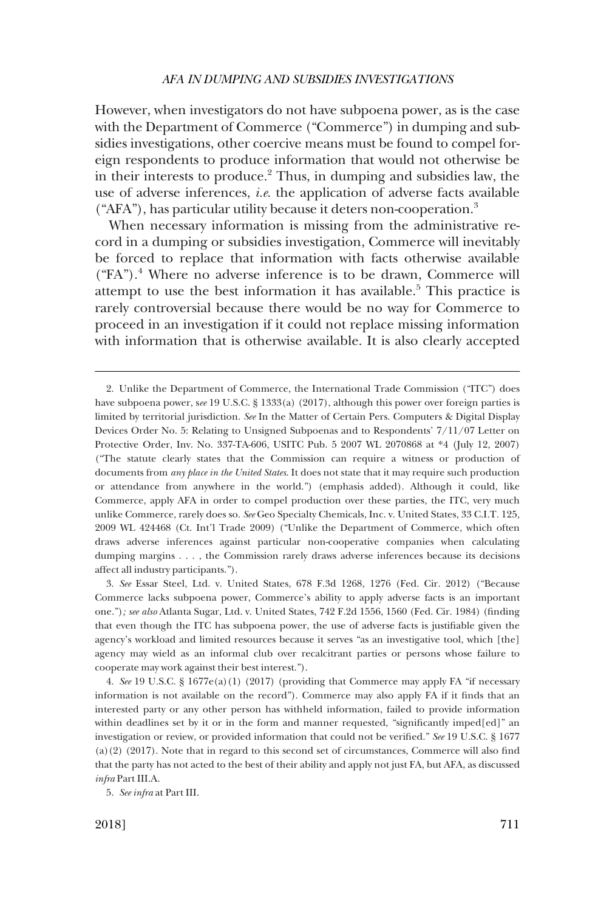However, when investigators do not have subpoena power, as is the case with the Department of Commerce ("Commerce") in dumping and subsidies investigations, other coercive means must be found to compel foreign respondents to produce information that would not otherwise be in their interests to produce.2 Thus, in dumping and subsidies law, the use of adverse inferences, *i.e*. the application of adverse facts available  $("AFA")$ , has particular utility because it deters non-cooperation.<sup>3</sup>

When necessary information is missing from the administrative record in a dumping or subsidies investigation, Commerce will inevitably be forced to replace that information with facts otherwise available  $("FA")$ <sup>4</sup>. Where no adverse inference is to be drawn, Commerce will attempt to use the best information it has available.<sup>5</sup> This practice is rarely controversial because there would be no way for Commerce to proceed in an investigation if it could not replace missing information with information that is otherwise available. It is also clearly accepted

<sup>2.</sup> Unlike the Department of Commerce, the International Trade Commission ("ITC") does have subpoena power, see 19 U.S.C. § 1333(a) (2017), although this power over foreign parties is limited by territorial jurisdiction. *See* In the Matter of Certain Pers. Computers & Digital Display Devices Order No. 5: Relating to Unsigned Subpoenas and to Respondents' 7/11/07 Letter on Protective Order, Inv. No. 337-TA-606, USITC Pub. 5 2007 WL 2070868 at \*4 (July 12, 2007) ("The statute clearly states that the Commission can require a witness or production of documents from *any place in the United States*. It does not state that it may require such production or attendance from anywhere in the world.") (emphasis added). Although it could, like Commerce, apply AFA in order to compel production over these parties, the ITC, very much unlike Commerce, rarely does so. *See* Geo Specialty Chemicals, Inc. v. United States, 33 C.I.T. 125, 2009 WL 424468 (Ct. Int'l Trade 2009) ("Unlike the Department of Commerce, which often draws adverse inferences against particular non-cooperative companies when calculating dumping margins . . . , the Commission rarely draws adverse inferences because its decisions affect all industry participants.").

<sup>3.</sup> *See* Essar Steel, Ltd. v. United States, 678 F.3d 1268, 1276 (Fed. Cir. 2012) ("Because Commerce lacks subpoena power, Commerce's ability to apply adverse facts is an important one.")*; see also* Atlanta Sugar, Ltd. v. United States, 742 F.2d 1556, 1560 (Fed. Cir. 1984) (finding that even though the ITC has subpoena power, the use of adverse facts is justifiable given the agency's workload and limited resources because it serves "as an investigative tool, which [the] agency may wield as an informal club over recalcitrant parties or persons whose failure to cooperate may work against their best interest.").

<sup>4.</sup> *See* 19 U.S.C. § 1677e(a)(1) (2017) (providing that Commerce may apply FA "if necessary information is not available on the record"). Commerce may also apply FA if it finds that an interested party or any other person has withheld information, failed to provide information within deadlines set by it or in the form and manner requested, "significantly imped[ed]" an investigation or review, or provided information that could not be verified." *See* 19 U.S.C. § 1677 (a)(2) (2017). Note that in regard to this second set of circumstances, Commerce will also find that the party has not acted to the best of their ability and apply not just FA, but AFA, as discussed *infra* Part III.A.

<sup>5.</sup> *See infra* at Part III.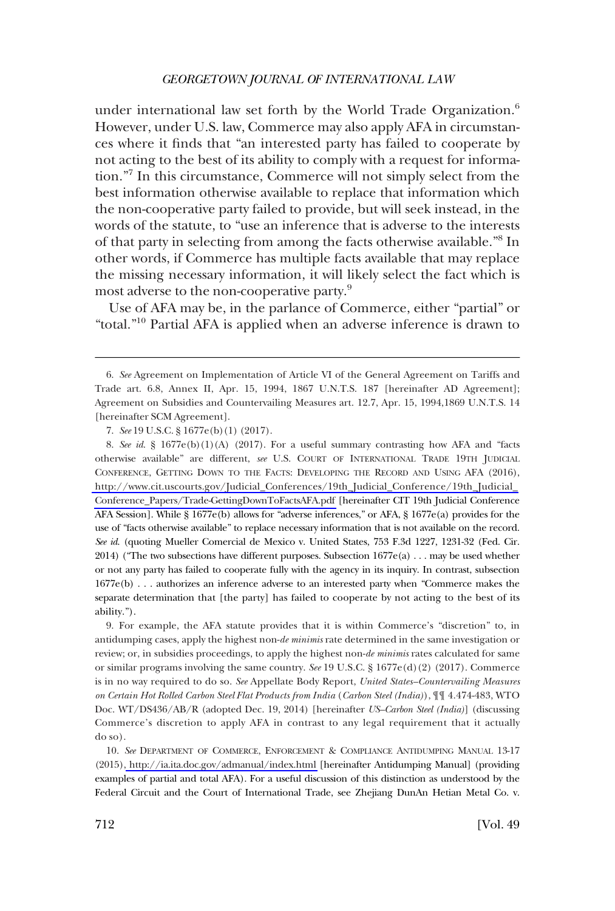under international law set forth by the World Trade Organization.<sup>6</sup> However, under U.S. law, Commerce may also apply AFA in circumstances where it finds that "an interested party has failed to cooperate by not acting to the best of its ability to comply with a request for information."7 In this circumstance, Commerce will not simply select from the best information otherwise available to replace that information which the non-cooperative party failed to provide, but will seek instead, in the words of the statute, to "use an inference that is adverse to the interests of that party in selecting from among the facts otherwise available."<sup>8</sup> In other words, if Commerce has multiple facts available that may replace the missing necessary information, it will likely select the fact which is most adverse to the non-cooperative party.9

Use of AFA may be, in the parlance of Commerce, either "partial" or "total."10 Partial AFA is applied when an adverse inference is drawn to

8. See id.  $\S$  1677e(b)(1)(A) (2017). For a useful summary contrasting how AFA and "facts otherwise available" are different, *see* U.S. COURT OF INTERNATIONAL TRADE 19TH JUDICIAL CONFERENCE, GETTING DOWN TO THE FACTS: DEVELOPING THE RECORD AND USING AFA (2016), [http://www.cit.uscourts.gov/Judicial\\_Conferences/19th\\_Judicial\\_Conference/19th\\_Judicial\\_](http://www.cit.uscourts.gov/Judicial_Conferences/19th_Judicial_Conference/19th_Judicial_Conference_Papers/Trade-GettingDownToFactsAFA.pdf)  [Conference\\_Papers/Trade-GettingDownToFactsAFA.pdf](http://www.cit.uscourts.gov/Judicial_Conferences/19th_Judicial_Conference/19th_Judicial_Conference_Papers/Trade-GettingDownToFactsAFA.pdf) [hereinafter CIT 19th Judicial Conference AFA Session]. While § 1677e(b) allows for "adverse inferences," or AFA, § 1677e(a) provides for the use of "facts otherwise available" to replace necessary information that is not available on the record. *See id*. (quoting Mueller Comercial de Mexico v. United States, 753 F.3d 1227, 1231-32 (Fed. Cir. 2014) ("The two subsections have different purposes. Subsection  $1677e(a) \ldots$  may be used whether or not any party has failed to cooperate fully with the agency in its inquiry. In contrast, subsection 1677e(b) . . . authorizes an inference adverse to an interested party when "Commerce makes the separate determination that [the party] has failed to cooperate by not acting to the best of its ability.").

9. For example, the AFA statute provides that it is within Commerce's "discretion" to, in antidumping cases, apply the highest non-*de minimis* rate determined in the same investigation or review; or, in subsidies proceedings, to apply the highest non-*de minimis* rates calculated for same or similar programs involving the same country. *See* 19 U.S.C. § 1677e(d)(2) (2017). Commerce is in no way required to do so. *See* Appellate Body Report, *United States–Countervailing Measures on Certain Hot Rolled Carbon Steel Flat Products from India* (*Carbon Steel (India)*), ¶¶ 4.474-483, WTO Doc. WT/DS436/AB/R (adopted Dec. 19, 2014) [hereinafter *US–Carbon Steel (India)*] (discussing Commerce's discretion to apply AFA in contrast to any legal requirement that it actually do so).

10. *See* DEPARTMENT OF COMMERCE, ENFORCEMENT & COMPLIANCE ANTIDUMPING MANUAL 13-17 (2015)[, http://ia.ita.doc.gov/admanual/index.html](http://ia.ita.doc.gov/admanual/index.html) [hereinafter Antidumping Manual] (providing examples of partial and total AFA). For a useful discussion of this distinction as understood by the Federal Circuit and the Court of International Trade, see Zhejiang DunAn Hetian Metal Co. v.

<sup>6.</sup> *See* Agreement on Implementation of Article VI of the General Agreement on Tariffs and Trade art. 6.8, Annex II, Apr. 15, 1994, 1867 U.N.T.S. 187 [hereinafter AD Agreement]; Agreement on Subsidies and Countervailing Measures art. 12.7, Apr. 15, 1994,1869 U.N.T.S. 14 [hereinafter SCM Agreement].

<sup>7.</sup> *See* 19 U.S.C. § 1677e(b)(1) (2017).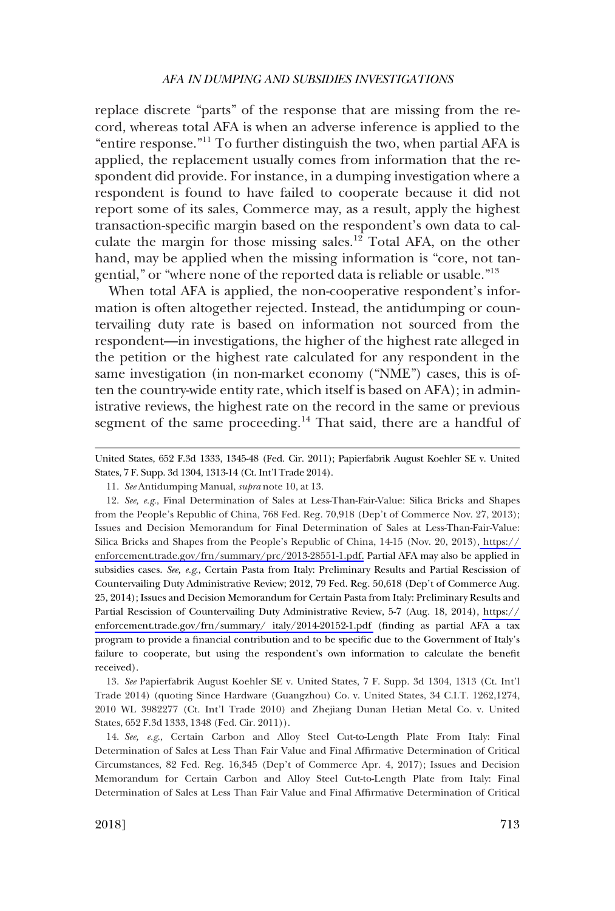replace discrete "parts" of the response that are missing from the record, whereas total AFA is when an adverse inference is applied to the "entire response."11 To further distinguish the two, when partial AFA is applied, the replacement usually comes from information that the respondent did provide. For instance, in a dumping investigation where a respondent is found to have failed to cooperate because it did not report some of its sales, Commerce may, as a result, apply the highest transaction-specific margin based on the respondent's own data to calculate the margin for those missing sales.<sup>12</sup> Total AFA, on the other hand, may be applied when the missing information is "core, not tangential," or "where none of the reported data is reliable or usable."<sup>13</sup>

When total AFA is applied, the non-cooperative respondent's information is often altogether rejected. Instead, the antidumping or countervailing duty rate is based on information not sourced from the respondent—in investigations, the higher of the highest rate alleged in the petition or the highest rate calculated for any respondent in the same investigation (in non-market economy ("NME") cases, this is often the country-wide entity rate, which itself is based on AFA); in administrative reviews, the highest rate on the record in the same or previous segment of the same proceeding.<sup>14</sup> That said, there are a handful of

United States, 652 F.3d 1333, 1345-48 (Fed. Cir. 2011); Papierfabrik August Koehler SE v. United States, 7 F. Supp. 3d 1304, 1313-14 (Ct. Int'l Trade 2014).

11. *See* Antidumping Manual, *supra* note 10, at 13.

12. *See, e.g*., Final Determination of Sales at Less-Than-Fair-Value: Silica Bricks and Shapes from the People's Republic of China, 768 Fed. Reg. 70,918 (Dep't of Commerce Nov. 27, 2013); Issues and Decision Memorandum for Final Determination of Sales at Less-Than-Fair-Value: Silica Bricks and Shapes from the People's Republic of China, 14-15 (Nov. 20, 2013)[, https://](https://enforcement.trade.gov/frn/summary/prc/2013-28551-1.pdf)  [enforcement.trade.gov/frn/summary/prc/2013-28551-1.pdf.](https://enforcement.trade.gov/frn/summary/prc/2013-28551-1.pdf) Partial AFA may also be applied in subsidies cases. *See, e.g*., Certain Pasta from Italy: Preliminary Results and Partial Rescission of Countervailing Duty Administrative Review; 2012, 79 Fed. Reg. 50,618 (Dep't of Commerce Aug. 25, 2014); Issues and Decision Memorandum for Certain Pasta from Italy: Preliminary Results and Partial Rescission of Countervailing Duty Administrative Review, 5-7 (Aug. 18, 2014), [https://](https://enforcement.trade.gov/frn/summary/italy/2014-20152-1.pdf) [enforcement.trade.gov/frn/summary/ italy/2014-20152-1.pdf](https://enforcement.trade.gov/frn/summary/italy/2014-20152-1.pdf) (finding as partial AFA a tax program to provide a financial contribution and to be specific due to the Government of Italy's failure to cooperate, but using the respondent's own information to calculate the benefit received).

13. *See* Papierfabrik August Koehler SE v. United States, 7 F. Supp. 3d 1304, 1313 (Ct. Int'l Trade 2014) (quoting Since Hardware (Guangzhou) Co. v. United States, 34 C.I.T. 1262,1274, 2010 WL 3982277 (Ct. Int'l Trade 2010) and Zhejiang Dunan Hetian Metal Co. v. United States, 652 F.3d 1333, 1348 (Fed. Cir. 2011)).

14. *See, e.g*., Certain Carbon and Alloy Steel Cut-to-Length Plate From Italy: Final Determination of Sales at Less Than Fair Value and Final Affirmative Determination of Critical Circumstances, 82 Fed. Reg. 16,345 (Dep't of Commerce Apr. 4, 2017); Issues and Decision Memorandum for Certain Carbon and Alloy Steel Cut-to-Length Plate from Italy: Final Determination of Sales at Less Than Fair Value and Final Affirmative Determination of Critical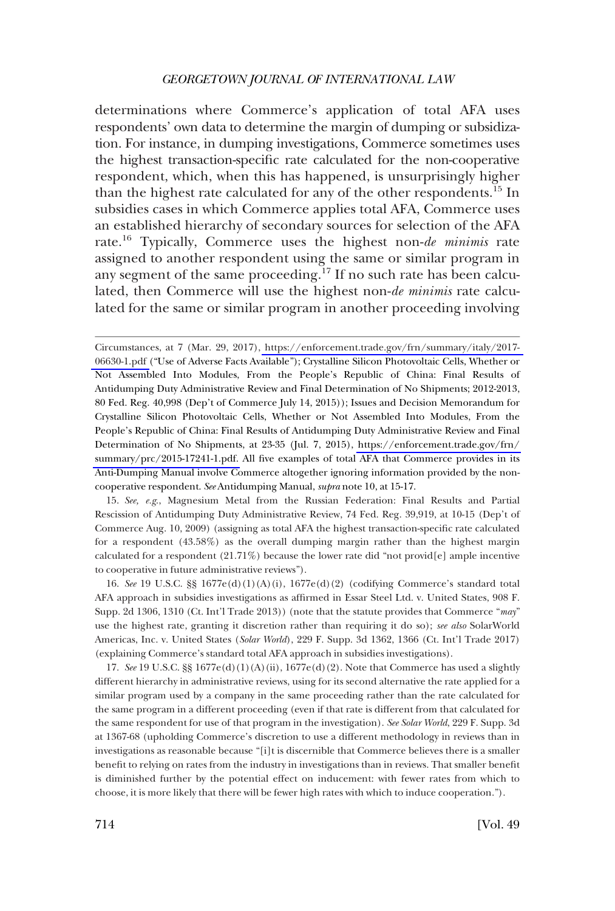determinations where Commerce's application of total AFA uses respondents' own data to determine the margin of dumping or subsidization. For instance, in dumping investigations, Commerce sometimes uses the highest transaction-specific rate calculated for the non-cooperative respondent, which, when this has happened, is unsurprisingly higher than the highest rate calculated for any of the other respondents.15 In subsidies cases in which Commerce applies total AFA, Commerce uses an established hierarchy of secondary sources for selection of the AFA rate.16 Typically, Commerce uses the highest non-*de minimis* rate assigned to another respondent using the same or similar program in any segment of the same proceeding.<sup>17</sup> If no such rate has been calculated, then Commerce will use the highest non-*de minimis* rate calculated for the same or similar program in another proceeding involving

15. *See, e.g*., Magnesium Metal from the Russian Federation: Final Results and Partial Rescission of Antidumping Duty Administrative Review, 74 Fed. Reg. 39,919, at 10-15 (Dep't of Commerce Aug. 10, 2009) (assigning as total AFA the highest transaction-specific rate calculated for a respondent (43.58%) as the overall dumping margin rather than the highest margin calculated for a respondent  $(21.71\%)$  because the lower rate did "not provid[e] ample incentive to cooperative in future administrative reviews").

16. *See* 19 U.S.C. §§ 1677e(d)(1)(A)(i), 1677e(d)(2) (codifying Commerce's standard total AFA approach in subsidies investigations as affirmed in Essar Steel Ltd. v. United States, 908 F. Supp. 2d 1306, 1310 (Ct. Int'l Trade 2013)) (note that the statute provides that Commerce "*may*" use the highest rate, granting it discretion rather than requiring it do so); *see also* SolarWorld Americas, Inc. v. United States (*Solar World*), 229 F. Supp. 3d 1362, 1366 (Ct. Int'l Trade 2017) (explaining Commerce's standard total AFA approach in subsidies investigations).

17. *See* 19 U.S.C. §§ 1677e(d)(1)(A)(ii), 1677e(d)(2). Note that Commerce has used a slightly different hierarchy in administrative reviews, using for its second alternative the rate applied for a similar program used by a company in the same proceeding rather than the rate calculated for the same program in a different proceeding (even if that rate is different from that calculated for the same respondent for use of that program in the investigation). *See Solar World*, 229 F. Supp. 3d at 1367-68 (upholding Commerce's discretion to use a different methodology in reviews than in investigations as reasonable because "[i]t is discernible that Commerce believes there is a smaller benefit to relying on rates from the industry in investigations than in reviews. That smaller benefit is diminished further by the potential effect on inducement: with fewer rates from which to choose, it is more likely that there will be fewer high rates with which to induce cooperation.").

Circumstances, at 7 (Mar. 29, 2017), [https://enforcement.trade.gov/frn/summary/italy/2017-](https://enforcement.trade.gov/frn/summary/italy/2017-06630-1.pdf)  [06630-1.pdf](https://enforcement.trade.gov/frn/summary/italy/2017-06630-1.pdf) ("Use of Adverse Facts Available"); Crystalline Silicon Photovoltaic Cells, Whether or Not Assembled Into Modules, From the People's Republic of China: Final Results of Antidumping Duty Administrative Review and Final Determination of No Shipments; 2012-2013, 80 Fed. Reg. 40,998 (Dep't of Commerce July 14, 2015)); Issues and Decision Memorandum for Crystalline Silicon Photovoltaic Cells, Whether or Not Assembled Into Modules, From the People's Republic of China: Final Results of Antidumping Duty Administrative Review and Final Determination of No Shipments, at 23-35 (Jul. 7, 2015), [https://enforcement.trade.gov/frn/](https://enforcement.trade.gov/frn/summary/prc/2015-17241-1.pdf)  [summary/prc/2015-17241-1.pdf.](https://enforcement.trade.gov/frn/summary/prc/2015-17241-1.pdf) All five examples of total AFA that Commerce provides in its Anti-Dumping Manual involve Commerce altogether ignoring information provided by the noncooperative respondent. *See* Antidumping Manual, *supra* note 10, at 15-17.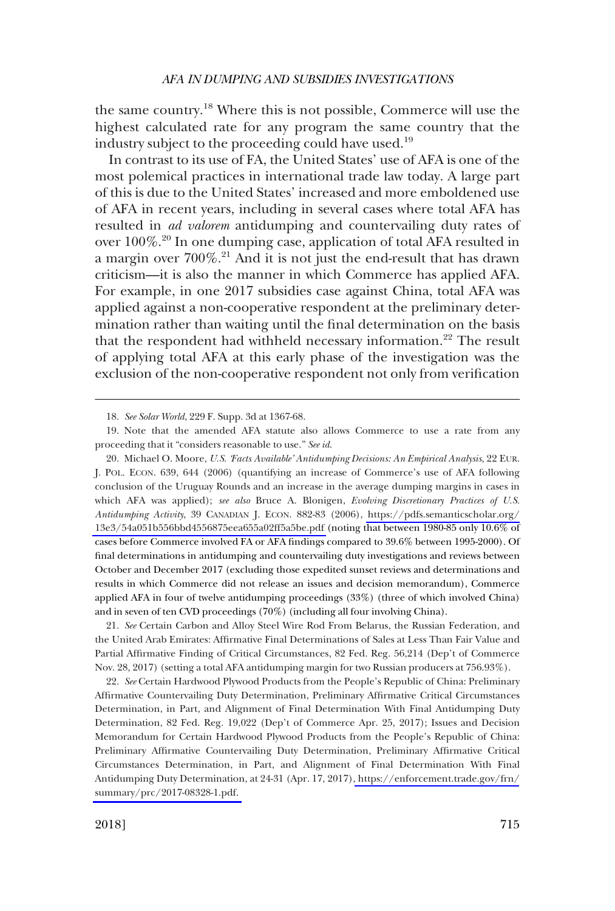the same country.18 Where this is not possible, Commerce will use the highest calculated rate for any program the same country that the industry subject to the proceeding could have used.19

In contrast to its use of FA, the United States' use of AFA is one of the most polemical practices in international trade law today. A large part of this is due to the United States' increased and more emboldened use of AFA in recent years, including in several cases where total AFA has resulted in *ad valorem* antidumping and countervailing duty rates of over 100%.<sup>20</sup> In one dumping case, application of total AFA resulted in a margin over 700%.21 And it is not just the end-result that has drawn criticism—it is also the manner in which Commerce has applied AFA. For example, in one 2017 subsidies case against China, total AFA was applied against a non-cooperative respondent at the preliminary determination rather than waiting until the final determination on the basis that the respondent had withheld necessary information.<sup>22</sup> The result of applying total AFA at this early phase of the investigation was the exclusion of the non-cooperative respondent not only from verification

21. *See* Certain Carbon and Alloy Steel Wire Rod From Belarus, the Russian Federation, and the United Arab Emirates: Affirmative Final Determinations of Sales at Less Than Fair Value and Partial Affirmative Finding of Critical Circumstances, 82 Fed. Reg. 56,214 (Dep't of Commerce Nov. 28, 2017) (setting a total AFA antidumping margin for two Russian producers at 756.93%).

22. See Certain Hardwood Plywood Products from the People's Republic of China: Preliminary Affirmative Countervailing Duty Determination, Preliminary Affirmative Critical Circumstances Determination, in Part, and Alignment of Final Determination With Final Antidumping Duty Determination, 82 Fed. Reg. 19,022 (Dep't of Commerce Apr. 25, 2017); Issues and Decision Memorandum for Certain Hardwood Plywood Products from the People's Republic of China: Preliminary Affirmative Countervailing Duty Determination, Preliminary Affirmative Critical Circumstances Determination, in Part, and Alignment of Final Determination With Final Antidumping Duty Determination, at 24-31 (Apr. 17, 2017)[, https://enforcement.trade.gov/frn/](https://enforcement.trade.gov/frn/summary/prc/2017-08328-1.pdf) [summary/prc/2017-08328-1.pdf.](https://enforcement.trade.gov/frn/summary/prc/2017-08328-1.pdf) 

<sup>18.</sup> *See Solar World*, 229 F. Supp. 3d at 1367-68.

<sup>19.</sup> Note that the amended AFA statute also allows Commerce to use a rate from any proceeding that it "considers reasonable to use." *See id*.

<sup>20.</sup> Michael O. Moore, *U.S. 'Facts Available' Antidumping Decisions: An Empirical Analysis*, 22 EUR. J. POL. ECON. 639, 644 (2006) (quantifying an increase of Commerce's use of AFA following conclusion of the Uruguay Rounds and an increase in the average dumping margins in cases in which AFA was applied); *see also* Bruce A. Blonigen, *Evolving Discretionary Practices of U.S. Antidumping Activity*, 39 CANADIAN J. ECON. 882-83 (2006), [https://pdfs.semanticscholar.org/](https://pdfs.semanticscholar.org/13e3/54a051b556bbd4556875eea655a02ff5a5be.pdf) [13e3/54a051b556bbd4556875eea655a02ff5a5be.pdf](https://pdfs.semanticscholar.org/13e3/54a051b556bbd4556875eea655a02ff5a5be.pdf) (noting that between 1980-85 only 10.6% of cases before Commerce involved FA or AFA findings compared to 39.6% between 1995-2000). Of final determinations in antidumping and countervailing duty investigations and reviews between October and December 2017 (excluding those expedited sunset reviews and determinations and results in which Commerce did not release an issues and decision memorandum), Commerce applied AFA in four of twelve antidumping proceedings (33%) (three of which involved China) and in seven of ten CVD proceedings (70%) (including all four involving China).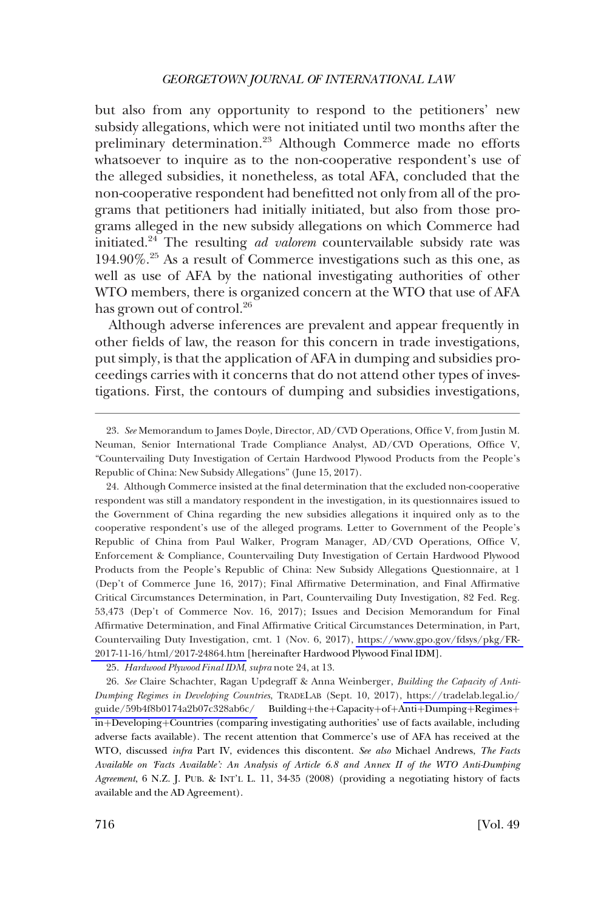but also from any opportunity to respond to the petitioners' new subsidy allegations, which were not initiated until two months after the preliminary determination.<sup>23</sup> Although Commerce made no efforts whatsoever to inquire as to the non-cooperative respondent's use of the alleged subsidies, it nonetheless, as total AFA, concluded that the non-cooperative respondent had benefitted not only from all of the programs that petitioners had initially initiated, but also from those programs alleged in the new subsidy allegations on which Commerce had initiated.24 The resulting *ad valorem* countervailable subsidy rate was 194.90%.25 As a result of Commerce investigations such as this one, as well as use of AFA by the national investigating authorities of other WTO members, there is organized concern at the WTO that use of AFA has grown out of control.<sup>26</sup>

Although adverse inferences are prevalent and appear frequently in other fields of law, the reason for this concern in trade investigations, put simply, is that the application of AFA in dumping and subsidies proceedings carries with it concerns that do not attend other types of investigations. First, the contours of dumping and subsidies investigations,

Although Commerce insisted at the final determination that the excluded non-cooperative 24. respondent was still a mandatory respondent in the investigation, in its questionnaires issued to the Government of China regarding the new subsidies allegations it inquired only as to the cooperative respondent's use of the alleged programs. Letter to Government of the People's Republic of China from Paul Walker, Program Manager, AD/CVD Operations, Office V, Enforcement & Compliance, Countervailing Duty Investigation of Certain Hardwood Plywood Products from the People's Republic of China: New Subsidy Allegations Questionnaire, at 1 (Dep't of Commerce June 16, 2017); Final Affirmative Determination, and Final Affirmative Critical Circumstances Determination, in Part, Countervailing Duty Investigation, 82 Fed. Reg. 53,473 (Dep't of Commerce Nov. 16, 2017); Issues and Decision Memorandum for Final Affirmative Determination, and Final Affirmative Critical Circumstances Determination, in Part, Countervailing Duty Investigation, cmt. 1 (Nov. 6, 2017), [https://www.gpo.gov/fdsys/pkg/FR-](https://www.gpo.gov/fdsys/pkg/FR-2017-11-16/html/2017-24864.htm)[2017-11-16/html/2017-24864.htm](https://www.gpo.gov/fdsys/pkg/FR-2017-11-16/html/2017-24864.htm) [hereinafter Hardwood Plywood Final IDM].

25. *Hardwood Plywood Final IDM*, *supra* note 24, at 13.

*See* Claire Schachter, Ragan Updegraff & Anna Weinberger, *Building the Capacity of Anti-*26. *Dumping Regimes in Developing Countries*, TRADELAB (Sept. 10, 2017), [https://tradelab.legal.io/](https://tradelab.legal.io/guide/59b4f8b0174a2b07c328ab6c/) [guide/59b4f8b0174a2b07c328ab6c/](https://tradelab.legal.io/guide/59b4f8b0174a2b07c328ab6c/) Building+the+Capacity+of+Anti+Dumping+Regimes+ in+Developing+Countries (comparing investigating authorities' use of facts available, including adverse facts available). The recent attention that Commerce's use of AFA has received at the WTO, discussed *infra* Part IV, evidences this discontent. *See also* Michael Andrews, *The Facts Available on 'Facts Available': An Analysis of Article 6.8 and Annex II of the WTO Anti-Dumping Agreement*, 6 N.Z. J. PUB. & INT'L L. 11, 34-35 (2008) (providing a negotiating history of facts available and the AD Agreement).

<sup>23.</sup> *See* Memorandum to James Doyle, Director, AD/CVD Operations, Office V, from Justin M. Neuman, Senior International Trade Compliance Analyst, AD/CVD Operations, Office V, "Countervailing Duty Investigation of Certain Hardwood Plywood Products from the People's Republic of China: New Subsidy Allegations" (June 15, 2017).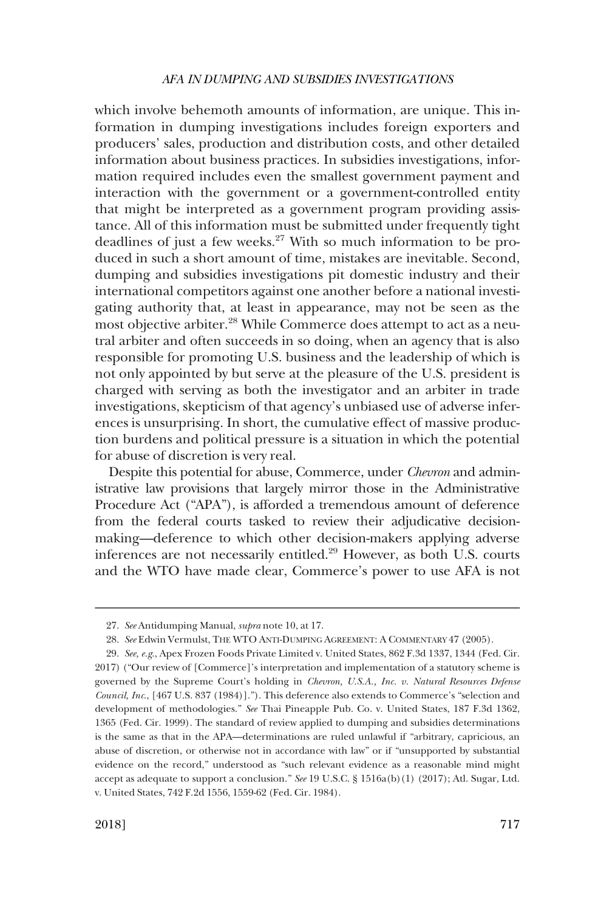which involve behemoth amounts of information, are unique. This information in dumping investigations includes foreign exporters and producers' sales, production and distribution costs, and other detailed information about business practices. In subsidies investigations, information required includes even the smallest government payment and interaction with the government or a government-controlled entity that might be interpreted as a government program providing assistance. All of this information must be submitted under frequently tight deadlines of just a few weeks.<sup>27</sup> With so much information to be produced in such a short amount of time, mistakes are inevitable. Second, dumping and subsidies investigations pit domestic industry and their international competitors against one another before a national investigating authority that, at least in appearance, may not be seen as the most objective arbiter.<sup>28</sup> While Commerce does attempt to act as a neutral arbiter and often succeeds in so doing, when an agency that is also responsible for promoting U.S. business and the leadership of which is not only appointed by but serve at the pleasure of the U.S. president is charged with serving as both the investigator and an arbiter in trade investigations, skepticism of that agency's unbiased use of adverse inferences is unsurprising. In short, the cumulative effect of massive production burdens and political pressure is a situation in which the potential for abuse of discretion is very real.

Despite this potential for abuse, Commerce, under *Chevron* and administrative law provisions that largely mirror those in the Administrative Procedure Act ("APA"), is afforded a tremendous amount of deference from the federal courts tasked to review their adjudicative decisionmaking—deference to which other decision-makers applying adverse inferences are not necessarily entitled.29 However, as both U.S. courts and the WTO have made clear, Commerce's power to use AFA is not

<sup>27.</sup> *See* Antidumping Manual, *supra* note 10, at 17.

<sup>28.</sup> *See* Edwin Vermulst, THE WTO ANTI-DUMPING AGREEMENT: A COMMENTARY 47 (2005).

<sup>29.</sup> *See, e.g*., Apex Frozen Foods Private Limited v. United States, 862 F.3d 1337, 1344 (Fed. Cir. 2017) ("Our review of [Commerce]'s interpretation and implementation of a statutory scheme is governed by the Supreme Court's holding in *Chevron, U.S.A., Inc. v. Natural Resources Defense Council, Inc*., [467 U.S. 837 (1984)]."). This deference also extends to Commerce's "selection and development of methodologies." *See* Thai Pineapple Pub. Co. v. United States, 187 F.3d 1362, 1365 (Fed. Cir. 1999). The standard of review applied to dumping and subsidies determinations is the same as that in the APA—determinations are ruled unlawful if "arbitrary, capricious, an abuse of discretion, or otherwise not in accordance with law" or if "unsupported by substantial evidence on the record," understood as "such relevant evidence as a reasonable mind might accept as adequate to support a conclusion." *See* 19 U.S.C. § 1516a(b)(1) (2017); Atl. Sugar, Ltd. v. United States, 742 F.2d 1556, 1559-62 (Fed. Cir. 1984).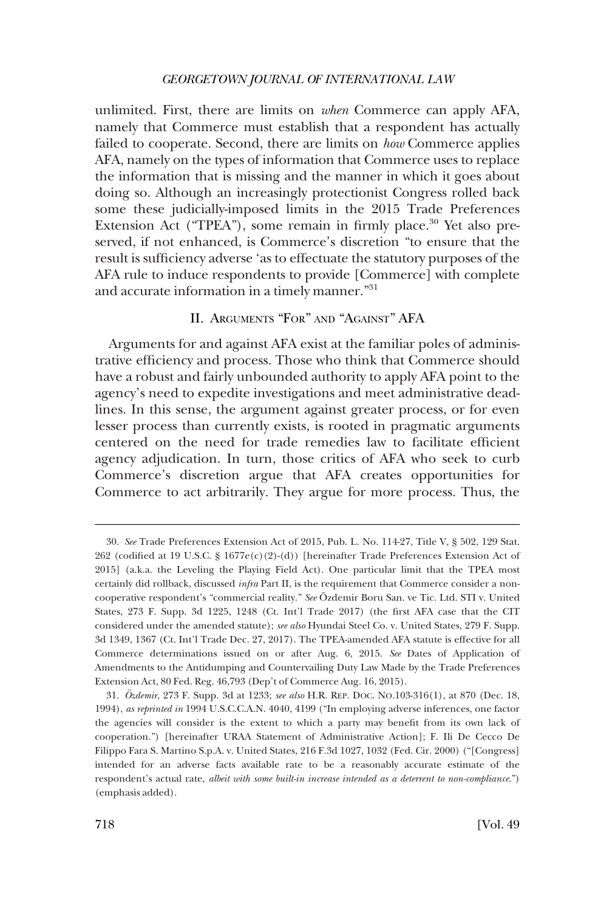<span id="page-9-0"></span>unlimited. First, there are limits on *when* Commerce can apply AFA, namely that Commerce must establish that a respondent has actually failed to cooperate. Second, there are limits on *how* Commerce applies AFA, namely on the types of information that Commerce uses to replace the information that is missing and the manner in which it goes about doing so. Although an increasingly protectionist Congress rolled back some these judicially-imposed limits in the 2015 Trade Preferences Extension Act ("TPEA"), some remain in firmly place.<sup>30</sup> Yet also preserved, if not enhanced, is Commerce's discretion "to ensure that the result is sufficiency adverse 'as to effectuate the statutory purposes of the AFA rule to induce respondents to provide [Commerce] with complete and accurate information in a timely manner."31

# II. ARGUMENTS "FOR" AND "AGAINST" AFA

Arguments for and against AFA exist at the familiar poles of administrative efficiency and process. Those who think that Commerce should have a robust and fairly unbounded authority to apply AFA point to the agency's need to expedite investigations and meet administrative deadlines. In this sense, the argument against greater process, or for even lesser process than currently exists, is rooted in pragmatic arguments centered on the need for trade remedies law to facilitate efficient agency adjudication. In turn, those critics of AFA who seek to curb Commerce's discretion argue that AFA creates opportunities for Commerce to act arbitrarily. They argue for more process. Thus, the

<sup>30.</sup> *See* Trade Preferences Extension Act of 2015, Pub. L. No. 114-27, Title V, § 502, 129 Stat. 262 (codified at 19 U.S.C. § 1677e(c)(2)-(d)) [hereinafter Trade Preferences Extension Act of 2015] (a.k.a. the Leveling the Playing Field Act). One particular limit that the TPEA most certainly did rollback, discussed *infra* Part II, is the requirement that Commerce consider a noncooperative respondent's "commercial reality." *See* Özdemir Boru San. ve Tic. Ltd. STI v. United States, 273 F. Supp. 3d 1225, 1248 (Ct. Int'l Trade 2017) (the first AFA case that the CIT considered under the amended statute); *see also* Hyundai Steel Co. v. United States, 279 F. Supp. 3d 1349, 1367 (Ct. Int'l Trade Dec. 27, 2017). The TPEA-amended AFA statute is effective for all Commerce determinations issued on or after Aug. 6, 2015. *See* Dates of Application of Amendments to the Antidumping and Countervailing Duty Law Made by the Trade Preferences Extension Act, 80 Fed. Reg. 46,793 (Dep't of Commerce Aug. 16, 2015).

<sup>31.</sup> *O¨zdemir*, 273 F. Supp. 3d at 1233; *see also* H.R. REP. DOC. NO.103-316(1), at 870 (Dec. 18, 1994), *as reprinted in* 1994 U.S.C.C.A.N. 4040, 4199 ("In employing adverse inferences, one factor the agencies will consider is the extent to which a party may benefit from its own lack of cooperation.") [hereinafter URAA Statement of Administrative Action]; F. Ili De Cecco De Filippo Fara S. Martino S.p.A. v. United States, 216 F.3d 1027, 1032 (Fed. Cir. 2000) ("[Congress] intended for an adverse facts available rate to be a reasonably accurate estimate of the respondent's actual rate, *albeit with some built-in increase intended as a deterrent to non-compliance*.") (emphasis added).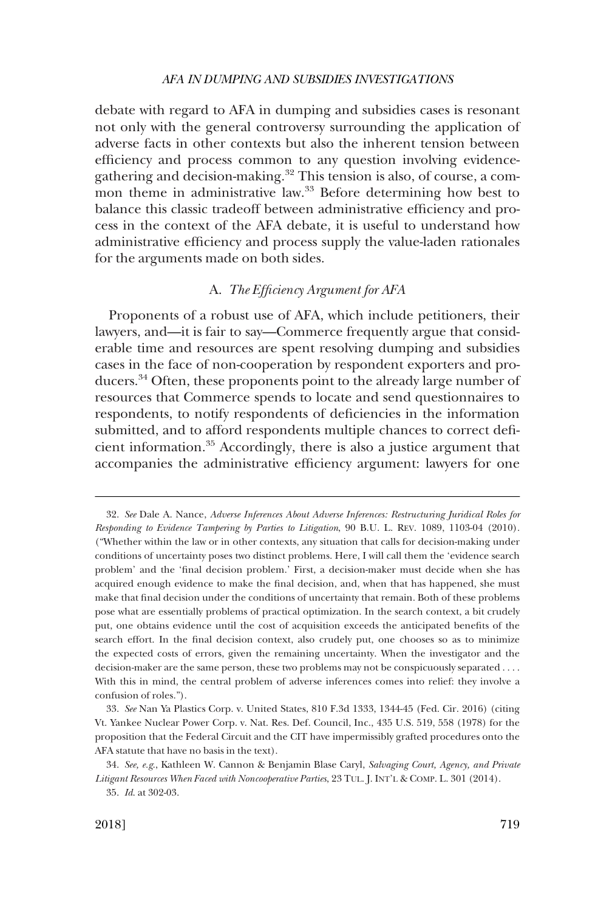<span id="page-10-0"></span>debate with regard to AFA in dumping and subsidies cases is resonant not only with the general controversy surrounding the application of adverse facts in other contexts but also the inherent tension between efficiency and process common to any question involving evidencegathering and decision-making.<sup>32</sup> This tension is also, of course, a common theme in administrative law.<sup>33</sup> Before determining how best to balance this classic tradeoff between administrative efficiency and process in the context of the AFA debate, it is useful to understand how administrative efficiency and process supply the value-laden rationales for the arguments made on both sides.

### A. *The Efficiency Argument for AFA*

Proponents of a robust use of AFA, which include petitioners, their lawyers, and—it is fair to say—Commerce frequently argue that considerable time and resources are spent resolving dumping and subsidies cases in the face of non-cooperation by respondent exporters and producers.34 Often, these proponents point to the already large number of resources that Commerce spends to locate and send questionnaires to respondents, to notify respondents of deficiencies in the information submitted, and to afford respondents multiple chances to correct deficient information.35 Accordingly, there is also a justice argument that accompanies the administrative efficiency argument: lawyers for one

<sup>32.</sup> *See* Dale A. Nance, *Adverse Inferences About Adverse Inferences: Restructuring Juridical Roles for Responding to Evidence Tampering by Parties to Litigation*, 90 B.U. L. REV. 1089, 1103-04 (2010). ("Whether within the law or in other contexts, any situation that calls for decision-making under conditions of uncertainty poses two distinct problems. Here, I will call them the 'evidence search problem' and the 'final decision problem.' First, a decision-maker must decide when she has acquired enough evidence to make the final decision, and, when that has happened, she must make that final decision under the conditions of uncertainty that remain. Both of these problems pose what are essentially problems of practical optimization. In the search context, a bit crudely put, one obtains evidence until the cost of acquisition exceeds the anticipated benefits of the search effort. In the final decision context, also crudely put, one chooses so as to minimize the expected costs of errors, given the remaining uncertainty. When the investigator and the decision-maker are the same person, these two problems may not be conspicuously separated . . . . With this in mind, the central problem of adverse inferences comes into relief: they involve a confusion of roles.").

<sup>33.</sup> *See* Nan Ya Plastics Corp. v. United States, 810 F.3d 1333, 1344-45 (Fed. Cir. 2016) (citing Vt. Yankee Nuclear Power Corp. v. Nat. Res. Def. Council, Inc., 435 U.S. 519, 558 (1978) for the proposition that the Federal Circuit and the CIT have impermissibly grafted procedures onto the AFA statute that have no basis in the text).

<sup>34.</sup> *See, e.g*., Kathleen W. Cannon & Benjamin Blase Caryl, *Salvaging Court, Agency, and Private Litigant Resources When Faced with Noncooperative Parties*, 23 TUL. J. INT'L & COMP. L. 301 (2014).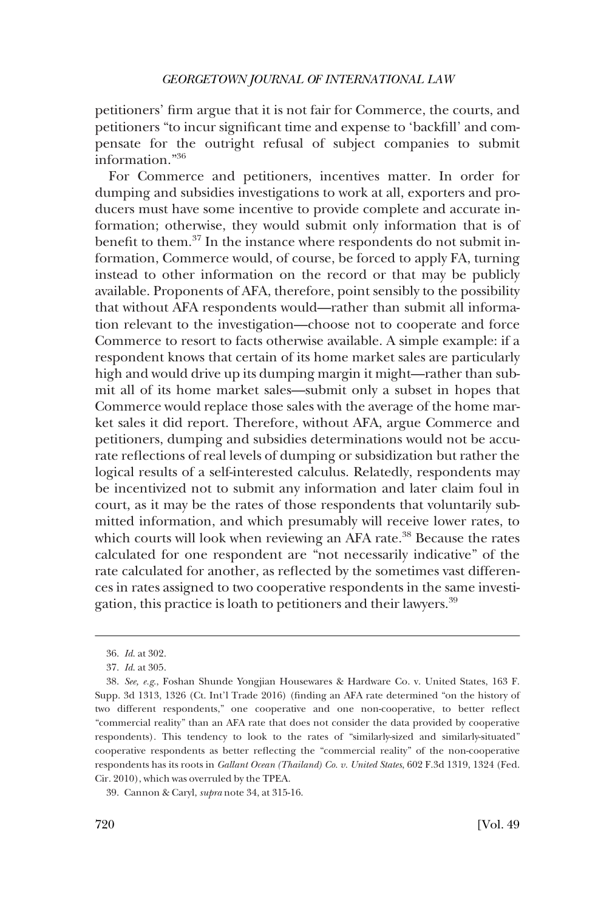petitioners' firm argue that it is not fair for Commerce, the courts, and petitioners "to incur significant time and expense to 'backfill' and compensate for the outright refusal of subject companies to submit information."36

For Commerce and petitioners, incentives matter. In order for dumping and subsidies investigations to work at all, exporters and producers must have some incentive to provide complete and accurate information; otherwise, they would submit only information that is of benefit to them.37 In the instance where respondents do not submit information, Commerce would, of course, be forced to apply FA, turning instead to other information on the record or that may be publicly available. Proponents of AFA, therefore, point sensibly to the possibility that without AFA respondents would—rather than submit all information relevant to the investigation—choose not to cooperate and force Commerce to resort to facts otherwise available. A simple example: if a respondent knows that certain of its home market sales are particularly high and would drive up its dumping margin it might—rather than submit all of its home market sales—submit only a subset in hopes that Commerce would replace those sales with the average of the home market sales it did report. Therefore, without AFA, argue Commerce and petitioners, dumping and subsidies determinations would not be accurate reflections of real levels of dumping or subsidization but rather the logical results of a self-interested calculus. Relatedly, respondents may be incentivized not to submit any information and later claim foul in court, as it may be the rates of those respondents that voluntarily submitted information, and which presumably will receive lower rates, to which courts will look when reviewing an AFA rate.<sup>38</sup> Because the rates calculated for one respondent are "not necessarily indicative" of the rate calculated for another, as reflected by the sometimes vast differences in rates assigned to two cooperative respondents in the same investigation, this practice is loath to petitioners and their lawyers.<sup>39</sup>

<sup>36.</sup> *Id*. at 302.

<sup>37.</sup> *Id*. at 305.

<sup>38.</sup> *See, e.g*., Foshan Shunde Yongjian Housewares & Hardware Co. v. United States, 163 F. Supp. 3d 1313, 1326 (Ct. Int'l Trade 2016) (finding an AFA rate determined "on the history of two different respondents," one cooperative and one non-cooperative, to better reflect "commercial reality" than an AFA rate that does not consider the data provided by cooperative respondents). This tendency to look to the rates of "similarly-sized and similarly-situated" cooperative respondents as better reflecting the "commercial reality" of the non-cooperative respondents has its roots in *Gallant Ocean (Thailand) Co. v. United States*, 602 F.3d 1319, 1324 (Fed. Cir. 2010), which was overruled by the TPEA.

<sup>39.</sup> Cannon & Caryl, *supra* note 34, at 315-16.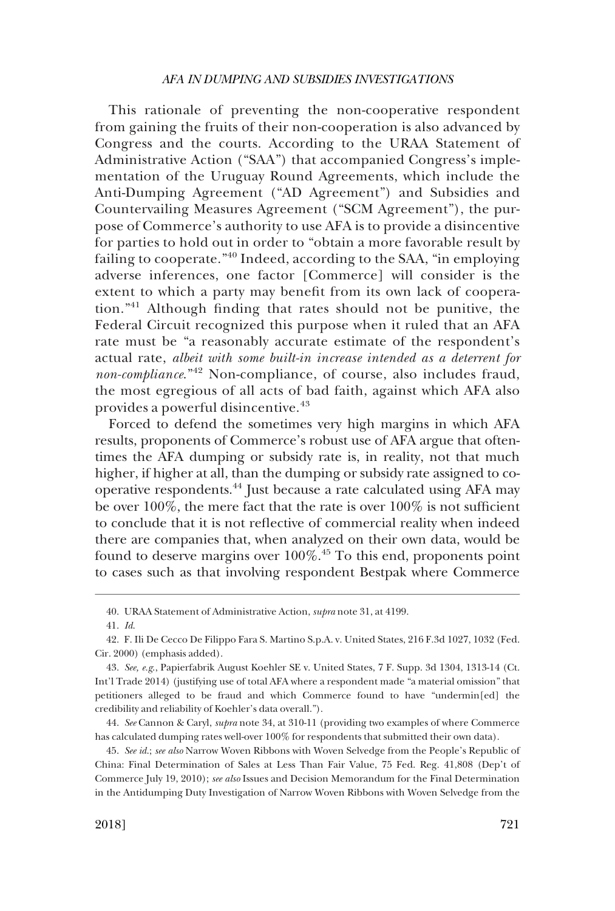This rationale of preventing the non-cooperative respondent from gaining the fruits of their non-cooperation is also advanced by Congress and the courts. According to the URAA Statement of Administrative Action ("SAA") that accompanied Congress's implementation of the Uruguay Round Agreements, which include the Anti-Dumping Agreement ("AD Agreement") and Subsidies and Countervailing Measures Agreement ("SCM Agreement"), the purpose of Commerce's authority to use AFA is to provide a disincentive for parties to hold out in order to "obtain a more favorable result by failing to cooperate."<sup>40</sup> Indeed, according to the SAA, "in employing adverse inferences, one factor [Commerce] will consider is the extent to which a party may benefit from its own lack of cooperation."41 Although finding that rates should not be punitive, the Federal Circuit recognized this purpose when it ruled that an AFA rate must be "a reasonably accurate estimate of the respondent's actual rate, *albeit with some built-in increase intended as a deterrent for non-compliance*."42 Non-compliance, of course, also includes fraud, the most egregious of all acts of bad faith, against which AFA also provides a powerful disincentive.<sup>43</sup>

Forced to defend the sometimes very high margins in which AFA results, proponents of Commerce's robust use of AFA argue that oftentimes the AFA dumping or subsidy rate is, in reality, not that much higher, if higher at all, than the dumping or subsidy rate assigned to cooperative respondents.44 Just because a rate calculated using AFA may be over  $100\%$ , the mere fact that the rate is over  $100\%$  is not sufficient to conclude that it is not reflective of commercial reality when indeed there are companies that, when analyzed on their own data, would be found to deserve margins over  $100\%$ .<sup>45</sup> To this end, proponents point to cases such as that involving respondent Bestpak where Commerce

<sup>40.</sup> URAA Statement of Administrative Action, *supra* note 31, at 4199.

<sup>41.</sup> *Id*.

<sup>42.</sup> F. Ili De Cecco De Filippo Fara S. Martino S.p.A. v. United States, 216 F.3d 1027, 1032 (Fed. Cir. 2000) (emphasis added).

<sup>43.</sup> *See, e.g*., Papierfabrik August Koehler SE v. United States, 7 F. Supp. 3d 1304, 1313-14 (Ct. Int'l Trade 2014) (justifying use of total AFA where a respondent made "a material omission" that petitioners alleged to be fraud and which Commerce found to have "undermin[ed] the credibility and reliability of Koehler's data overall.").

<sup>44.</sup> *See* Cannon & Caryl, *supra* note 34, at 310-11 (providing two examples of where Commerce has calculated dumping rates well-over 100% for respondents that submitted their own data).

<sup>45.</sup> *See id*.; *see also* Narrow Woven Ribbons with Woven Selvedge from the People's Republic of China: Final Determination of Sales at Less Than Fair Value, 75 Fed. Reg. 41,808 (Dep't of Commerce July 19, 2010); *see also* Issues and Decision Memorandum for the Final Determination in the Antidumping Duty Investigation of Narrow Woven Ribbons with Woven Selvedge from the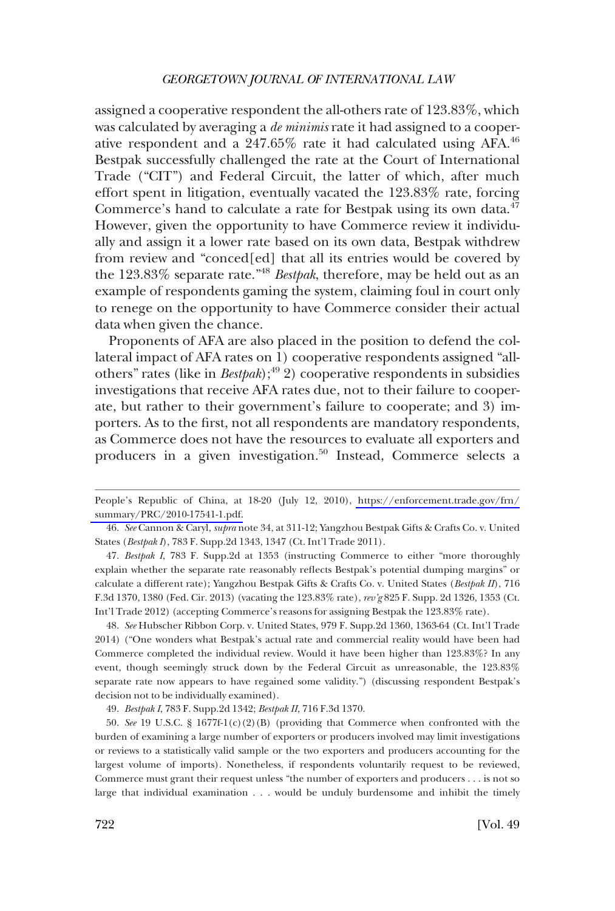assigned a cooperative respondent the all-others rate of 123.83%, which was calculated by averaging a *de minimis* rate it had assigned to a cooperative respondent and a 247.65% rate it had calculated using AFA.46 Bestpak successfully challenged the rate at the Court of International Trade ("CIT") and Federal Circuit, the latter of which, after much effort spent in litigation, eventually vacated the 123.83% rate, forcing Commerce's hand to calculate a rate for Bestpak using its own data.<sup>47</sup> However, given the opportunity to have Commerce review it individually and assign it a lower rate based on its own data, Bestpak withdrew from review and "conced[ed] that all its entries would be covered by the 123.83% separate rate."<sup>48</sup>*Bestpak*, therefore, may be held out as an example of respondents gaming the system, claiming foul in court only to renege on the opportunity to have Commerce consider their actual data when given the chance.

Proponents of AFA are also placed in the position to defend the collateral impact of AFA rates on 1) cooperative respondents assigned "allothers" rates (like in *Bestpak*); $^{49}$  2) cooperative respondents in subsidies investigations that receive AFA rates due, not to their failure to cooperate, but rather to their government's failure to cooperate; and 3) importers. As to the first, not all respondents are mandatory respondents, as Commerce does not have the resources to evaluate all exporters and producers in a given investigation.<sup>50</sup> Instead, Commerce selects a

47. *Bestpak I*, 783 F. Supp.2d at 1353 (instructing Commerce to either "more thoroughly explain whether the separate rate reasonably reflects Bestpak's potential dumping margins" or calculate a different rate); Yangzhou Bestpak Gifts & Crafts Co. v. United States (*Bestpak II*), 716 F.3d 1370, 1380 (Fed. Cir. 2013) (vacating the 123.83% rate), *rev'g* 825 F. Supp. 2d 1326, 1353 (Ct. Int'l Trade 2012) (accepting Commerce's reasons for assigning Bestpak the 123.83% rate).

48. *See* Hubscher Ribbon Corp. v. United States, 979 F. Supp.2d 1360, 1363-64 (Ct. Int'l Trade 2014) ("One wonders what Bestpak's actual rate and commercial reality would have been had Commerce completed the individual review. Would it have been higher than 123.83%? In any event, though seemingly struck down by the Federal Circuit as unreasonable, the 123.83% separate rate now appears to have regained some validity.") (discussing respondent Bestpak's decision not to be individually examined).

49. *Bestpak I*, 783 F. Supp.2d 1342; *Bestpak II*, 716 F.3d 1370.

50. *See* 19 U.S.C. § 1677f-1(c)(2)(B) (providing that Commerce when confronted with the burden of examining a large number of exporters or producers involved may limit investigations or reviews to a statistically valid sample or the two exporters and producers accounting for the largest volume of imports). Nonetheless, if respondents voluntarily request to be reviewed, Commerce must grant their request unless "the number of exporters and producers . . . is not so large that individual examination . . . would be unduly burdensome and inhibit the timely

People's Republic of China, at 18-20 (July 12, 2010), [https://enforcement.trade.gov/frn/](https://enforcement.trade.gov/frn/summary/PRC/2010-17541-1.pdf)  [summary/PRC/2010-17541-1.pdf.](https://enforcement.trade.gov/frn/summary/PRC/2010-17541-1.pdf)

<sup>46.</sup> *See* Cannon & Caryl, *supra* note 34, at 311-12; Yangzhou Bestpak Gifts & Crafts Co. v. United States (*Bestpak I*), 783 F. Supp.2d 1343, 1347 (Ct. Int'l Trade 2011).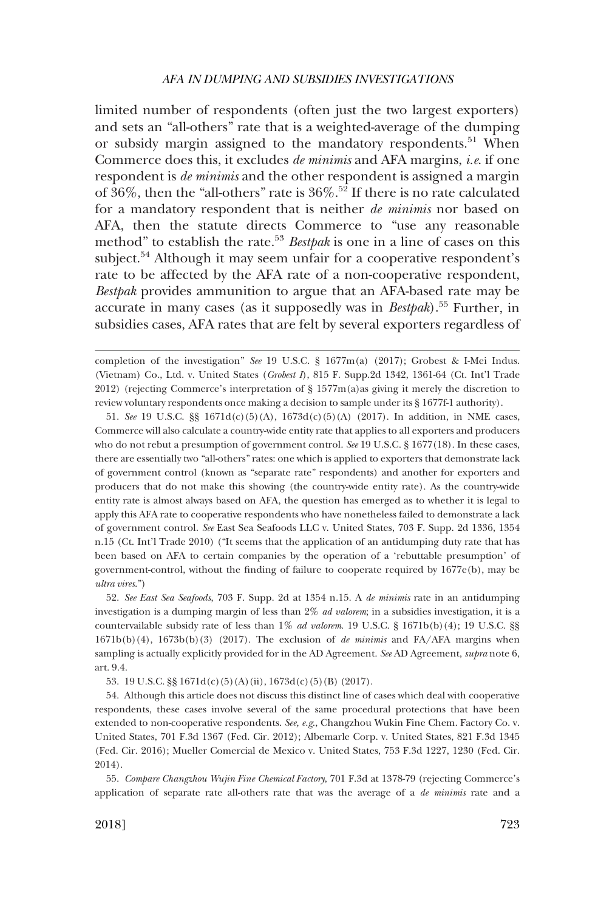limited number of respondents (often just the two largest exporters) and sets an "all-others" rate that is a weighted-average of the dumping or subsidy margin assigned to the mandatory respondents.<sup>51</sup> When Commerce does this, it excludes *de minimis* and AFA margins, *i.e*. if one respondent is *de minimis* and the other respondent is assigned a margin of 36%, then the "all-others" rate is  $36\%$ .<sup>52</sup> If there is no rate calculated for a mandatory respondent that is neither *de minimis* nor based on AFA, then the statute directs Commerce to "use any reasonable method" to establish the rate.<sup>53</sup>*Bestpak* is one in a line of cases on this subject.<sup>54</sup> Although it may seem unfair for a cooperative respondent's rate to be affected by the AFA rate of a non-cooperative respondent, *Bestpak* provides ammunition to argue that an AFA-based rate may be accurate in many cases (as it supposedly was in *Bestpak*).55 Further, in subsidies cases, AFA rates that are felt by several exporters regardless of

53. 19 U.S.C. §§ 1671d(c)(5)(A)(ii), 1673d(c)(5)(B) (2017).

54. Although this article does not discuss this distinct line of cases which deal with cooperative respondents, these cases involve several of the same procedural protections that have been extended to non-cooperative respondents. *See, e.g*., Changzhou Wukin Fine Chem. Factory Co. v. United States, 701 F.3d 1367 (Fed. Cir. 2012); Albemarle Corp. v. United States, 821 F.3d 1345 (Fed. Cir. 2016); Mueller Comercial de Mexico v. United States, 753 F.3d 1227, 1230 (Fed. Cir. 2014).

55. *Compare Changzhou Wujin Fine Chemical Factory*, 701 F.3d at 1378-79 (rejecting Commerce's application of separate rate all-others rate that was the average of a *de minimis* rate and a

completion of the investigation" *See* 19 U.S.C. § 1677m(a) (2017); Grobest & I-Mei Indus. (Vietnam) Co., Ltd. v. United States (*Grobest I*), 815 F. Supp.2d 1342, 1361-64 (Ct. Int'l Trade 2012) (rejecting Commerce's interpretation of  $\S 1577m(a)$ as giving it merely the discretion to review voluntary respondents once making a decision to sample under its § 1677f-1 authority).

<sup>51.</sup> *See* 19 U.S.C. §§ 1671d(c)(5)(A), 1673d(c)(5)(A) (2017). In addition, in NME cases, Commerce will also calculate a country-wide entity rate that applies to all exporters and producers who do not rebut a presumption of government control. *See* 19 U.S.C. § 1677(18). In these cases, there are essentially two "all-others" rates: one which is applied to exporters that demonstrate lack of government control (known as "separate rate" respondents) and another for exporters and producers that do not make this showing (the country-wide entity rate). As the country-wide entity rate is almost always based on AFA, the question has emerged as to whether it is legal to apply this AFA rate to cooperative respondents who have nonetheless failed to demonstrate a lack of government control. *See* East Sea Seafoods LLC v. United States, 703 F. Supp. 2d 1336, 1354 n.15 (Ct. Int'l Trade 2010) ("It seems that the application of an antidumping duty rate that has been based on AFA to certain companies by the operation of a 'rebuttable presumption' of government-control, without the finding of failure to cooperate required by 1677e(b), may be *ultra vires*.")

<sup>52.</sup> *See East Sea Seafoods*, 703 F. Supp. 2d at 1354 n.15. A *de minimis* rate in an antidumping investigation is a dumping margin of less than 2% *ad valorem*; in a subsidies investigation, it is a countervailable subsidy rate of less than 1% *ad valorem*. 19 U.S.C. § 1671b(b)(4); 19 U.S.C. §§ 1671b(b)(4), 1673b(b)(3) (2017). The exclusion of *de minimis* and FA/AFA margins when sampling is actually explicitly provided for in the AD Agreement. *See* AD Agreement, *supra* note 6, art. 9.4.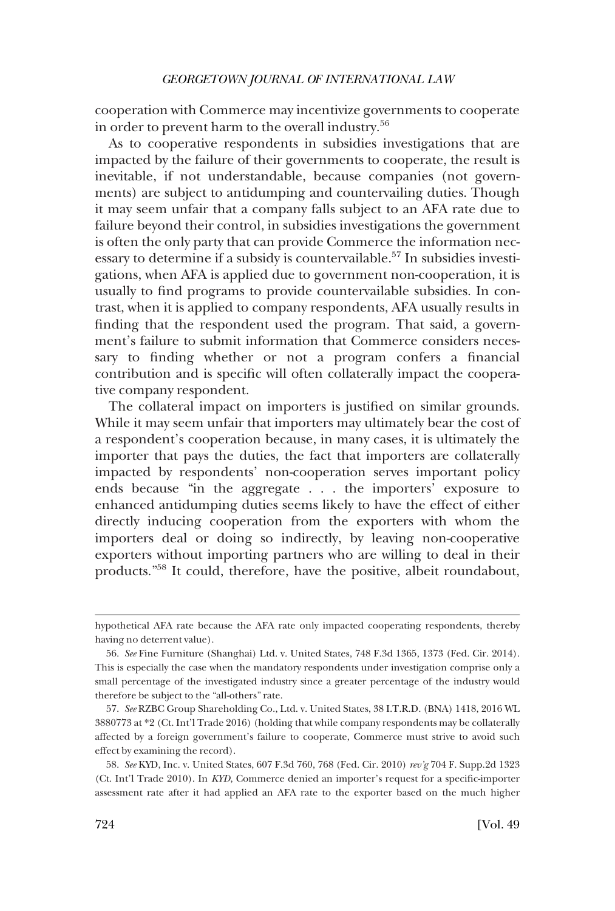cooperation with Commerce may incentivize governments to cooperate in order to prevent harm to the overall industry.<sup>56</sup>

As to cooperative respondents in subsidies investigations that are impacted by the failure of their governments to cooperate, the result is inevitable, if not understandable, because companies (not governments) are subject to antidumping and countervailing duties. Though it may seem unfair that a company falls subject to an AFA rate due to failure beyond their control, in subsidies investigations the government is often the only party that can provide Commerce the information necessary to determine if a subsidy is countervailable.<sup>57</sup> In subsidies investigations, when AFA is applied due to government non-cooperation, it is usually to find programs to provide countervailable subsidies. In contrast, when it is applied to company respondents, AFA usually results in finding that the respondent used the program. That said, a government's failure to submit information that Commerce considers necessary to finding whether or not a program confers a financial contribution and is specific will often collaterally impact the cooperative company respondent.

The collateral impact on importers is justified on similar grounds. While it may seem unfair that importers may ultimately bear the cost of a respondent's cooperation because, in many cases, it is ultimately the importer that pays the duties, the fact that importers are collaterally impacted by respondents' non-cooperation serves important policy ends because "in the aggregate . . . the importers' exposure to enhanced antidumping duties seems likely to have the effect of either directly inducing cooperation from the exporters with whom the importers deal or doing so indirectly, by leaving non-cooperative exporters without importing partners who are willing to deal in their products."58 It could, therefore, have the positive, albeit roundabout,

hypothetical AFA rate because the AFA rate only impacted cooperating respondents, thereby having no deterrent value).

<sup>56.</sup> *See* Fine Furniture (Shanghai) Ltd. v. United States, 748 F.3d 1365, 1373 (Fed. Cir. 2014). This is especially the case when the mandatory respondents under investigation comprise only a small percentage of the investigated industry since a greater percentage of the industry would therefore be subject to the "all-others" rate.

<sup>57.</sup> *See* RZBC Group Shareholding Co., Ltd. v. United States, 38 I.T.R.D. (BNA) 1418, 2016 WL 3880773 at \*2 (Ct. Int'l Trade 2016) (holding that while company respondents may be collaterally affected by a foreign government's failure to cooperate, Commerce must strive to avoid such effect by examining the record).

<sup>58.</sup> *See* KYD, Inc. v. United States, 607 F.3d 760, 768 (Fed. Cir. 2010) *rev'g* 704 F. Supp.2d 1323 (Ct. Int'l Trade 2010). In *KYD*, Commerce denied an importer's request for a specific-importer assessment rate after it had applied an AFA rate to the exporter based on the much higher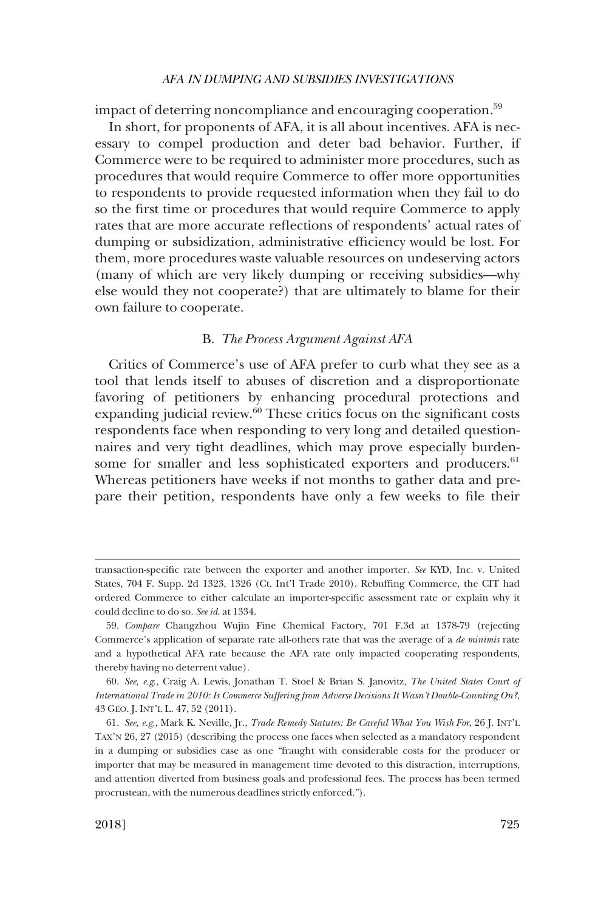<span id="page-16-0"></span>impact of deterring noncompliance and encouraging cooperation.<sup>59</sup>

In short, for proponents of AFA, it is all about incentives. AFA is necessary to compel production and deter bad behavior. Further, if Commerce were to be required to administer more procedures, such as procedures that would require Commerce to offer more opportunities to respondents to provide requested information when they fail to do so the first time or procedures that would require Commerce to apply rates that are more accurate reflections of respondents' actual rates of dumping or subsidization, administrative efficiency would be lost. For them, more procedures waste valuable resources on undeserving actors (many of which are very likely dumping or receiving subsidies—why else would they not cooperate?) that are ultimately to blame for their own failure to cooperate.

#### B. *The Process Argument Against AFA*

Critics of Commerce's use of AFA prefer to curb what they see as a tool that lends itself to abuses of discretion and a disproportionate favoring of petitioners by enhancing procedural protections and expanding judicial review.<sup>60</sup> These critics focus on the significant costs respondents face when responding to very long and detailed questionnaires and very tight deadlines, which may prove especially burdensome for smaller and less sophisticated exporters and producers.<sup>61</sup> Whereas petitioners have weeks if not months to gather data and prepare their petition, respondents have only a few weeks to file their

transaction-specific rate between the exporter and another importer. *See* KYD, Inc. v. United States, 704 F. Supp. 2d 1323, 1326 (Ct. Int'l Trade 2010). Rebuffing Commerce, the CIT had ordered Commerce to either calculate an importer-specific assessment rate or explain why it could decline to do so. *See id*. at 1334.

<sup>59.</sup> *Compare* Changzhou Wujin Fine Chemical Factory, 701 F.3d at 1378-79 (rejecting Commerce's application of separate rate all-others rate that was the average of a *de minimis* rate and a hypothetical AFA rate because the AFA rate only impacted cooperating respondents, thereby having no deterrent value).

<sup>60.</sup> *See, e.g*., Craig A. Lewis, Jonathan T. Stoel & Brian S. Janovitz, *The United States Court of International Trade in 2010: Is Commerce Suffering from Adverse Decisions It Wasn't Double-Counting On?*, 43 GEO. J. INT'L L. 47, 52 (2011).

<sup>61.</sup> *See, e.g*., Mark K. Neville, Jr., *Trade Remedy Statutes: Be Careful What You Wish For*, 26 J. INT'L TAX'N 26, 27 (2015) (describing the process one faces when selected as a mandatory respondent in a dumping or subsidies case as one "fraught with considerable costs for the producer or importer that may be measured in management time devoted to this distraction, interruptions, and attention diverted from business goals and professional fees. The process has been termed procrustean, with the numerous deadlines strictly enforced.").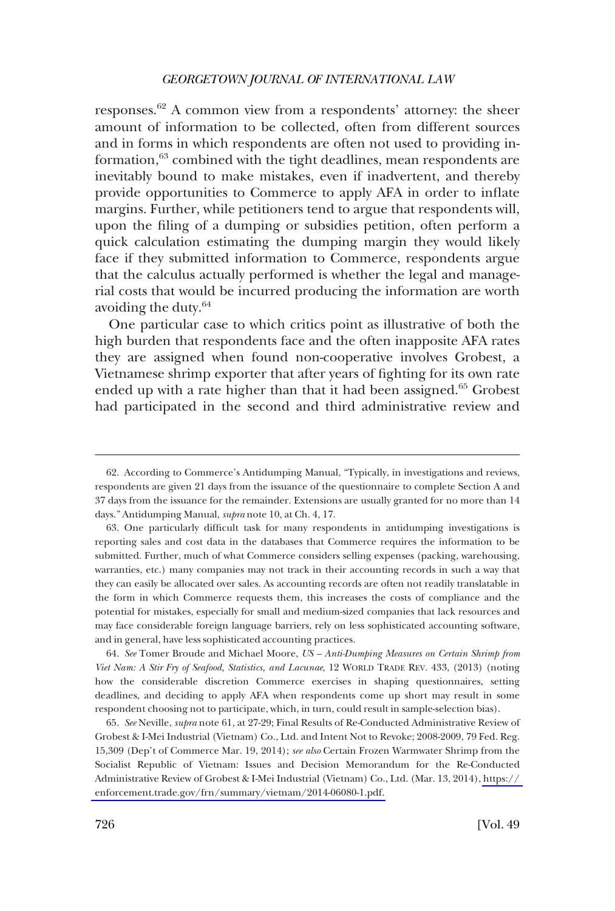responses.62 A common view from a respondents' attorney: the sheer amount of information to be collected, often from different sources and in forms in which respondents are often not used to providing information,<sup>63</sup> combined with the tight deadlines, mean respondents are inevitably bound to make mistakes, even if inadvertent, and thereby provide opportunities to Commerce to apply AFA in order to inflate margins. Further, while petitioners tend to argue that respondents will, upon the filing of a dumping or subsidies petition, often perform a quick calculation estimating the dumping margin they would likely face if they submitted information to Commerce, respondents argue that the calculus actually performed is whether the legal and managerial costs that would be incurred producing the information are worth avoiding the duty.64

One particular case to which critics point as illustrative of both the high burden that respondents face and the often inapposite AFA rates they are assigned when found non-cooperative involves Grobest, a Vietnamese shrimp exporter that after years of fighting for its own rate ended up with a rate higher than that it had been assigned.<sup>65</sup> Grobest had participated in the second and third administrative review and

64. *See* Tomer Broude and Michael Moore, *US – Anti-Dumping Measures on Certain Shrimp from Viet Nam: A Stir Fry of Seafood, Statistics, and Lacunae*, 12 WORLD TRADE REV. 433, (2013) (noting how the considerable discretion Commerce exercises in shaping questionnaires, setting deadlines, and deciding to apply AFA when respondents come up short may result in some respondent choosing not to participate, which, in turn, could result in sample-selection bias).

*See* Neville, *supra* note 61, at 27-29; Final Results of Re-Conducted Administrative Review of 65. Grobest & I-Mei Industrial (Vietnam) Co., Ltd. and Intent Not to Revoke; 2008-2009, 79 Fed. Reg. 15,309 (Dep't of Commerce Mar. 19, 2014); *see also* Certain Frozen Warmwater Shrimp from the Socialist Republic of Vietnam: Issues and Decision Memorandum for the Re-Conducted Administrative Review of Grobest & I-Mei Industrial (Vietnam) Co., Ltd. (Mar. 13, 2014), [https://](https://enforcement.trade.gov/frn/summary/vietnam/2014-06080-1.pdf)  [enforcement.trade.gov/frn/summary/vietnam/2014-06080-1.pdf.](https://enforcement.trade.gov/frn/summary/vietnam/2014-06080-1.pdf) 

<sup>62.</sup> According to Commerce's Antidumping Manual, "Typically, in investigations and reviews, respondents are given 21 days from the issuance of the questionnaire to complete Section A and 37 days from the issuance for the remainder. Extensions are usually granted for no more than 14 days." Antidumping Manual, *supra* note 10, at Ch. 4, 17.

<sup>63.</sup> One particularly difficult task for many respondents in antidumping investigations is reporting sales and cost data in the databases that Commerce requires the information to be submitted. Further, much of what Commerce considers selling expenses (packing, warehousing, warranties, etc.) many companies may not track in their accounting records in such a way that they can easily be allocated over sales. As accounting records are often not readily translatable in the form in which Commerce requests them, this increases the costs of compliance and the potential for mistakes, especially for small and medium-sized companies that lack resources and may face considerable foreign language barriers, rely on less sophisticated accounting software, and in general, have less sophisticated accounting practices.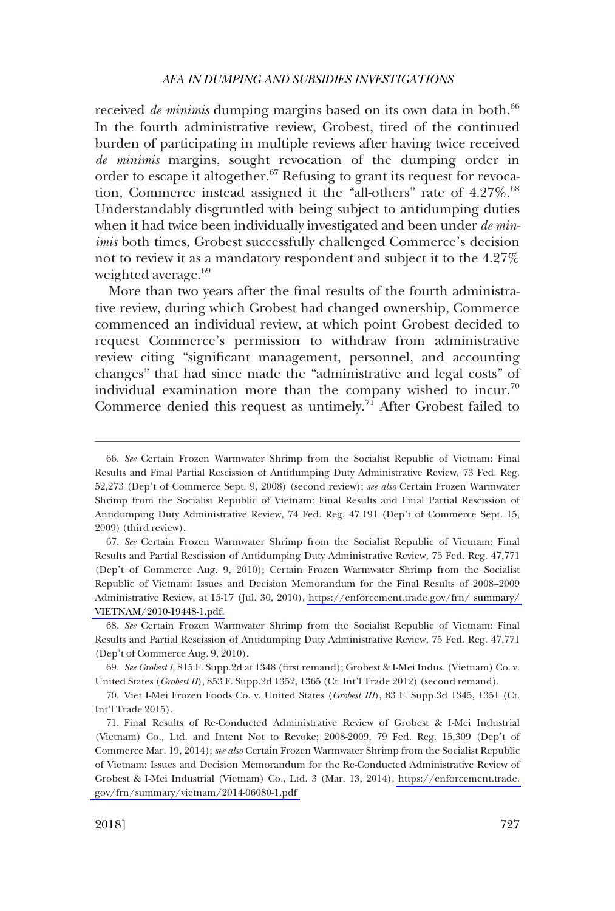received *de minimis* dumping margins based on its own data in both.<sup>66</sup> In the fourth administrative review, Grobest, tired of the continued burden of participating in multiple reviews after having twice received *de minimis* margins, sought revocation of the dumping order in order to escape it altogether.<sup>67</sup> Refusing to grant its request for revocation, Commerce instead assigned it the "all-others" rate of 4.27%.<sup>68</sup> Understandably disgruntled with being subject to antidumping duties when it had twice been individually investigated and been under *de minimis* both times, Grobest successfully challenged Commerce's decision not to review it as a mandatory respondent and subject it to the 4.27% weighted average.<sup>69</sup>

More than two years after the final results of the fourth administrative review, during which Grobest had changed ownership, Commerce commenced an individual review, at which point Grobest decided to request Commerce's permission to withdraw from administrative review citing "significant management, personnel, and accounting changes" that had since made the "administrative and legal costs" of individual examination more than the company wished to incur.70 Commerce denied this request as untimely.<sup>71</sup> After Grobest failed to

*See* Certain Frozen Warmwater Shrimp from the Socialist Republic of Vietnam: Final 67. Results and Partial Rescission of Antidumping Duty Administrative Review, 75 Fed. Reg. 47,771 (Dep't of Commerce Aug. 9, 2010); Certain Frozen Warmwater Shrimp from the Socialist Republic of Vietnam: Issues and Decision Memorandum for the Final Results of 2008–2009 Administrative Review, at 15-17 (Jul. 30, 2010), [https://enforcement.trade.gov/frn/ summary/](https://enforcement.trade.gov/frn/summary/VIETNAM/2010-19448-1.pdf)  [VIETNAM/2010-19448-1.pdf.](https://enforcement.trade.gov/frn/summary/VIETNAM/2010-19448-1.pdf) 

68. *See* Certain Frozen Warmwater Shrimp from the Socialist Republic of Vietnam: Final Results and Partial Rescission of Antidumping Duty Administrative Review, 75 Fed. Reg. 47,771 (Dep't of Commerce Aug. 9, 2010).

69. *See Grobest I*, 815 F. Supp.2d at 1348 (first remand); Grobest & I-Mei Indus. (Vietnam) Co. v. United States (*Grobest II*), 853 F. Supp.2d 1352, 1365 (Ct. Int'l Trade 2012) (second remand).

70. Viet I-Mei Frozen Foods Co. v. United States (*Grobest III*), 83 F. Supp.3d 1345, 1351 (Ct. Int'l Trade 2015).

Final Results of Re-Conducted Administrative Review of Grobest & I-Mei Industrial 71. (Vietnam) Co., Ltd. and Intent Not to Revoke; 2008-2009, 79 Fed. Reg. 15,309 (Dep't of Commerce Mar. 19, 2014); *see also* Certain Frozen Warmwater Shrimp from the Socialist Republic of Vietnam: Issues and Decision Memorandum for the Re-Conducted Administrative Review of Grobest & I-Mei Industrial (Vietnam) Co., Ltd. 3 (Mar. 13, 2014), [https://enforcement.trade.](https://enforcement.trade.gov/frn/summary/vietnam/2014-06080-1.pdf)  [gov/frn/summary/vietnam/2014-06080-1.pdf](https://enforcement.trade.gov/frn/summary/vietnam/2014-06080-1.pdf) 

<sup>66.</sup> *See* Certain Frozen Warmwater Shrimp from the Socialist Republic of Vietnam: Final Results and Final Partial Rescission of Antidumping Duty Administrative Review, 73 Fed. Reg. 52,273 (Dep't of Commerce Sept. 9, 2008) (second review); *see also* Certain Frozen Warmwater Shrimp from the Socialist Republic of Vietnam: Final Results and Final Partial Rescission of Antidumping Duty Administrative Review, 74 Fed. Reg. 47,191 (Dep't of Commerce Sept. 15, 2009) (third review).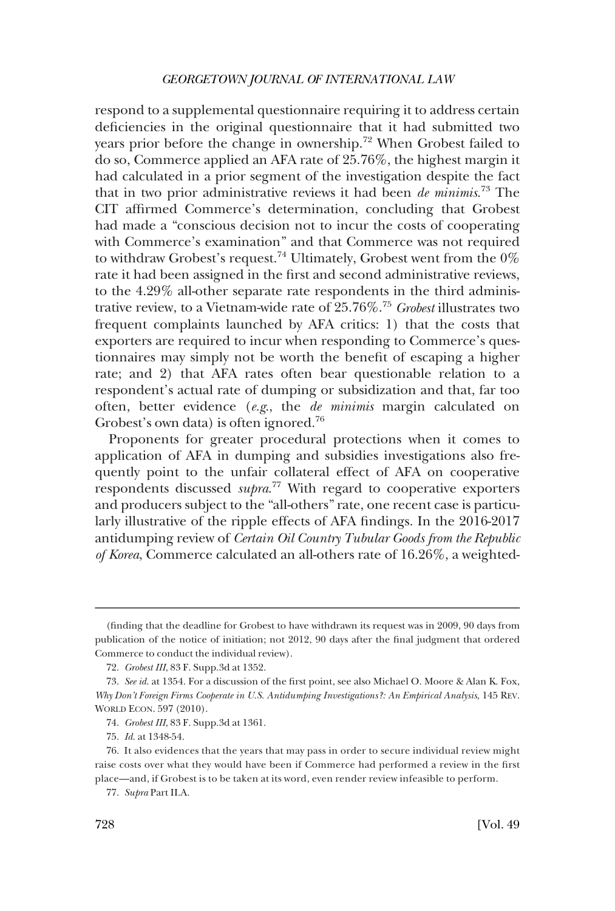respond to a supplemental questionnaire requiring it to address certain deficiencies in the original questionnaire that it had submitted two years prior before the change in ownership.<sup>72</sup> When Grobest failed to do so, Commerce applied an AFA rate of 25.76%, the highest margin it had calculated in a prior segment of the investigation despite the fact that in two prior administrative reviews it had been *de minimis*. 73 The CIT affirmed Commerce's determination, concluding that Grobest had made a "conscious decision not to incur the costs of cooperating with Commerce's examination" and that Commerce was not required to withdraw Grobest's request.<sup>74</sup> Ultimately, Grobest went from the 0% rate it had been assigned in the first and second administrative reviews, to the 4.29% all-other separate rate respondents in the third administrative review, to a Vietnam-wide rate of 25.76%.<sup>75</sup>*Grobest* illustrates two frequent complaints launched by AFA critics: 1) that the costs that exporters are required to incur when responding to Commerce's questionnaires may simply not be worth the benefit of escaping a higher rate; and 2) that AFA rates often bear questionable relation to a respondent's actual rate of dumping or subsidization and that, far too often, better evidence (*e.g*., the *de minimis* margin calculated on Grobest's own data) is often ignored.<sup>76</sup>

Proponents for greater procedural protections when it comes to application of AFA in dumping and subsidies investigations also frequently point to the unfair collateral effect of AFA on cooperative respondents discussed *supra*. 77 With regard to cooperative exporters and producers subject to the "all-others" rate, one recent case is particularly illustrative of the ripple effects of AFA findings. In the 2016-2017 antidumping review of *Certain Oil Country Tubular Goods from the Republic of Korea*, Commerce calculated an all-others rate of 16.26%, a weighted-

<sup>(</sup>finding that the deadline for Grobest to have withdrawn its request was in 2009, 90 days from publication of the notice of initiation; not 2012, 90 days after the final judgment that ordered Commerce to conduct the individual review).

<sup>72.</sup> *Grobest III*, 83 F. Supp.3d at 1352.

<sup>73.</sup> *See id*. at 1354. For a discussion of the first point, see also Michael O. Moore & Alan K. Fox, *Why Don't Foreign Firms Cooperate in U.S. Antidumping Investigations?: An Empirical Analysis*, 145 REV. WORLD ECON. 597 (2010).

<sup>74.</sup> *Grobest III*, 83 F. Supp.3d at 1361.

<sup>75.</sup> *Id*. at 1348-54.

<sup>76.</sup> It also evidences that the years that may pass in order to secure individual review might raise costs over what they would have been if Commerce had performed a review in the first place—and, if Grobest is to be taken at its word, even render review infeasible to perform.

<sup>77.</sup> *Supra* Part II.A.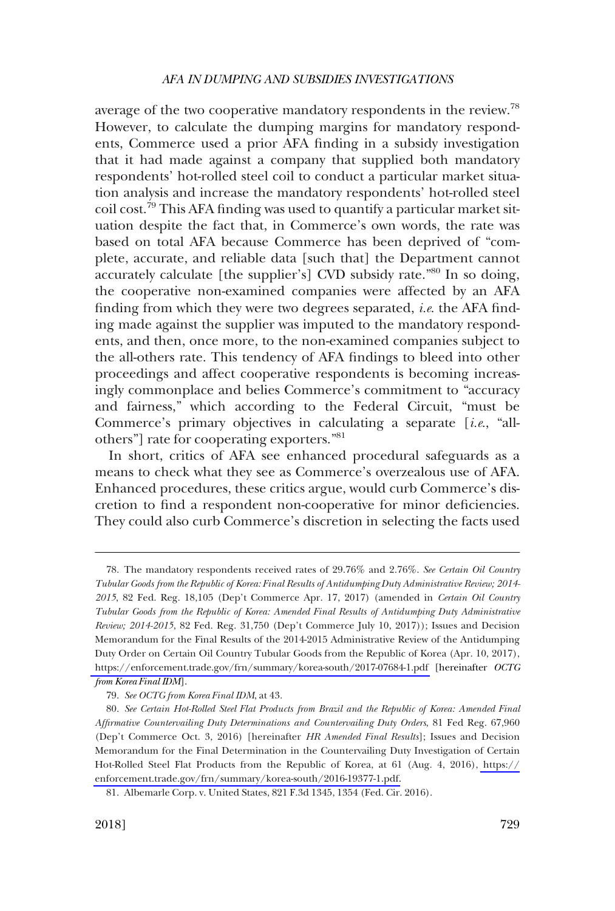average of the two cooperative mandatory respondents in the review.<sup>78</sup> However, to calculate the dumping margins for mandatory respondents, Commerce used a prior AFA finding in a subsidy investigation that it had made against a company that supplied both mandatory respondents' hot-rolled steel coil to conduct a particular market situation analysis and increase the mandatory respondents' hot-rolled steel coil cost.79 This AFA finding was used to quantify a particular market situation despite the fact that, in Commerce's own words, the rate was based on total AFA because Commerce has been deprived of "complete, accurate, and reliable data [such that] the Department cannot accurately calculate [the supplier's] CVD subsidy rate.<sup>"80</sup> In so doing, the cooperative non-examined companies were affected by an AFA finding from which they were two degrees separated, *i.e*. the AFA finding made against the supplier was imputed to the mandatory respondents, and then, once more, to the non-examined companies subject to the all-others rate. This tendency of AFA findings to bleed into other proceedings and affect cooperative respondents is becoming increasingly commonplace and belies Commerce's commitment to "accuracy and fairness," which according to the Federal Circuit, "must be Commerce's primary objectives in calculating a separate [*i.e*., "allothers"] rate for cooperating exporters."<sup>81</sup>

In short, critics of AFA see enhanced procedural safeguards as a means to check what they see as Commerce's overzealous use of AFA. Enhanced procedures, these critics argue, would curb Commerce's discretion to find a respondent non-cooperative for minor deficiencies. They could also curb Commerce's discretion in selecting the facts used

The mandatory respondents received rates of 29.76% and 2.76%. *See Certain Oil Country*  78. *Tubular Goods from the Republic of Korea: Final Results of Antidumping Duty Administrative Review; 2014- 2015*, 82 Fed. Reg. 18,105 (Dep't Commerce Apr. 17, 2017) (amended in *Certain Oil Country Tubular Goods from the Republic of Korea: Amended Final Results of Antidumping Duty Administrative Review; 2014-2015*, 82 Fed. Reg. 31,750 (Dep't Commerce July 10, 2017)); Issues and Decision Memorandum for the Final Results of the 2014-2015 Administrative Review of the Antidumping Duty Order on Certain Oil Country Tubular Goods from the Republic of Korea (Apr. 10, 2017), <https://enforcement.trade.gov/frn/summary/korea-south/2017-07684-1.pdf> [hereinafter *OCTG from Korea Final IDM*].

<sup>79.</sup> *See OCTG from Korea Final IDM*, at 43.

*See Certain Hot-Rolled Steel Flat Products from Brazil and the Republic of Korea: Amended Final*  80. *Affirmative Countervailing Duty Determinations and Countervailing Duty Orders*, 81 Fed Reg. 67,960 (Dep't Commerce Oct. 3, 2016) [hereinafter *HR Amended Final Results*]; Issues and Decision Memorandum for the Final Determination in the Countervailing Duty Investigation of Certain Hot-Rolled Steel Flat Products from the Republic of Korea, at 61 (Aug. 4, 2016), [https://](https://enforcement.trade.gov/frn/summary/korea-south/2016-19377-1.pdf) [enforcement.trade.gov/frn/summary/korea-south/2016-19377-1.pdf.](https://enforcement.trade.gov/frn/summary/korea-south/2016-19377-1.pdf)

<sup>81.</sup> Albemarle Corp. v. United States, 821 F.3d 1345, 1354 (Fed. Cir. 2016).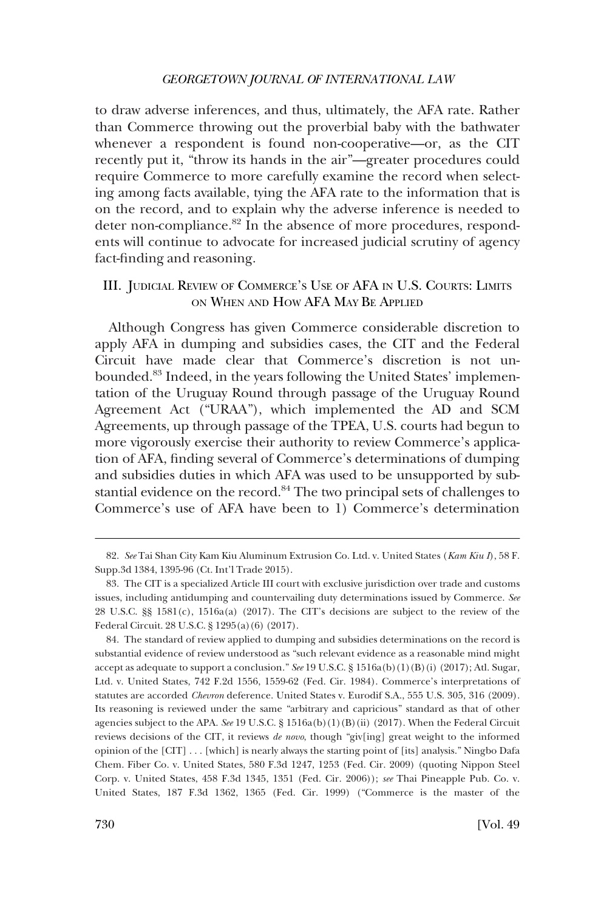<span id="page-21-0"></span>to draw adverse inferences, and thus, ultimately, the AFA rate. Rather than Commerce throwing out the proverbial baby with the bathwater whenever a respondent is found non-cooperative—or, as the CIT recently put it, "throw its hands in the air"—greater procedures could require Commerce to more carefully examine the record when selecting among facts available, tying the AFA rate to the information that is on the record, and to explain why the adverse inference is needed to deter non-compliance.<sup>82</sup> In the absence of more procedures, respondents will continue to advocate for increased judicial scrutiny of agency fact-finding and reasoning.

# III. JUDICIAL REVIEW OF COMMERCE'S USE OF AFA IN U.S. COURTS: LIMITS ON WHEN AND HOW AFA MAY BE APPLIED

Although Congress has given Commerce considerable discretion to apply AFA in dumping and subsidies cases, the CIT and the Federal Circuit have made clear that Commerce's discretion is not unbounded.83 Indeed, in the years following the United States' implementation of the Uruguay Round through passage of the Uruguay Round Agreement Act ("URAA"), which implemented the AD and SCM Agreements, up through passage of the TPEA, U.S. courts had begun to more vigorously exercise their authority to review Commerce's application of AFA, finding several of Commerce's determinations of dumping and subsidies duties in which AFA was used to be unsupported by substantial evidence on the record.<sup>84</sup> The two principal sets of challenges to Commerce's use of AFA have been to 1) Commerce's determination

84. The standard of review applied to dumping and subsidies determinations on the record is substantial evidence of review understood as "such relevant evidence as a reasonable mind might accept as adequate to support a conclusion." *See* 19 U.S.C. § 1516a(b)(1)(B)(i) (2017); Atl. Sugar, Ltd. v. United States, 742 F.2d 1556, 1559-62 (Fed. Cir. 1984). Commerce's interpretations of statutes are accorded *Chevron* deference. United States v. Eurodif S.A., 555 U.S. 305, 316 (2009). Its reasoning is reviewed under the same "arbitrary and capricious" standard as that of other agencies subject to the APA. *See* 19 U.S.C. § 1516a(b)(1)(B)(ii) (2017). When the Federal Circuit reviews decisions of the CIT, it reviews *de novo*, though "giv[ing] great weight to the informed opinion of the [CIT] . . . [which] is nearly always the starting point of [its] analysis." Ningbo Dafa Chem. Fiber Co. v. United States, 580 F.3d 1247, 1253 (Fed. Cir. 2009) (quoting Nippon Steel Corp. v. United States, 458 F.3d 1345, 1351 (Fed. Cir. 2006)); *see* Thai Pineapple Pub. Co. v. United States, 187 F.3d 1362, 1365 (Fed. Cir. 1999) ("Commerce is the master of the

<sup>82.</sup> *See* Tai Shan City Kam Kiu Aluminum Extrusion Co. Ltd. v. United States (*Kam Kiu I*), 58 F. Supp.3d 1384, 1395-96 (Ct. Int'l Trade 2015).

<sup>83.</sup> The CIT is a specialized Article III court with exclusive jurisdiction over trade and customs issues, including antidumping and countervailing duty determinations issued by Commerce. *See*  28 U.S.C. §§ 1581(c), 1516a(a) (2017). The CIT's decisions are subject to the review of the Federal Circuit. 28 U.S.C. § 1295(a)(6) (2017).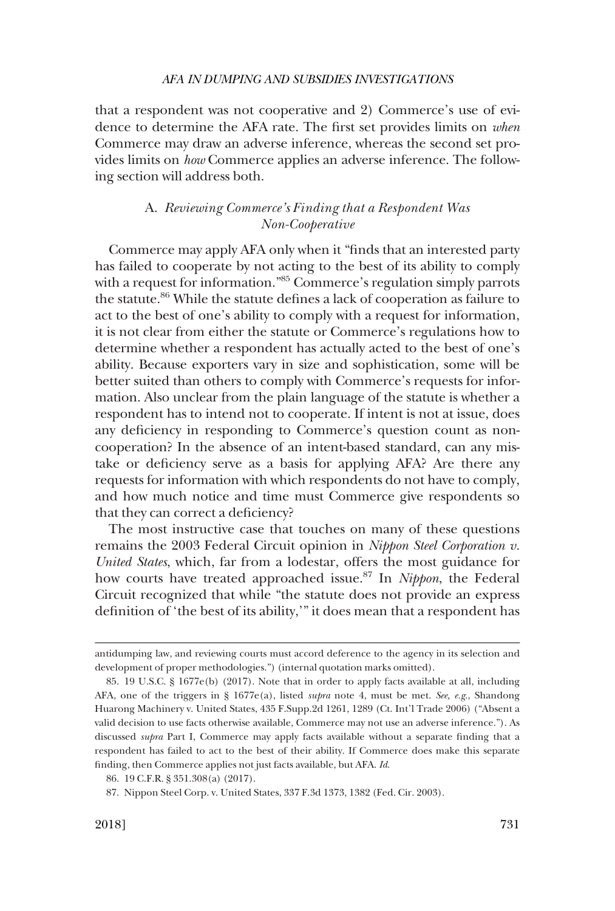<span id="page-22-0"></span>that a respondent was not cooperative and 2) Commerce's use of evidence to determine the AFA rate. The first set provides limits on *when*  Commerce may draw an adverse inference, whereas the second set provides limits on *how* Commerce applies an adverse inference. The following section will address both.

# A. *Reviewing Commerce's Finding that a Respondent Was Non-Cooperative*

Commerce may apply AFA only when it "finds that an interested party has failed to cooperate by not acting to the best of its ability to comply with a request for information.<sup>"85</sup> Commerce's regulation simply parrots the statute.<sup>86</sup> While the statute defines a lack of cooperation as failure to act to the best of one's ability to comply with a request for information, it is not clear from either the statute or Commerce's regulations how to determine whether a respondent has actually acted to the best of one's ability. Because exporters vary in size and sophistication, some will be better suited than others to comply with Commerce's requests for information. Also unclear from the plain language of the statute is whether a respondent has to intend not to cooperate. If intent is not at issue, does any deficiency in responding to Commerce's question count as noncooperation? In the absence of an intent-based standard, can any mistake or deficiency serve as a basis for applying AFA? Are there any requests for information with which respondents do not have to comply, and how much notice and time must Commerce give respondents so that they can correct a deficiency?

The most instructive case that touches on many of these questions remains the 2003 Federal Circuit opinion in *Nippon Steel Corporation v. United States*, which, far from a lodestar, offers the most guidance for how courts have treated approached issue.87 In *Nippon*, the Federal Circuit recognized that while "the statute does not provide an express definition of 'the best of its ability,'" it does mean that a respondent has

antidumping law, and reviewing courts must accord deference to the agency in its selection and development of proper methodologies.") (internal quotation marks omitted).

<sup>85. 19</sup> U.S.C. § 1677e(b) (2017). Note that in order to apply facts available at all, including AFA, one of the triggers in § 1677e(a), listed *supra* note 4, must be met. *See, e.g*., Shandong Huarong Machinery v. United States, 435 F.Supp.2d 1261, 1289 (Ct. Int'l Trade 2006) ("Absent a valid decision to use facts otherwise available, Commerce may not use an adverse inference."). As discussed *supra* Part I, Commerce may apply facts available without a separate finding that a respondent has failed to act to the best of their ability. If Commerce does make this separate finding, then Commerce applies not just facts available, but AFA. *Id*.

<sup>86. 19</sup> C.F.R. § 351.308(a) (2017).

<sup>87.</sup> Nippon Steel Corp. v. United States, 337 F.3d 1373, 1382 (Fed. Cir. 2003).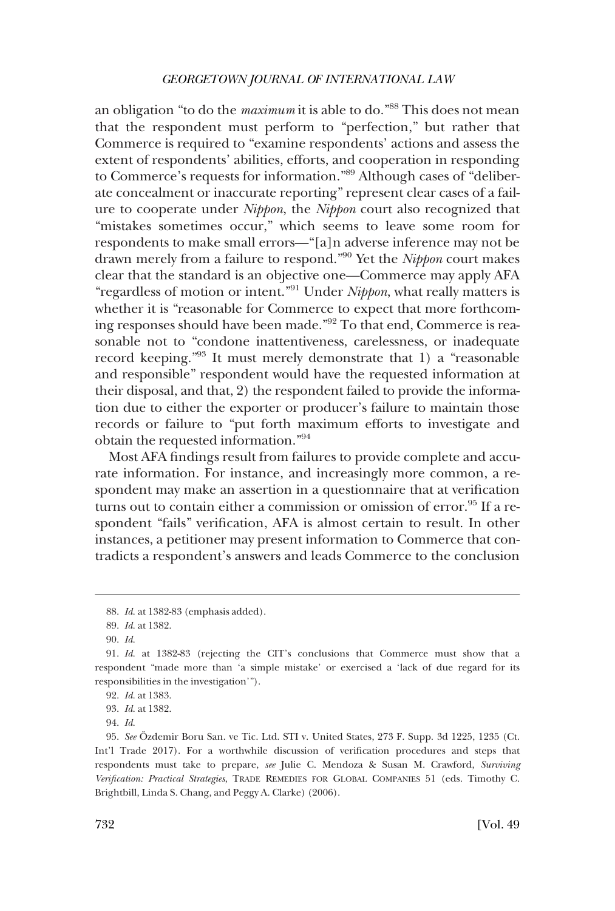an obligation "to do the *maximum* it is able to do."88 This does not mean that the respondent must perform to "perfection," but rather that Commerce is required to "examine respondents' actions and assess the extent of respondents' abilities, efforts, and cooperation in responding to Commerce's requests for information."89 Although cases of "deliberate concealment or inaccurate reporting" represent clear cases of a failure to cooperate under *Nippon*, the *Nippon* court also recognized that "mistakes sometimes occur," which seems to leave some room for respondents to make small errors—"[a]n adverse inference may not be drawn merely from a failure to respond."90 Yet the *Nippon* court makes clear that the standard is an objective one—Commerce may apply AFA "regardless of motion or intent."91 Under *Nippon*, what really matters is whether it is "reasonable for Commerce to expect that more forthcoming responses should have been made."92 To that end, Commerce is reasonable not to "condone inattentiveness, carelessness, or inadequate record keeping."93 It must merely demonstrate that 1) a "reasonable and responsible" respondent would have the requested information at their disposal, and that, 2) the respondent failed to provide the information due to either the exporter or producer's failure to maintain those records or failure to "put forth maximum efforts to investigate and obtain the requested information."94

Most AFA findings result from failures to provide complete and accurate information. For instance, and increasingly more common, a respondent may make an assertion in a questionnaire that at verification turns out to contain either a commission or omission of error.<sup>95</sup> If a respondent "fails" verification, AFA is almost certain to result. In other instances, a petitioner may present information to Commerce that contradicts a respondent's answers and leads Commerce to the conclusion

<sup>88.</sup> *Id*. at 1382-83 (emphasis added).

<sup>89.</sup> *Id*. at 1382.

<sup>90.</sup> *Id*.

<sup>91.</sup> *Id*. at 1382-83 (rejecting the CIT's conclusions that Commerce must show that a respondent "made more than 'a simple mistake' or exercised a 'lack of due regard for its responsibilities in the investigation'").

<sup>92.</sup> *Id*. at 1383.

<sup>93.</sup> *Id*. at 1382.

<sup>94.</sup> *Id*.

<sup>95.</sup> *See* Özdemir Boru San. ve Tic. Ltd. STI v. United States, 273 F. Supp. 3d 1225, 1235 (Ct. Int'l Trade 2017). For a worthwhile discussion of verification procedures and steps that respondents must take to prepare, *see* Julie C. Mendoza & Susan M. Crawford, *Surviving Verification: Practical Strategies*, TRADE REMEDIES FOR GLOBAL COMPANIES 51 (eds. Timothy C. Brightbill, Linda S. Chang, and Peggy A. Clarke) (2006).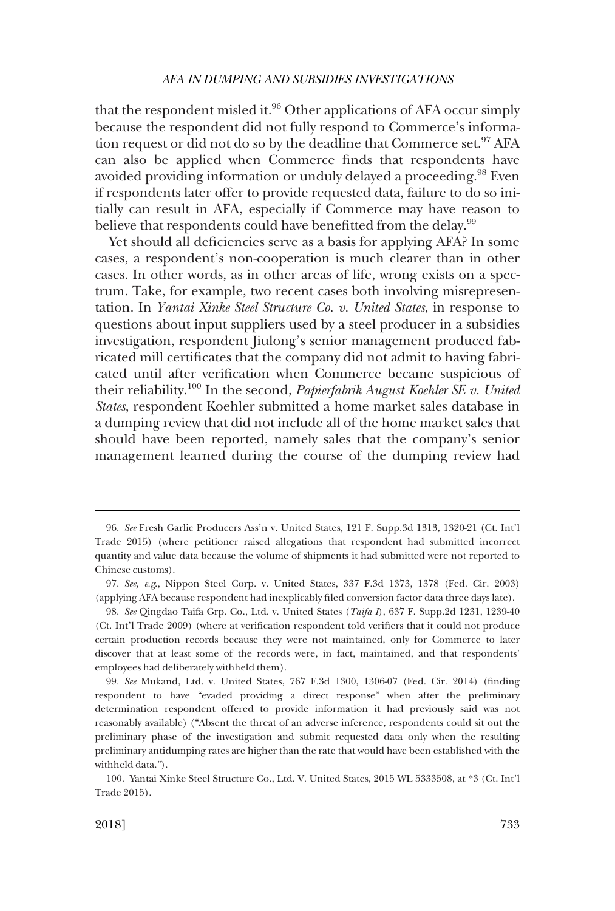that the respondent misled it. $96$  Other applications of AFA occur simply because the respondent did not fully respond to Commerce's information request or did not do so by the deadline that Commerce set.<sup>97</sup> AFA can also be applied when Commerce finds that respondents have avoided providing information or unduly delayed a proceeding.<sup>98</sup> Even if respondents later offer to provide requested data, failure to do so initially can result in AFA, especially if Commerce may have reason to believe that respondents could have benefitted from the delay.<sup>99</sup>

Yet should all deficiencies serve as a basis for applying AFA? In some cases, a respondent's non-cooperation is much clearer than in other cases. In other words, as in other areas of life, wrong exists on a spectrum. Take, for example, two recent cases both involving misrepresentation. In *Yantai Xinke Steel Structure Co. v. United States*, in response to questions about input suppliers used by a steel producer in a subsidies investigation, respondent Jiulong's senior management produced fabricated mill certificates that the company did not admit to having fabricated until after verification when Commerce became suspicious of their reliability.100 In the second, *Papierfabrik August Koehler SE v. United States*, respondent Koehler submitted a home market sales database in a dumping review that did not include all of the home market sales that should have been reported, namely sales that the company's senior management learned during the course of the dumping review had

100. Yantai Xinke Steel Structure Co., Ltd. V. United States, 2015 WL 5333508, at \*3 (Ct. Int'l Trade 2015).

<sup>96.</sup> *See* Fresh Garlic Producers Ass'n v. United States, 121 F. Supp.3d 1313, 1320-21 (Ct. Int'l Trade 2015) (where petitioner raised allegations that respondent had submitted incorrect quantity and value data because the volume of shipments it had submitted were not reported to Chinese customs).

<sup>97.</sup> *See, e.g*., Nippon Steel Corp. v. United States, 337 F.3d 1373, 1378 (Fed. Cir. 2003) (applying AFA because respondent had inexplicably filed conversion factor data three days late).

<sup>98.</sup> *See* Qingdao Taifa Grp. Co., Ltd. v. United States (*Taifa I*), 637 F. Supp.2d 1231, 1239-40 (Ct. Int'l Trade 2009) (where at verification respondent told verifiers that it could not produce certain production records because they were not maintained, only for Commerce to later discover that at least some of the records were, in fact, maintained, and that respondents' employees had deliberately withheld them).

<sup>99.</sup> *See* Mukand, Ltd. v. United States, 767 F.3d 1300, 1306-07 (Fed. Cir. 2014) (finding respondent to have "evaded providing a direct response" when after the preliminary determination respondent offered to provide information it had previously said was not reasonably available) ("Absent the threat of an adverse inference, respondents could sit out the preliminary phase of the investigation and submit requested data only when the resulting preliminary antidumping rates are higher than the rate that would have been established with the withheld data.").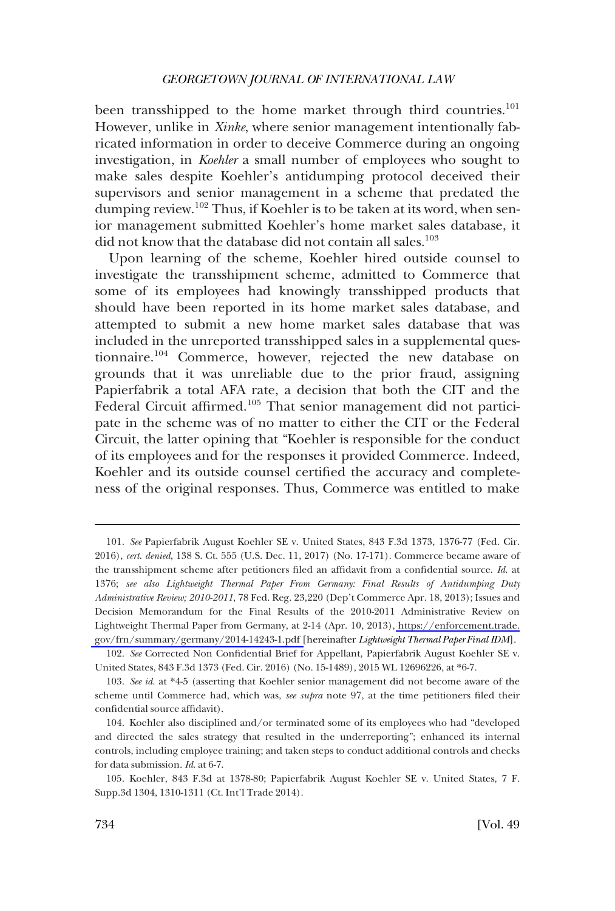been transshipped to the home market through third countries.<sup>101</sup> However, unlike in *Xinke*, where senior management intentionally fabricated information in order to deceive Commerce during an ongoing investigation, in *Koehler* a small number of employees who sought to make sales despite Koehler's antidumping protocol deceived their supervisors and senior management in a scheme that predated the dumping review.<sup>102</sup> Thus, if Koehler is to be taken at its word, when senior management submitted Koehler's home market sales database, it did not know that the database did not contain all sales.<sup>103</sup>

Upon learning of the scheme, Koehler hired outside counsel to investigate the transshipment scheme, admitted to Commerce that some of its employees had knowingly transshipped products that should have been reported in its home market sales database, and attempted to submit a new home market sales database that was included in the unreported transshipped sales in a supplemental questionnaire.104 Commerce, however, rejected the new database on grounds that it was unreliable due to the prior fraud, assigning Papierfabrik a total AFA rate, a decision that both the CIT and the Federal Circuit affirmed.<sup>105</sup> That senior management did not participate in the scheme was of no matter to either the CIT or the Federal Circuit, the latter opining that "Koehler is responsible for the conduct of its employees and for the responses it provided Commerce. Indeed, Koehler and its outside counsel certified the accuracy and completeness of the original responses. Thus, Commerce was entitled to make

*See* Papierfabrik August Koehler SE v. United States, 843 F.3d 1373, 1376-77 (Fed. Cir. 101. 2016), *cert. denied*, 138 S. Ct. 555 (U.S. Dec. 11, 2017) (No. 17-171). Commerce became aware of the transshipment scheme after petitioners filed an affidavit from a confidential source. *Id*. at 1376; *see also Lightweight Thermal Paper From Germany: Final Results of Antidumping Duty Administrative Review; 2010-2011*, 78 Fed. Reg. 23,220 (Dep't Commerce Apr. 18, 2013); Issues and Decision Memorandum for the Final Results of the 2010-2011 Administrative Review on Lightweight Thermal Paper from Germany, at 2-14 (Apr. 10, 2013), [https://enforcement.trade.](https://enforcement.trade.gov/frn/summary/germany/2014-14243-1.pdf)  [gov/frn/summary/germany/2014-14243-1.pdf](https://enforcement.trade.gov/frn/summary/germany/2014-14243-1.pdf) [hereinafter *Lightweight Thermal Paper Final IDM*].

<sup>102.</sup> *See* Corrected Non Confidential Brief for Appellant, Papierfabrik August Koehler SE v. United States, 843 F.3d 1373 (Fed. Cir. 2016) (No. 15-1489), 2015 WL 12696226, at \*6-7.

<sup>103.</sup> *See id*. at \*4-5 (asserting that Koehler senior management did not become aware of the scheme until Commerce had, which was, *see supra* note 97, at the time petitioners filed their confidential source affidavit).

<sup>104.</sup> Koehler also disciplined and/or terminated some of its employees who had "developed and directed the sales strategy that resulted in the underreporting"; enhanced its internal controls, including employee training; and taken steps to conduct additional controls and checks for data submission. *Id*. at 6-7.

<sup>105.</sup> Koehler, 843 F.3d at 1378-80; Papierfabrik August Koehler SE v. United States, 7 F. Supp.3d 1304, 1310-1311 (Ct. Int'l Trade 2014).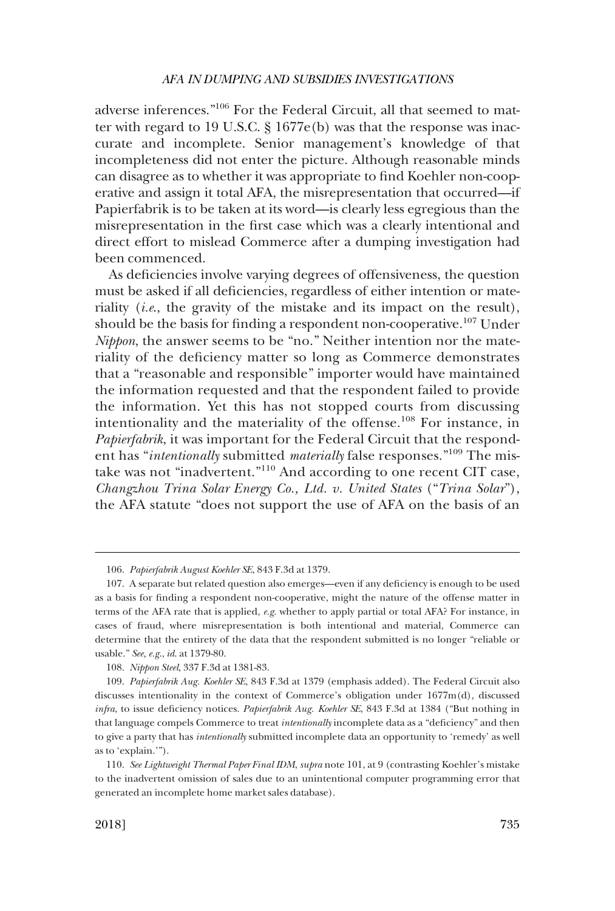adverse inferences."106 For the Federal Circuit, all that seemed to matter with regard to 19 U.S.C. § 1677e(b) was that the response was inaccurate and incomplete. Senior management's knowledge of that incompleteness did not enter the picture. Although reasonable minds can disagree as to whether it was appropriate to find Koehler non-cooperative and assign it total AFA, the misrepresentation that occurred—if Papierfabrik is to be taken at its word—is clearly less egregious than the misrepresentation in the first case which was a clearly intentional and direct effort to mislead Commerce after a dumping investigation had been commenced.

As deficiencies involve varying degrees of offensiveness, the question must be asked if all deficiencies, regardless of either intention or materiality (*i.e*., the gravity of the mistake and its impact on the result), should be the basis for finding a respondent non-cooperative.<sup>107</sup> Under *Nippon*, the answer seems to be "no." Neither intention nor the materiality of the deficiency matter so long as Commerce demonstrates that a "reasonable and responsible" importer would have maintained the information requested and that the respondent failed to provide the information. Yet this has not stopped courts from discussing intentionality and the materiality of the offense.<sup>108</sup> For instance, in *Papierfabrik*, it was important for the Federal Circuit that the respondent has "*intentionally* submitted *materially* false responses."109 The mistake was not "inadvertent."110 And according to one recent CIT case, *Changzhou Trina Solar Energy Co., Ltd. v. United States* ("*Trina Solar*"), the AFA statute "does not support the use of AFA on the basis of an

<sup>106.</sup> *Papierfabrik August Koehler SE*, 843 F.3d at 1379.

<sup>107.</sup> A separate but related question also emerges—even if any deficiency is enough to be used as a basis for finding a respondent non-cooperative, might the nature of the offense matter in terms of the AFA rate that is applied, *e.g*. whether to apply partial or total AFA? For instance, in cases of fraud, where misrepresentation is both intentional and material, Commerce can determine that the entirety of the data that the respondent submitted is no longer "reliable or usable." *See, e.g*., *id*. at 1379-80.

<sup>108.</sup> *Nippon Steel*, 337 F.3d at 1381-83.

<sup>109.</sup> *Papierfabrik Aug. Koehler SE*, 843 F.3d at 1379 (emphasis added). The Federal Circuit also discusses intentionality in the context of Commerce's obligation under 1677m(d), discussed *infra*, to issue deficiency notices. *Papierfabrik Aug. Koehler SE*, 843 F.3d at 1384 ("But nothing in that language compels Commerce to treat *intentionally* incomplete data as a "deficiency" and then to give a party that has *intentionally* submitted incomplete data an opportunity to 'remedy' as well as to 'explain.'").

<sup>110.</sup> *See Lightweight Thermal Paper Final IDM*, *supra* note 101, at 9 (contrasting Koehler's mistake to the inadvertent omission of sales due to an unintentional computer programming error that generated an incomplete home market sales database).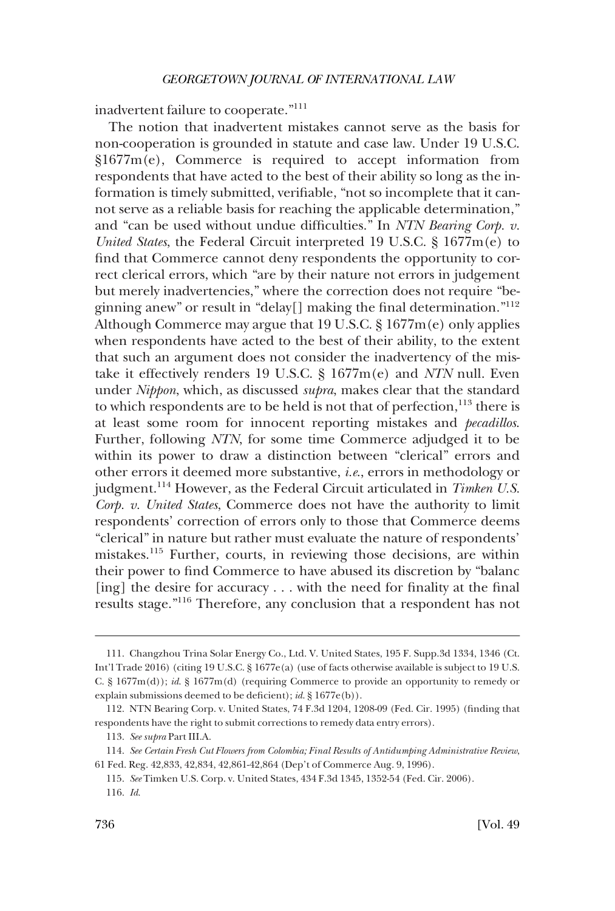inadvertent failure to cooperate."111

The notion that inadvertent mistakes cannot serve as the basis for non-cooperation is grounded in statute and case law. Under 19 U.S.C. §1677m(e), Commerce is required to accept information from respondents that have acted to the best of their ability so long as the information is timely submitted, verifiable, "not so incomplete that it cannot serve as a reliable basis for reaching the applicable determination," and "can be used without undue difficulties." In *NTN Bearing Corp. v. United States*, the Federal Circuit interpreted 19 U.S.C. § 1677m(e) to find that Commerce cannot deny respondents the opportunity to correct clerical errors, which "are by their nature not errors in judgement but merely inadvertencies," where the correction does not require "beginning anew" or result in "delay[] making the final determination."<sup>112</sup> Although Commerce may argue that 19 U.S.C. § 1677m(e) only applies when respondents have acted to the best of their ability, to the extent that such an argument does not consider the inadvertency of the mistake it effectively renders 19 U.S.C. § 1677m(e) and *NTN* null. Even under *Nippon*, which, as discussed *supra*, makes clear that the standard to which respondents are to be held is not that of perfection,<sup>113</sup> there is at least some room for innocent reporting mistakes and *pecadillos*. Further, following *NTN*, for some time Commerce adjudged it to be within its power to draw a distinction between "clerical" errors and other errors it deemed more substantive, *i.e*., errors in methodology or judgment.114 However, as the Federal Circuit articulated in *Timken U.S. Corp. v. United States*, Commerce does not have the authority to limit respondents' correction of errors only to those that Commerce deems "clerical" in nature but rather must evaluate the nature of respondents' mistakes.115 Further, courts, in reviewing those decisions, are within their power to find Commerce to have abused its discretion by "balanc [ing] the desire for accuracy . . . with the need for finality at the final results stage."116 Therefore, any conclusion that a respondent has not

<sup>111.</sup> Changzhou Trina Solar Energy Co., Ltd. V. United States, 195 F. Supp.3d 1334, 1346 (Ct. Int'l Trade 2016) (citing 19 U.S.C. § 1677e(a) (use of facts otherwise available is subject to 19 U.S. C. § 1677m(d)); *id*. § 1677m(d) (requiring Commerce to provide an opportunity to remedy or explain submissions deemed to be deficient); *id*. § 1677e(b)).

<sup>112.</sup> NTN Bearing Corp. v. United States, 74 F.3d 1204, 1208-09 (Fed. Cir. 1995) (finding that respondents have the right to submit corrections to remedy data entry errors).

<sup>113.</sup> *See supra* Part III.A.

<sup>114.</sup> *See Certain Fresh Cut Flowers from Colombia; Final Results of Antidumping Administrative Review*, 61 Fed. Reg. 42,833, 42,834, 42,861-42,864 (Dep't of Commerce Aug. 9, 1996).

<sup>115.</sup> *See* Timken U.S. Corp. v. United States, 434 F.3d 1345, 1352-54 (Fed. Cir. 2006).

<sup>116.</sup> *Id*.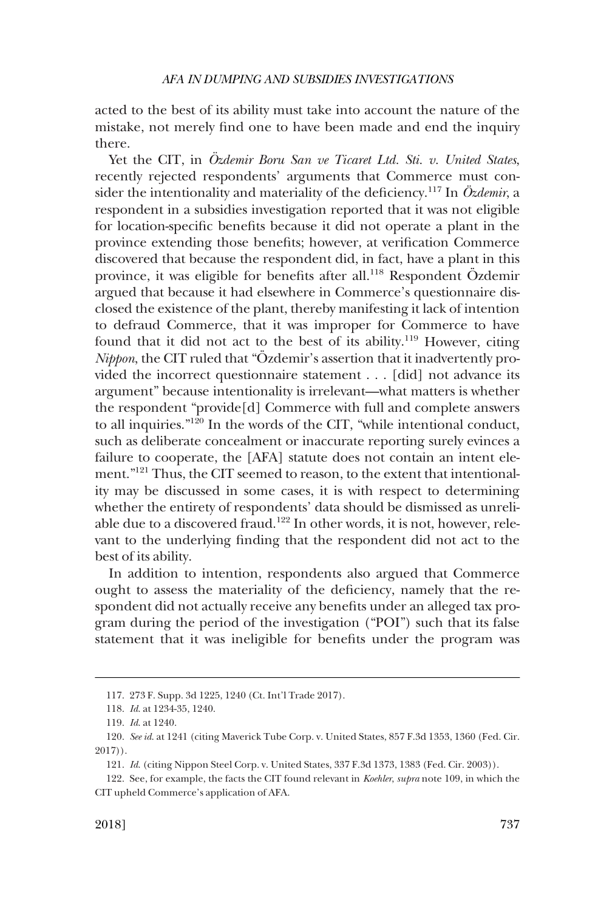acted to the best of its ability must take into account the nature of the mistake, not merely find one to have been made and end the inquiry there.

Yet the CIT, in Özdemir Boru San ve Ticaret Ltd. Sti. v. United States, recently rejected respondents' arguments that Commerce must consider the intentionality and materiality of the deficiency.<sup>117</sup> In  $\ddot{O}zdemir$ , a respondent in a subsidies investigation reported that it was not eligible for location-specific benefits because it did not operate a plant in the province extending those benefits; however, at verification Commerce discovered that because the respondent did, in fact, have a plant in this province, it was eligible for benefits after all.<sup>118</sup> Respondent Özdemir argued that because it had elsewhere in Commerce's questionnaire disclosed the existence of the plant, thereby manifesting it lack of intention to defraud Commerce, that it was improper for Commerce to have found that it did not act to the best of its ability.<sup>119</sup> However, citing *Nippon*, the CIT ruled that "Özdemir's assertion that it inadvertently provided the incorrect questionnaire statement . . . [did] not advance its argument" because intentionality is irrelevant—what matters is whether the respondent "provide[d] Commerce with full and complete answers to all inquiries." $120$  In the words of the CIT, "while intentional conduct, such as deliberate concealment or inaccurate reporting surely evinces a failure to cooperate, the [AFA] statute does not contain an intent element." 121 Thus, the CIT seemed to reason, to the extent that intentionality may be discussed in some cases, it is with respect to determining whether the entirety of respondents' data should be dismissed as unreliable due to a discovered fraud.<sup>122</sup> In other words, it is not, however, relevant to the underlying finding that the respondent did not act to the best of its ability.

In addition to intention, respondents also argued that Commerce ought to assess the materiality of the deficiency, namely that the respondent did not actually receive any benefits under an alleged tax program during the period of the investigation ("POI") such that its false statement that it was ineligible for benefits under the program was

<sup>117. 273</sup> F. Supp. 3d 1225, 1240 (Ct. Int'l Trade 2017).

<sup>118.</sup> *Id*. at 1234-35, 1240.

<sup>119.</sup> *Id*. at 1240.

<sup>120.</sup> *See id*. at 1241 (citing Maverick Tube Corp. v. United States, 857 F.3d 1353, 1360 (Fed. Cir. 2017)).

<sup>121.</sup> *Id*. (citing Nippon Steel Corp. v. United States, 337 F.3d 1373, 1383 (Fed. Cir. 2003)).

<sup>122.</sup> See, for example, the facts the CIT found relevant in *Koehler*, *supra* note 109, in which the CIT upheld Commerce's application of AFA.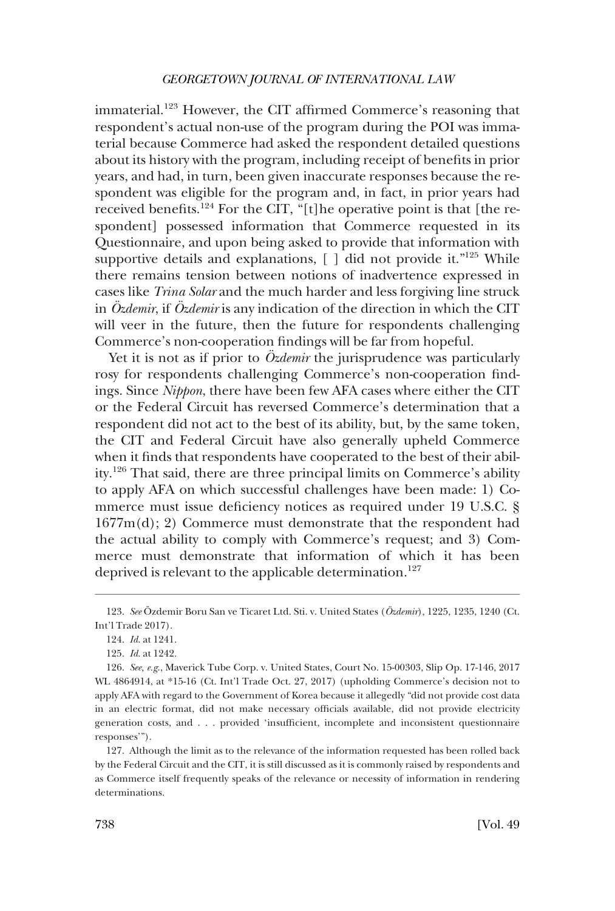immaterial.<sup>123</sup> However, the CIT affirmed Commerce's reasoning that respondent's actual non-use of the program during the POI was immaterial because Commerce had asked the respondent detailed questions about its history with the program, including receipt of benefits in prior years, and had, in turn, been given inaccurate responses because the respondent was eligible for the program and, in fact, in prior years had received benefits.<sup>124</sup> For the CIT, "[t]he operative point is that [the respondent] possessed information that Commerce requested in its Questionnaire, and upon being asked to provide that information with supportive details and explanations,  $\lceil \cdot \rceil$  did not provide it."<sup>125</sup> While there remains tension between notions of inadvertence expressed in cases like *Trina Solar* and the much harder and less forgiving line struck in *Ozdemir*, if *Ozdemir* is any indication of the direction in which the CIT will veer in the future, then the future for respondents challenging Commerce's non-cooperation findings will be far from hopeful.

Yet it is not as if prior to *Ozdemir* the jurisprudence was particularly rosy for respondents challenging Commerce's non-cooperation findings. Since *Nippon*, there have been few AFA cases where either the CIT or the Federal Circuit has reversed Commerce's determination that a respondent did not act to the best of its ability, but, by the same token, the CIT and Federal Circuit have also generally upheld Commerce when it finds that respondents have cooperated to the best of their ability. 126 That said, there are three principal limits on Commerce's ability to apply AFA on which successful challenges have been made: 1) Commerce must issue deficiency notices as required under 19 U.S.C. § 1677m(d); 2) Commerce must demonstrate that the respondent had the actual ability to comply with Commerce's request; and 3) Commerce must demonstrate that information of which it has been deprived is relevant to the applicable determination.<sup>127</sup>

<sup>123.</sup> *See* Özdemir Boru San ve Ticaret Ltd. Sti. v. United States (Özdemir), 1225, 1235, 1240 (Ct. Int'l Trade 2017).

<sup>124.</sup> *Id*. at 1241.

<sup>125.</sup> *Id*. at 1242.

<sup>126.</sup> *See, e.g*., Maverick Tube Corp. v. United States, Court No. 15-00303, Slip Op. 17-146, 2017 WL 4864914, at \*15-16 (Ct. Int'l Trade Oct. 27, 2017) (upholding Commerce's decision not to apply AFA with regard to the Government of Korea because it allegedly "did not provide cost data in an electric format, did not make necessary officials available, did not provide electricity generation costs, and . . . provided 'insufficient, incomplete and inconsistent questionnaire responses'").

<sup>127.</sup> Although the limit as to the relevance of the information requested has been rolled back by the Federal Circuit and the CIT, it is still discussed as it is commonly raised by respondents and as Commerce itself frequently speaks of the relevance or necessity of information in rendering determinations.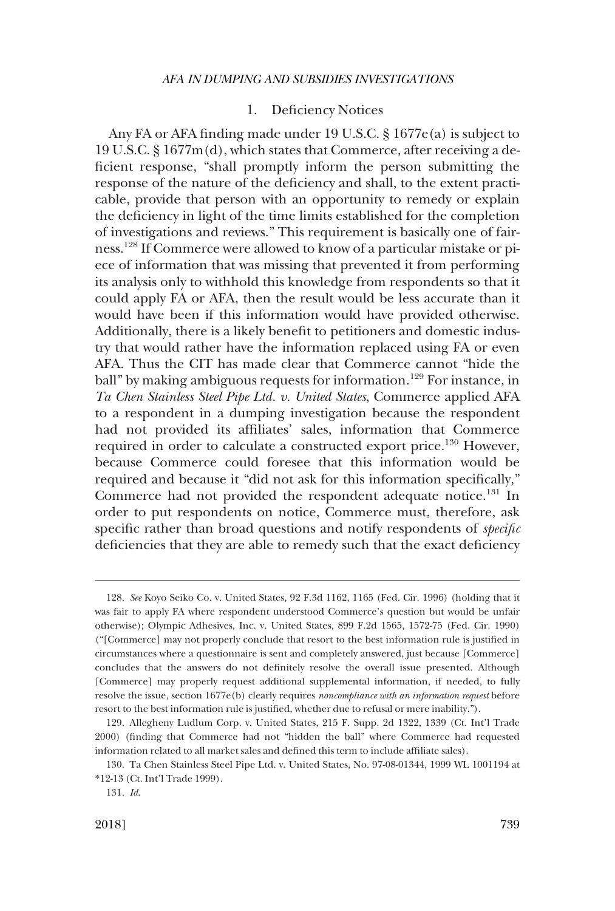## 1. Deficiency Notices

<span id="page-30-0"></span>Any FA or AFA finding made under 19 U.S.C. § 1677e(a) is subject to 19 U.S.C. § 1677m(d), which states that Commerce, after receiving a deficient response, "shall promptly inform the person submitting the response of the nature of the deficiency and shall, to the extent practicable, provide that person with an opportunity to remedy or explain the deficiency in light of the time limits established for the completion of investigations and reviews." This requirement is basically one of fairness.128 If Commerce were allowed to know of a particular mistake or piece of information that was missing that prevented it from performing its analysis only to withhold this knowledge from respondents so that it could apply FA or AFA, then the result would be less accurate than it would have been if this information would have provided otherwise. Additionally, there is a likely benefit to petitioners and domestic industry that would rather have the information replaced using FA or even AFA. Thus the CIT has made clear that Commerce cannot "hide the ball" by making ambiguous requests for information.<sup>129</sup> For instance, in *Ta Chen Stainless Steel Pipe Ltd. v. United States*, Commerce applied AFA to a respondent in a dumping investigation because the respondent had not provided its affiliates' sales, information that Commerce required in order to calculate a constructed export price.<sup>130</sup> However, because Commerce could foresee that this information would be required and because it "did not ask for this information specifically," Commerce had not provided the respondent adequate notice.<sup>131</sup> In order to put respondents on notice, Commerce must, therefore, ask specific rather than broad questions and notify respondents of *specific*  deficiencies that they are able to remedy such that the exact deficiency

<sup>128.</sup> *See* Koyo Seiko Co. v. United States, 92 F.3d 1162, 1165 (Fed. Cir. 1996) (holding that it was fair to apply FA where respondent understood Commerce's question but would be unfair otherwise); Olympic Adhesives, Inc. v. United States, 899 F.2d 1565, 1572-75 (Fed. Cir. 1990) ("[Commerce] may not properly conclude that resort to the best information rule is justified in circumstances where a questionnaire is sent and completely answered, just because [Commerce] concludes that the answers do not definitely resolve the overall issue presented. Although [Commerce] may properly request additional supplemental information, if needed, to fully resolve the issue, section 1677e(b) clearly requires *noncompliance with an information request* before resort to the best information rule is justified, whether due to refusal or mere inability.").

<sup>129.</sup> Allegheny Ludlum Corp. v. United States, 215 F. Supp. 2d 1322, 1339 (Ct. Int'l Trade 2000) (finding that Commerce had not "hidden the ball" where Commerce had requested information related to all market sales and defined this term to include affiliate sales).

<sup>130.</sup> Ta Chen Stainless Steel Pipe Ltd. v. United States, No. 97-08-01344, 1999 WL 1001194 at \*12-13 (Ct. Int'l Trade 1999).

<sup>131.</sup> *Id*.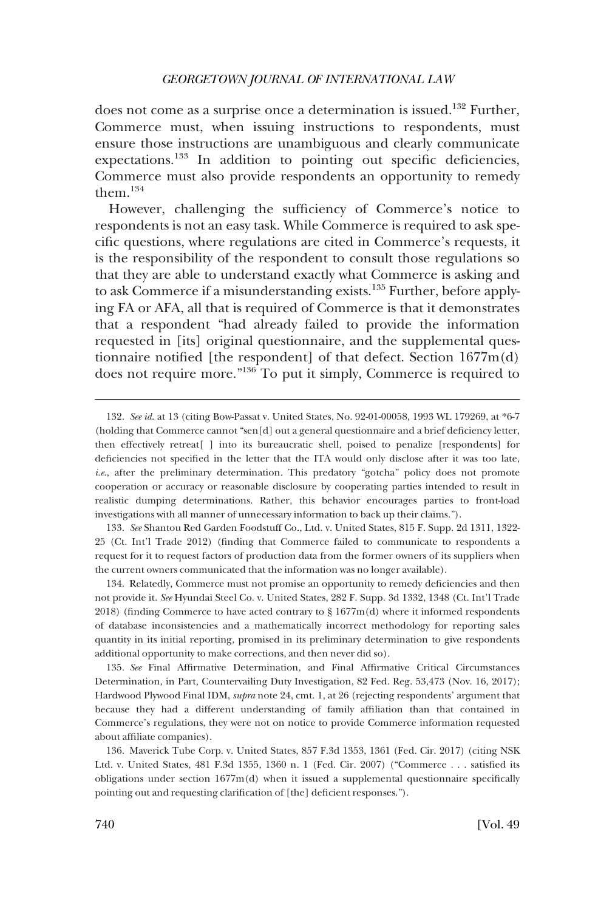does not come as a surprise once a determination is issued.<sup>132</sup> Further, Commerce must, when issuing instructions to respondents, must ensure those instructions are unambiguous and clearly communicate expectations.<sup>133</sup> In addition to pointing out specific deficiencies, Commerce must also provide respondents an opportunity to remedy them.134

However, challenging the sufficiency of Commerce's notice to respondents is not an easy task. While Commerce is required to ask specific questions, where regulations are cited in Commerce's requests, it is the responsibility of the respondent to consult those regulations so that they are able to understand exactly what Commerce is asking and to ask Commerce if a misunderstanding exists.135 Further, before applying FA or AFA, all that is required of Commerce is that it demonstrates that a respondent "had already failed to provide the information requested in [its] original questionnaire, and the supplemental questionnaire notified [the respondent] of that defect. Section 1677m(d) does not require more."<sup>136</sup> To put it simply, Commerce is required to

133. *See* Shantou Red Garden Foodstuff Co., Ltd. v. United States, 815 F. Supp. 2d 1311, 1322- 25 (Ct. Int'l Trade 2012) (finding that Commerce failed to communicate to respondents a request for it to request factors of production data from the former owners of its suppliers when the current owners communicated that the information was no longer available).

134. Relatedly, Commerce must not promise an opportunity to remedy deficiencies and then not provide it. *See* Hyundai Steel Co. v. United States, 282 F. Supp. 3d 1332, 1348 (Ct. Int'l Trade 2018) (finding Commerce to have acted contrary to § 1677m(d) where it informed respondents of database inconsistencies and a mathematically incorrect methodology for reporting sales quantity in its initial reporting, promised in its preliminary determination to give respondents additional opportunity to make corrections, and then never did so).

135. *See* Final Affirmative Determination, and Final Affirmative Critical Circumstances Determination, in Part, Countervailing Duty Investigation, 82 Fed. Reg. 53,473 (Nov. 16, 2017); Hardwood Plywood Final IDM, *supra* note 24, cmt. 1, at 26 (rejecting respondents' argument that because they had a different understanding of family affiliation than that contained in Commerce's regulations, they were not on notice to provide Commerce information requested about affiliate companies).

136. Maverick Tube Corp. v. United States, 857 F.3d 1353, 1361 (Fed. Cir. 2017) (citing NSK Ltd. v. United States, 481 F.3d 1355, 1360 n. 1 (Fed. Cir. 2007) ("Commerce . . . satisfied its obligations under section 1677m(d) when it issued a supplemental questionnaire specifically pointing out and requesting clarification of [the] deficient responses.").

<sup>132.</sup> *See id*. at 13 (citing Bow-Passat v. United States, No. 92-01-00058, 1993 WL 179269, at \*6-7 (holding that Commerce cannot "sen[d] out a general questionnaire and a brief deficiency letter, then effectively retreat[ ] into its bureaucratic shell, poised to penalize [respondents] for deficiencies not specified in the letter that the ITA would only disclose after it was too late, *i.e.*, after the preliminary determination. This predatory "gotcha" policy does not promote cooperation or accuracy or reasonable disclosure by cooperating parties intended to result in realistic dumping determinations. Rather, this behavior encourages parties to front-load investigations with all manner of unnecessary information to back up their claims.").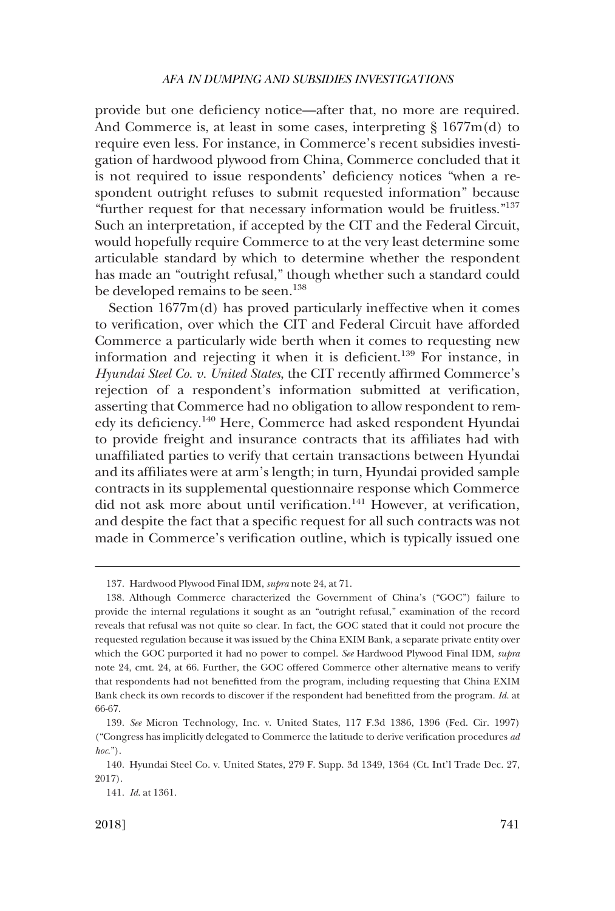provide but one deficiency notice—after that, no more are required. And Commerce is, at least in some cases, interpreting § 1677m(d) to require even less. For instance, in Commerce's recent subsidies investigation of hardwood plywood from China, Commerce concluded that it is not required to issue respondents' deficiency notices "when a respondent outright refuses to submit requested information" because "further request for that necessary information would be fruitless."<sup>137</sup> Such an interpretation, if accepted by the CIT and the Federal Circuit, would hopefully require Commerce to at the very least determine some articulable standard by which to determine whether the respondent has made an "outright refusal," though whether such a standard could be developed remains to be seen.<sup>138</sup>

Section 1677m(d) has proved particularly ineffective when it comes to verification, over which the CIT and Federal Circuit have afforded Commerce a particularly wide berth when it comes to requesting new information and rejecting it when it is deficient.<sup>139</sup> For instance, in *Hyundai Steel Co. v. United States*, the CIT recently affirmed Commerce's rejection of a respondent's information submitted at verification, asserting that Commerce had no obligation to allow respondent to remedy its deficiency.140 Here, Commerce had asked respondent Hyundai to provide freight and insurance contracts that its affiliates had with unaffiliated parties to verify that certain transactions between Hyundai and its affiliates were at arm's length; in turn, Hyundai provided sample contracts in its supplemental questionnaire response which Commerce did not ask more about until verification.<sup>141</sup> However, at verification, and despite the fact that a specific request for all such contracts was not made in Commerce's verification outline, which is typically issued one

<sup>137.</sup> Hardwood Plywood Final IDM, *supra* note 24, at 71.

<sup>138.</sup> Although Commerce characterized the Government of China's ("GOC") failure to provide the internal regulations it sought as an "outright refusal," examination of the record reveals that refusal was not quite so clear. In fact, the GOC stated that it could not procure the requested regulation because it was issued by the China EXIM Bank, a separate private entity over which the GOC purported it had no power to compel. *See* Hardwood Plywood Final IDM, *supra*  note 24, cmt. 24, at 66. Further, the GOC offered Commerce other alternative means to verify that respondents had not benefitted from the program, including requesting that China EXIM Bank check its own records to discover if the respondent had benefitted from the program. *Id*. at 66-67.

<sup>139.</sup> *See* Micron Technology, Inc. v. United States, 117 F.3d 1386, 1396 (Fed. Cir. 1997) ("Congress has implicitly delegated to Commerce the latitude to derive verification procedures *ad hoc*.").

<sup>140.</sup> Hyundai Steel Co. v. United States, 279 F. Supp. 3d 1349, 1364 (Ct. Int'l Trade Dec. 27, 2017).

<sup>141.</sup> *Id*. at 1361.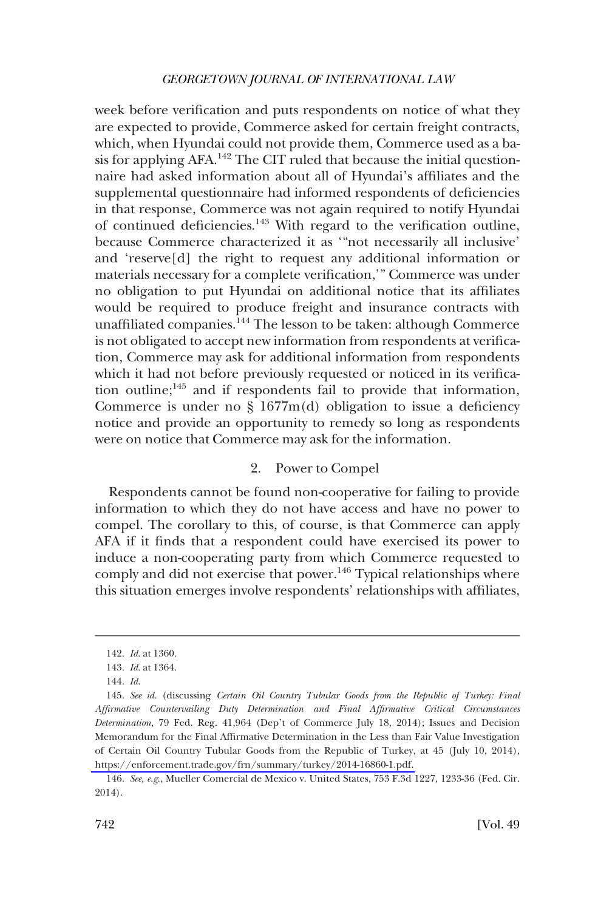<span id="page-33-0"></span>week before verification and puts respondents on notice of what they are expected to provide, Commerce asked for certain freight contracts, which, when Hyundai could not provide them, Commerce used as a basis for applying  $AFA$ <sup>142</sup>. The CIT ruled that because the initial questionnaire had asked information about all of Hyundai's affiliates and the supplemental questionnaire had informed respondents of deficiencies in that response, Commerce was not again required to notify Hyundai of continued deficiencies.143 With regard to the verification outline, because Commerce characterized it as '"not necessarily all inclusive' and 'reserve[d] the right to request any additional information or materials necessary for a complete verification,'" Commerce was under no obligation to put Hyundai on additional notice that its affiliates would be required to produce freight and insurance contracts with unaffiliated companies.144 The lesson to be taken: although Commerce is not obligated to accept new information from respondents at verification, Commerce may ask for additional information from respondents which it had not before previously requested or noticed in its verification outline;<sup>145</sup> and if respondents fail to provide that information, Commerce is under no  $\S$  1677m(d) obligation to issue a deficiency notice and provide an opportunity to remedy so long as respondents were on notice that Commerce may ask for the information.

#### 2. Power to Compel

Respondents cannot be found non-cooperative for failing to provide information to which they do not have access and have no power to compel. The corollary to this, of course, is that Commerce can apply AFA if it finds that a respondent could have exercised its power to induce a non-cooperating party from which Commerce requested to comply and did not exercise that power.<sup>146</sup> Typical relationships where this situation emerges involve respondents' relationships with affiliates,

<sup>142.</sup> *Id*. at 1360.

<sup>143.</sup> *Id*. at 1364.

<sup>144.</sup> *Id*.

<sup>145.</sup> See id. (discussing *Certain Oil Country Tubular Goods from the Republic of Turkey: Final Affirmative Countervailing Duty Determination and Final Affirmative Critical Circumstances Determination*, 79 Fed. Reg. 41,964 (Dep't of Commerce July 18, 2014); Issues and Decision Memorandum for the Final Affirmative Determination in the Less than Fair Value Investigation of Certain Oil Country Tubular Goods from the Republic of Turkey, at 45 (July 10, 2014), [https://enforcement.trade.gov/frn/summary/turkey/2014-16860-1.pdf.](https://enforcement.trade.gov/frn/summary/turkey/2014-16860-1.pdf) 

<sup>146.</sup> *See, e.g*., Mueller Comercial de Mexico v. United States, 753 F.3d 1227, 1233-36 (Fed. Cir. 2014).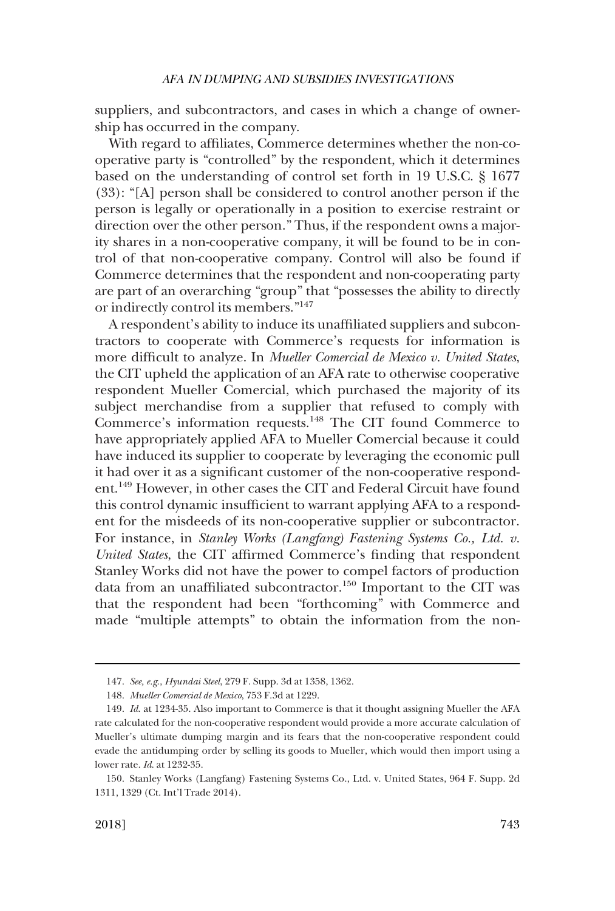suppliers, and subcontractors, and cases in which a change of ownership has occurred in the company.

With regard to affiliates, Commerce determines whether the non-cooperative party is "controlled" by the respondent, which it determines based on the understanding of control set forth in 19 U.S.C. § 1677 (33): "[A] person shall be considered to control another person if the person is legally or operationally in a position to exercise restraint or direction over the other person." Thus, if the respondent owns a majority shares in a non-cooperative company, it will be found to be in control of that non-cooperative company. Control will also be found if Commerce determines that the respondent and non-cooperating party are part of an overarching "group" that "possesses the ability to directly or indirectly control its members."<sup>147</sup>

A respondent's ability to induce its unaffiliated suppliers and subcontractors to cooperate with Commerce's requests for information is more difficult to analyze. In *Mueller Comercial de Mexico v. United States*, the CIT upheld the application of an AFA rate to otherwise cooperative respondent Mueller Comercial, which purchased the majority of its subject merchandise from a supplier that refused to comply with Commerce's information requests.<sup>148</sup> The CIT found Commerce to have appropriately applied AFA to Mueller Comercial because it could have induced its supplier to cooperate by leveraging the economic pull it had over it as a significant customer of the non-cooperative respondent.149 However, in other cases the CIT and Federal Circuit have found this control dynamic insufficient to warrant applying AFA to a respondent for the misdeeds of its non-cooperative supplier or subcontractor. For instance, in *Stanley Works (Langfang) Fastening Systems Co., Ltd. v. United States*, the CIT affirmed Commerce's finding that respondent Stanley Works did not have the power to compel factors of production data from an unaffiliated subcontractor.<sup>150</sup> Important to the CIT was that the respondent had been "forthcoming" with Commerce and made "multiple attempts" to obtain the information from the non-

<sup>147.</sup> *See, e.g*., *Hyundai Steel*, 279 F. Supp. 3d at 1358, 1362.

<sup>148.</sup> *Mueller Comercial de Mexico*, 753 F.3d at 1229.

<sup>149.</sup> *Id*. at 1234-35. Also important to Commerce is that it thought assigning Mueller the AFA rate calculated for the non-cooperative respondent would provide a more accurate calculation of Mueller's ultimate dumping margin and its fears that the non-cooperative respondent could evade the antidumping order by selling its goods to Mueller, which would then import using a lower rate. *Id*. at 1232-35.

<sup>150.</sup> Stanley Works (Langfang) Fastening Systems Co., Ltd. v. United States, 964 F. Supp. 2d 1311, 1329 (Ct. Int'l Trade 2014).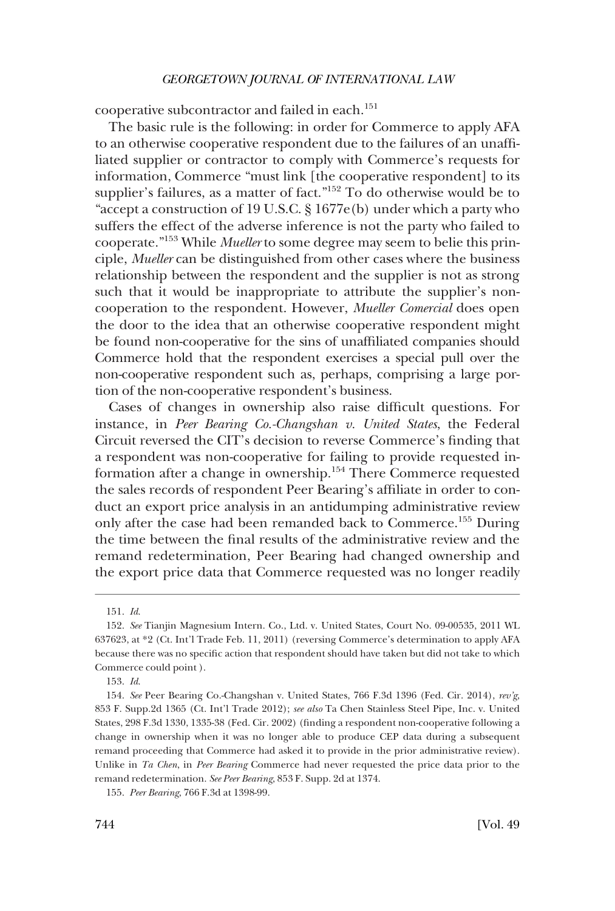cooperative subcontractor and failed in each.<sup>151</sup>

The basic rule is the following: in order for Commerce to apply AFA to an otherwise cooperative respondent due to the failures of an unaffiliated supplier or contractor to comply with Commerce's requests for information, Commerce "must link [the cooperative respondent] to its supplier's failures, as a matter of fact."<sup>152</sup> To do otherwise would be to "accept a construction of 19 U.S.C. § 1677e(b) under which a party who suffers the effect of the adverse inference is not the party who failed to cooperate."153 While *Mueller* to some degree may seem to belie this principle, *Mueller* can be distinguished from other cases where the business relationship between the respondent and the supplier is not as strong such that it would be inappropriate to attribute the supplier's noncooperation to the respondent. However, *Mueller Comercial* does open the door to the idea that an otherwise cooperative respondent might be found non-cooperative for the sins of unaffiliated companies should Commerce hold that the respondent exercises a special pull over the non-cooperative respondent such as, perhaps, comprising a large portion of the non-cooperative respondent's business.

Cases of changes in ownership also raise difficult questions. For instance, in *Peer Bearing Co.-Changshan v. United States*, the Federal Circuit reversed the CIT's decision to reverse Commerce's finding that a respondent was non-cooperative for failing to provide requested information after a change in ownership.154 There Commerce requested the sales records of respondent Peer Bearing's affiliate in order to conduct an export price analysis in an antidumping administrative review only after the case had been remanded back to Commerce.155 During the time between the final results of the administrative review and the remand redetermination, Peer Bearing had changed ownership and the export price data that Commerce requested was no longer readily

<sup>151.</sup> *Id*.

<sup>152.</sup> *See* Tianjin Magnesium Intern. Co., Ltd. v. United States, Court No. 09-00535, 2011 WL 637623, at \*2 (Ct. Int'l Trade Feb. 11, 2011) (reversing Commerce's determination to apply AFA because there was no specific action that respondent should have taken but did not take to which Commerce could point ).

<sup>153.</sup> *Id*.

<sup>154.</sup> *See* Peer Bearing Co.-Changshan v. United States, 766 F.3d 1396 (Fed. Cir. 2014), *rev'g*, 853 F. Supp.2d 1365 (Ct. Int'l Trade 2012); *see also* Ta Chen Stainless Steel Pipe, Inc. v. United States, 298 F.3d 1330, 1335-38 (Fed. Cir. 2002) (finding a respondent non-cooperative following a change in ownership when it was no longer able to produce CEP data during a subsequent remand proceeding that Commerce had asked it to provide in the prior administrative review). Unlike in *Ta Chen*, in *Peer Bearing* Commerce had never requested the price data prior to the remand redetermination. *See Peer Bearing*, 853 F. Supp. 2d at 1374.

<sup>155.</sup> *Peer Bearing*, 766 F.3d at 1398-99.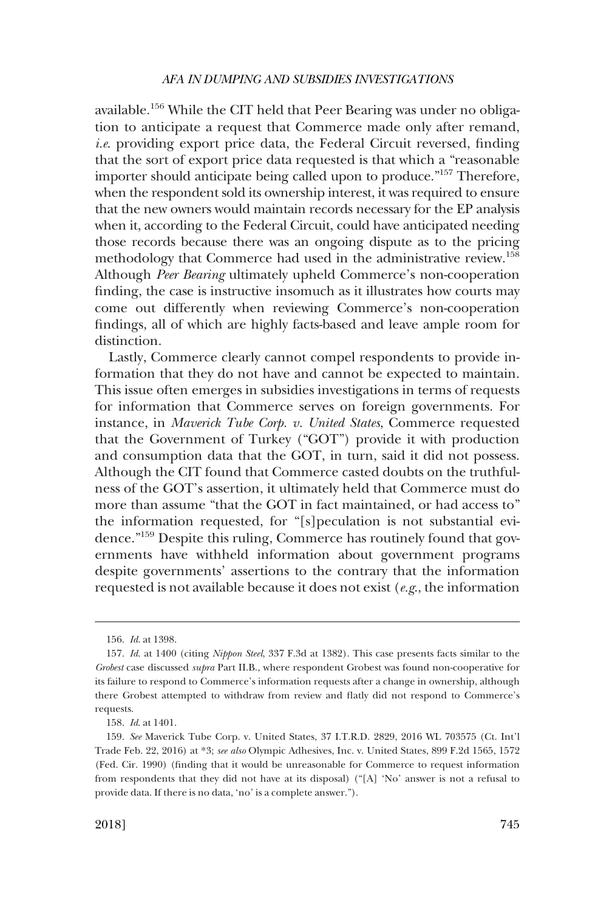available.156 While the CIT held that Peer Bearing was under no obligation to anticipate a request that Commerce made only after remand, *i.e*. providing export price data, the Federal Circuit reversed, finding that the sort of export price data requested is that which a "reasonable importer should anticipate being called upon to produce."157 Therefore, when the respondent sold its ownership interest, it was required to ensure that the new owners would maintain records necessary for the EP analysis when it, according to the Federal Circuit, could have anticipated needing those records because there was an ongoing dispute as to the pricing methodology that Commerce had used in the administrative review.158 Although *Peer Bearing* ultimately upheld Commerce's non-cooperation finding, the case is instructive insomuch as it illustrates how courts may come out differently when reviewing Commerce's non-cooperation findings, all of which are highly facts-based and leave ample room for distinction.

Lastly, Commerce clearly cannot compel respondents to provide information that they do not have and cannot be expected to maintain. This issue often emerges in subsidies investigations in terms of requests for information that Commerce serves on foreign governments. For instance, in *Maverick Tube Corp. v. United States*, Commerce requested that the Government of Turkey ("GOT") provide it with production and consumption data that the GOT, in turn, said it did not possess. Although the CIT found that Commerce casted doubts on the truthfulness of the GOT's assertion, it ultimately held that Commerce must do more than assume "that the GOT in fact maintained, or had access to" the information requested, for "[s]peculation is not substantial evidence."159 Despite this ruling, Commerce has routinely found that governments have withheld information about government programs despite governments' assertions to the contrary that the information requested is not available because it does not exist (*e.g*., the information

<sup>156.</sup> *Id*. at 1398.

<sup>157.</sup> *Id*. at 1400 (citing *Nippon Steel*, 337 F.3d at 1382). This case presents facts similar to the *Grobest* case discussed *supra* Part II.B., where respondent Grobest was found non-cooperative for its failure to respond to Commerce's information requests after a change in ownership, although there Grobest attempted to withdraw from review and flatly did not respond to Commerce's requests.

<sup>158.</sup> *Id*. at 1401.

<sup>159.</sup> *See* Maverick Tube Corp. v. United States, 37 I.T.R.D. 2829, 2016 WL 703575 (Ct. Int'l Trade Feb. 22, 2016) at \*3; *see also* Olympic Adhesives, Inc. v. United States, 899 F.2d 1565, 1572 (Fed. Cir. 1990) (finding that it would be unreasonable for Commerce to request information from respondents that they did not have at its disposal) ("[A] 'No' answer is not a refusal to provide data. If there is no data, 'no' is a complete answer.").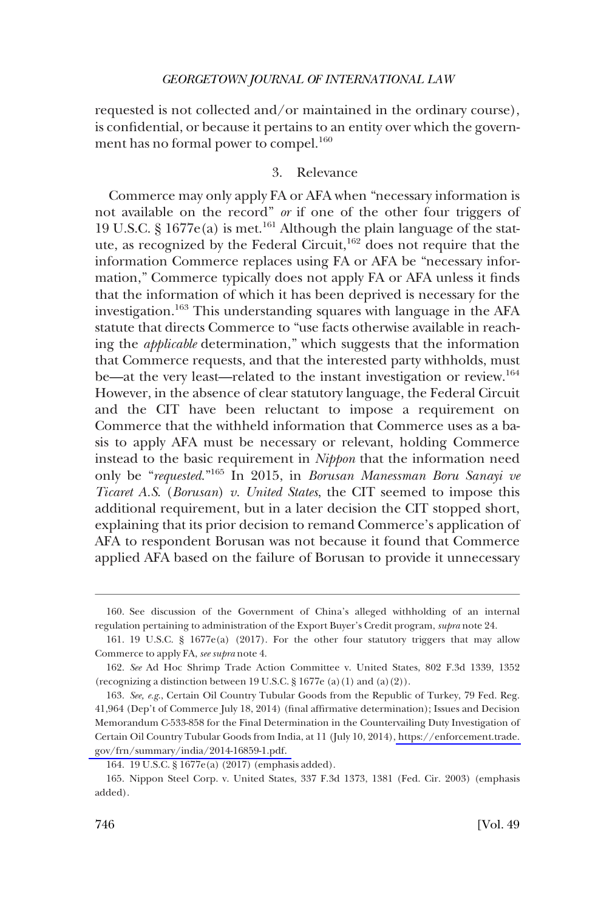requested is not collected and/or maintained in the ordinary course), is confidential, or because it pertains to an entity over which the government has no formal power to compel.<sup>160</sup>

# 3. Relevance

Commerce may only apply FA or AFA when "necessary information is not available on the record" *or* if one of the other four triggers of 19 U.S.C. § 1677e(a) is met.<sup>161</sup> Although the plain language of the statute, as recognized by the Federal Circuit,  $162$  does not require that the information Commerce replaces using FA or AFA be "necessary information," Commerce typically does not apply FA or AFA unless it finds that the information of which it has been deprived is necessary for the investigation.<sup>163</sup> This understanding squares with language in the AFA statute that directs Commerce to "use facts otherwise available in reaching the *applicable* determination," which suggests that the information that Commerce requests, and that the interested party withholds, must be—at the very least—related to the instant investigation or review.<sup>164</sup> However, in the absence of clear statutory language, the Federal Circuit and the CIT have been reluctant to impose a requirement on Commerce that the withheld information that Commerce uses as a basis to apply AFA must be necessary or relevant, holding Commerce instead to the basic requirement in *Nippon* that the information need only be "*requested*."165 In 2015, in *Borusan Manessman Boru Sanayi ve Ticaret A.S*. (*Borusan*) *v. United States*, the CIT seemed to impose this additional requirement, but in a later decision the CIT stopped short, explaining that its prior decision to remand Commerce's application of AFA to respondent Borusan was not because it found that Commerce applied AFA based on the failure of Borusan to provide it unnecessary

<sup>160.</sup> See discussion of the Government of China's alleged withholding of an internal regulation pertaining to administration of the Export Buyer's Credit program, *supra* note 24.

<sup>161. 19</sup> U.S.C. § 1677e(a) (2017). For the other four statutory triggers that may allow Commerce to apply FA, *see supra* note 4.

<sup>162.</sup> *See* Ad Hoc Shrimp Trade Action Committee v. United States, 802 F.3d 1339, 1352 (recognizing a distinction between 19 U.S.C.  $\S 1677e$  (a)(1) and (a)(2)).

<sup>163.</sup> See, e.g., Certain Oil Country Tubular Goods from the Republic of Turkey, 79 Fed. Reg. 41,964 (Dep't of Commerce July 18, 2014) (final affirmative determination); Issues and Decision Memorandum C-533-858 for the Final Determination in the Countervailing Duty Investigation of Certain Oil Country Tubular Goods from India, at 11 (July 10, 2014), [https://enforcement.trade.](https://enforcement.trade.gov/frn/summary/india/2014-16859-1.pdf)  [gov/frn/summary/india/2014-16859-1.pdf.](https://enforcement.trade.gov/frn/summary/india/2014-16859-1.pdf) 

<sup>164. 19</sup> U.S.C. § 1677e(a) (2017) (emphasis added).

<sup>165.</sup> Nippon Steel Corp. v. United States, 337 F.3d 1373, 1381 (Fed. Cir. 2003) (emphasis added).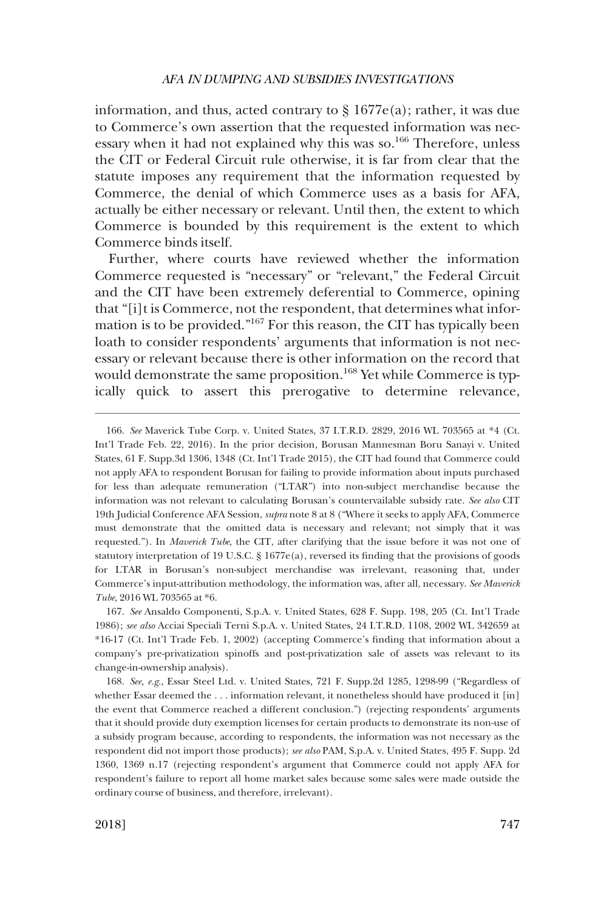information, and thus, acted contrary to  $\S 1677e(a)$ ; rather, it was due to Commerce's own assertion that the requested information was necessary when it had not explained why this was so.<sup>166</sup> Therefore, unless the CIT or Federal Circuit rule otherwise, it is far from clear that the statute imposes any requirement that the information requested by Commerce, the denial of which Commerce uses as a basis for AFA, actually be either necessary or relevant. Until then, the extent to which Commerce is bounded by this requirement is the extent to which Commerce binds itself.

Further, where courts have reviewed whether the information Commerce requested is "necessary" or "relevant," the Federal Circuit and the CIT have been extremely deferential to Commerce, opining that "[i]t is Commerce, not the respondent, that determines what information is to be provided."167 For this reason, the CIT has typically been loath to consider respondents' arguments that information is not necessary or relevant because there is other information on the record that would demonstrate the same proposition.<sup>168</sup> Yet while Commerce is typically quick to assert this prerogative to determine relevance,

168. *See, e.g*., Essar Steel Ltd. v. United States, 721 F. Supp.2d 1285, 1298-99 ("Regardless of whether Essar deemed the . . . information relevant, it nonetheless should have produced it [in] the event that Commerce reached a different conclusion.") (rejecting respondents' arguments that it should provide duty exemption licenses for certain products to demonstrate its non-use of a subsidy program because, according to respondents, the information was not necessary as the respondent did not import those products); *see also* PAM, S.p.A. v. United States, 495 F. Supp. 2d 1360, 1369 n.17 (rejecting respondent's argument that Commerce could not apply AFA for respondent's failure to report all home market sales because some sales were made outside the ordinary course of business, and therefore, irrelevant).

<sup>166.</sup> *See* Maverick Tube Corp. v. United States, 37 I.T.R.D. 2829, 2016 WL 703565 at \*4 (Ct. Int'l Trade Feb. 22, 2016). In the prior decision, Borusan Mannesman Boru Sanayi v. United States, 61 F. Supp.3d 1306, 1348 (Ct. Int'l Trade 2015), the CIT had found that Commerce could not apply AFA to respondent Borusan for failing to provide information about inputs purchased for less than adequate remuneration ("LTAR") into non-subject merchandise because the information was not relevant to calculating Borusan's countervailable subsidy rate. *See also* CIT 19th Judicial Conference AFA Session, *supra* note 8 at 8 ("Where it seeks to apply AFA, Commerce must demonstrate that the omitted data is necessary and relevant; not simply that it was requested."). In *Maverick Tube*, the CIT, after clarifying that the issue before it was not one of statutory interpretation of 19 U.S.C. § 1677e(a), reversed its finding that the provisions of goods for LTAR in Borusan's non-subject merchandise was irrelevant, reasoning that, under Commerce's input-attribution methodology, the information was, after all, necessary. *See Maverick Tube*, 2016 WL 703565 at \*6.

<sup>167.</sup> *See* Ansaldo Componenti, S.p.A. v. United States, 628 F. Supp. 198, 205 (Ct. Int'l Trade 1986); *see also* Acciai Speciali Terni S.p.A. v. United States, 24 I.T.R.D. 1108, 2002 WL 342659 at \*16-17 (Ct. Int'l Trade Feb. 1, 2002) (accepting Commerce's finding that information about a company's pre-privatization spinoffs and post-privatization sale of assets was relevant to its change-in-ownership analysis).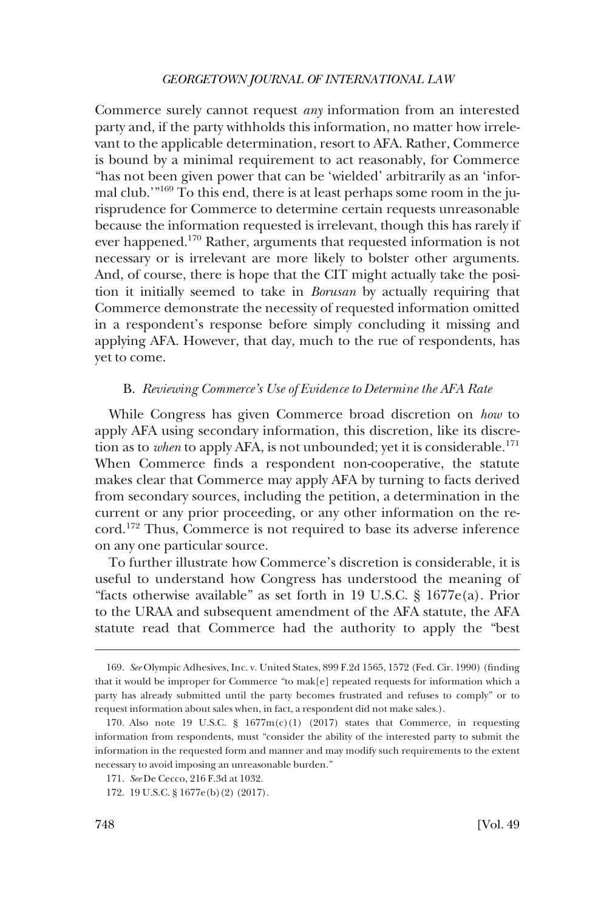Commerce surely cannot request *any* information from an interested party and, if the party withholds this information, no matter how irrelevant to the applicable determination, resort to AFA. Rather, Commerce is bound by a minimal requirement to act reasonably, for Commerce "has not been given power that can be 'wielded' arbitrarily as an 'informal club.'"169 To this end, there is at least perhaps some room in the jurisprudence for Commerce to determine certain requests unreasonable because the information requested is irrelevant, though this has rarely if ever happened.170 Rather, arguments that requested information is not necessary or is irrelevant are more likely to bolster other arguments. And, of course, there is hope that the CIT might actually take the position it initially seemed to take in *Borusan* by actually requiring that Commerce demonstrate the necessity of requested information omitted in a respondent's response before simply concluding it missing and applying AFA. However, that day, much to the rue of respondents, has yet to come.

## B. *Reviewing Commerce's Use of Evidence to Determine the AFA Rate*

While Congress has given Commerce broad discretion on *how* to apply AFA using secondary information, this discretion, like its discretion as to *when* to apply AFA, is not unbounded; yet it is considerable.<sup>171</sup> When Commerce finds a respondent non-cooperative, the statute makes clear that Commerce may apply AFA by turning to facts derived from secondary sources, including the petition, a determination in the current or any prior proceeding, or any other information on the record.172 Thus, Commerce is not required to base its adverse inference on any one particular source.

To further illustrate how Commerce's discretion is considerable, it is useful to understand how Congress has understood the meaning of "facts otherwise available" as set forth in 19 U.S.C. § 1677e(a). Prior to the URAA and subsequent amendment of the AFA statute, the AFA statute read that Commerce had the authority to apply the "best

<sup>169.</sup> *See* Olympic Adhesives, Inc. v. United States, 899 F.2d 1565, 1572 (Fed. Cir. 1990) (finding that it would be improper for Commerce "to mak[e] repeated requests for information which a party has already submitted until the party becomes frustrated and refuses to comply" or to request information about sales when, in fact, a respondent did not make sales.).

<sup>170.</sup> Also note 19 U.S.C.  $\S$  1677m(c)(1) (2017) states that Commerce, in requesting information from respondents, must "consider the ability of the interested party to submit the information in the requested form and manner and may modify such requirements to the extent necessary to avoid imposing an unreasonable burden."

<sup>171.</sup> *See* De Cecco, 216 F.3d at 1032.

<sup>172. 19</sup> U.S.C. § 1677e(b)(2) (2017).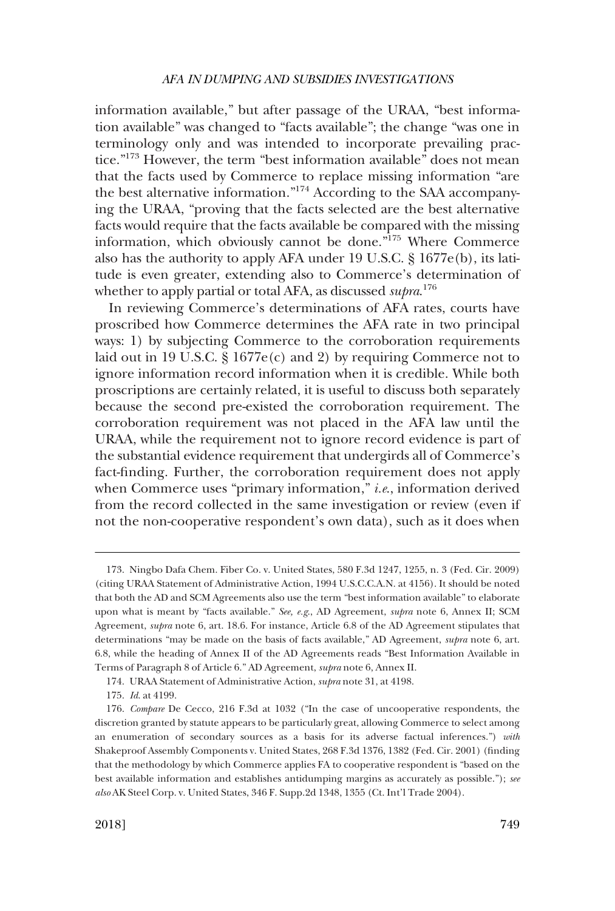information available," but after passage of the URAA, "best information available" was changed to "facts available"; the change "was one in terminology only and was intended to incorporate prevailing practice."173 However, the term "best information available" does not mean that the facts used by Commerce to replace missing information "are the best alternative information."174 According to the SAA accompanying the URAA, "proving that the facts selected are the best alternative facts would require that the facts available be compared with the missing information, which obviously cannot be done."175 Where Commerce also has the authority to apply AFA under 19 U.S.C. § 1677e(b), its latitude is even greater, extending also to Commerce's determination of whether to apply partial or total AFA, as discussed *supra*. 176

In reviewing Commerce's determinations of AFA rates, courts have proscribed how Commerce determines the AFA rate in two principal ways: 1) by subjecting Commerce to the corroboration requirements laid out in 19 U.S.C. § 1677e(c) and 2) by requiring Commerce not to ignore information record information when it is credible. While both proscriptions are certainly related, it is useful to discuss both separately because the second pre-existed the corroboration requirement. The corroboration requirement was not placed in the AFA law until the URAA, while the requirement not to ignore record evidence is part of the substantial evidence requirement that undergirds all of Commerce's fact-finding. Further, the corroboration requirement does not apply when Commerce uses "primary information," *i.e*., information derived from the record collected in the same investigation or review (even if not the non-cooperative respondent's own data), such as it does when

<sup>173.</sup> Ningbo Dafa Chem. Fiber Co. v. United States, 580 F.3d 1247, 1255, n. 3 (Fed. Cir. 2009) (citing URAA Statement of Administrative Action, 1994 U.S.C.C.A.N. at 4156). It should be noted that both the AD and SCM Agreements also use the term "best information available" to elaborate upon what is meant by "facts available." *See, e.g*., AD Agreement, *supra* note 6, Annex II; SCM Agreement, *supra* note 6, art. 18.6. For instance, Article 6.8 of the AD Agreement stipulates that determinations "may be made on the basis of facts available," AD Agreement, *supra* note 6, art. 6.8, while the heading of Annex II of the AD Agreements reads "Best Information Available in Terms of Paragraph 8 of Article 6." AD Agreement, *supra* note 6, Annex II.

<sup>174.</sup> URAA Statement of Administrative Action, *supra* note 31, at 4198.

<sup>175.</sup> *Id*. at 4199.

<sup>176.</sup> *Compare* De Cecco, 216 F.3d at 1032 ("In the case of uncooperative respondents, the discretion granted by statute appears to be particularly great, allowing Commerce to select among an enumeration of secondary sources as a basis for its adverse factual inferences.") *with*  Shakeproof Assembly Components v. United States, 268 F.3d 1376, 1382 (Fed. Cir. 2001) (finding that the methodology by which Commerce applies FA to cooperative respondent is "based on the best available information and establishes antidumping margins as accurately as possible."); *see also* AK Steel Corp. v. United States, 346 F. Supp.2d 1348, 1355 (Ct. Int'l Trade 2004).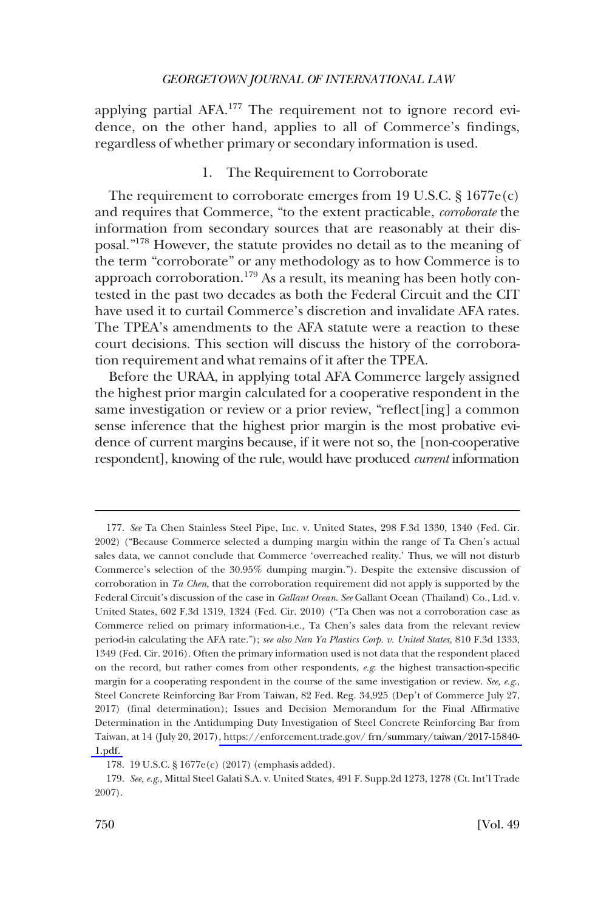applying partial AFA.<sup>177</sup> The requirement not to ignore record evidence, on the other hand, applies to all of Commerce's findings, regardless of whether primary or secondary information is used.

## 1. The Requirement to Corroborate

The requirement to corroborate emerges from 19 U.S.C. § 1677e(c) and requires that Commerce, "to the extent practicable, *corroborate* the information from secondary sources that are reasonably at their disposal."178 However, the statute provides no detail as to the meaning of the term "corroborate" or any methodology as to how Commerce is to approach corroboration.<sup>179</sup> As a result, its meaning has been hotly contested in the past two decades as both the Federal Circuit and the CIT have used it to curtail Commerce's discretion and invalidate AFA rates. The TPEA's amendments to the AFA statute were a reaction to these court decisions. This section will discuss the history of the corroboration requirement and what remains of it after the TPEA.

Before the URAA, in applying total AFA Commerce largely assigned the highest prior margin calculated for a cooperative respondent in the same investigation or review or a prior review, "reflect[ing] a common sense inference that the highest prior margin is the most probative evidence of current margins because, if it were not so, the [non-cooperative respondent], knowing of the rule, would have produced *current* information

<sup>177.</sup> See Ta Chen Stainless Steel Pipe, Inc. v. United States, 298 F.3d 1330, 1340 (Fed. Cir. 2002) ("Because Commerce selected a dumping margin within the range of Ta Chen's actual sales data, we cannot conclude that Commerce 'overreached reality.' Thus, we will not disturb Commerce's selection of the 30.95% dumping margin."). Despite the extensive discussion of corroboration in *Ta Chen*, that the corroboration requirement did not apply is supported by the Federal Circuit's discussion of the case in *Gallant Ocean*. *See* Gallant Ocean (Thailand) Co., Ltd. v. United States, 602 F.3d 1319, 1324 (Fed. Cir. 2010) ("Ta Chen was not a corroboration case as Commerce relied on primary information-i.e., Ta Chen's sales data from the relevant review period-in calculating the AFA rate."); *see also Nan Ya Plastics Corp. v. United States*, 810 F.3d 1333, 1349 (Fed. Cir. 2016). Often the primary information used is not data that the respondent placed on the record, but rather comes from other respondents, *e.g*. the highest transaction-specific margin for a cooperating respondent in the course of the same investigation or review. *See, e.g*., Steel Concrete Reinforcing Bar From Taiwan, 82 Fed. Reg. 34,925 (Dep't of Commerce July 27, 2017) (final determination); Issues and Decision Memorandum for the Final Affirmative Determination in the Antidumping Duty Investigation of Steel Concrete Reinforcing Bar from Taiwan, at 14 (July 20, 2017)[, https://enforcement.trade.gov/ frn/summary/taiwan/2017-15840-](https://enforcement.trade.gov/frn/summary/taiwan/2017-15840-1.pdf)  [1.pdf.](https://enforcement.trade.gov/frn/summary/taiwan/2017-15840-1.pdf) 

<sup>178. 19</sup> U.S.C. § 1677e(c) (2017) (emphasis added).

<sup>179.</sup> *See, e.g*., Mittal Steel Galati S.A. v. United States, 491 F. Supp.2d 1273, 1278 (Ct. Int'l Trade 2007).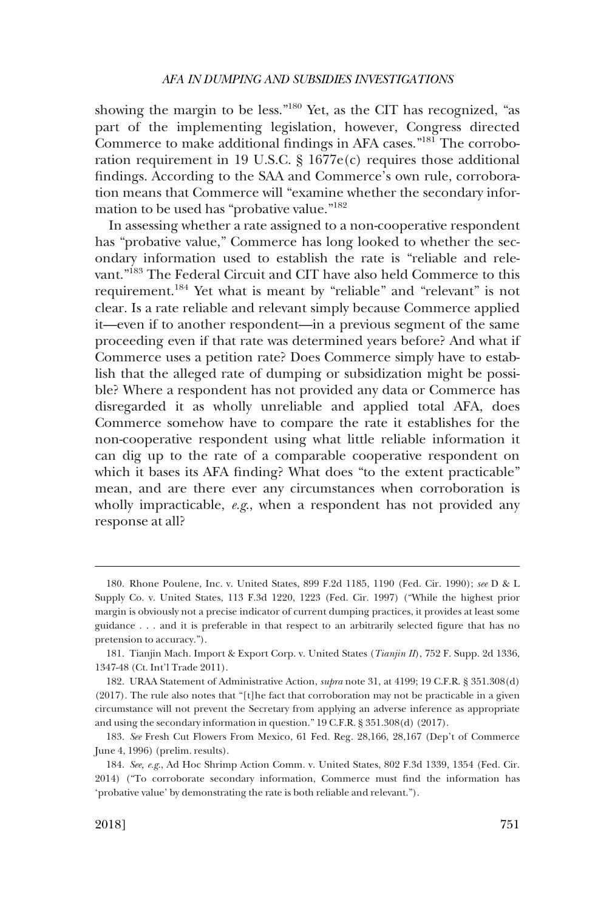showing the margin to be less."180 Yet, as the CIT has recognized, "as part of the implementing legislation, however, Congress directed Commerce to make additional findings in AFA cases."181 The corroboration requirement in 19 U.S.C. § 1677e(c) requires those additional findings. According to the SAA and Commerce's own rule, corroboration means that Commerce will "examine whether the secondary information to be used has "probative value."182

In assessing whether a rate assigned to a non-cooperative respondent has "probative value," Commerce has long looked to whether the secondary information used to establish the rate is "reliable and relevant."<sup>183</sup> The Federal Circuit and CIT have also held Commerce to this requirement.184 Yet what is meant by "reliable" and "relevant" is not clear. Is a rate reliable and relevant simply because Commerce applied it—even if to another respondent—in a previous segment of the same proceeding even if that rate was determined years before? And what if Commerce uses a petition rate? Does Commerce simply have to establish that the alleged rate of dumping or subsidization might be possible? Where a respondent has not provided any data or Commerce has disregarded it as wholly unreliable and applied total AFA, does Commerce somehow have to compare the rate it establishes for the non-cooperative respondent using what little reliable information it can dig up to the rate of a comparable cooperative respondent on which it bases its AFA finding? What does "to the extent practicable" mean, and are there ever any circumstances when corroboration is wholly impracticable, *e.g*., when a respondent has not provided any response at all?

<sup>180.</sup> Rhone Poulene, Inc. v. United States, 899 F.2d 1185, 1190 (Fed. Cir. 1990); *see* D & L Supply Co. v. United States, 113 F.3d 1220, 1223 (Fed. Cir. 1997) ("While the highest prior margin is obviously not a precise indicator of current dumping practices, it provides at least some guidance . . . and it is preferable in that respect to an arbitrarily selected figure that has no pretension to accuracy.").

<sup>181.</sup> Tianjin Mach. Import & Export Corp. v. United States (*Tianjin II*), 752 F. Supp. 2d 1336, 1347-48 (Ct. Int'l Trade 2011).

<sup>182.</sup> URAA Statement of Administrative Action, *supra* note 31, at 4199; 19 C.F.R. § 351.308(d) (2017). The rule also notes that "[t]he fact that corroboration may not be practicable in a given circumstance will not prevent the Secretary from applying an adverse inference as appropriate and using the secondary information in question." 19 C.F.R. § 351.308(d) (2017).

<sup>183.</sup> *See* Fresh Cut Flowers From Mexico, 61 Fed. Reg. 28,166, 28,167 (Dep't of Commerce June 4, 1996) (prelim. results).

<sup>184.</sup> *See, e.g*., Ad Hoc Shrimp Action Comm. v. United States, 802 F.3d 1339, 1354 (Fed. Cir. 2014) ("To corroborate secondary information, Commerce must find the information has 'probative value' by demonstrating the rate is both reliable and relevant.").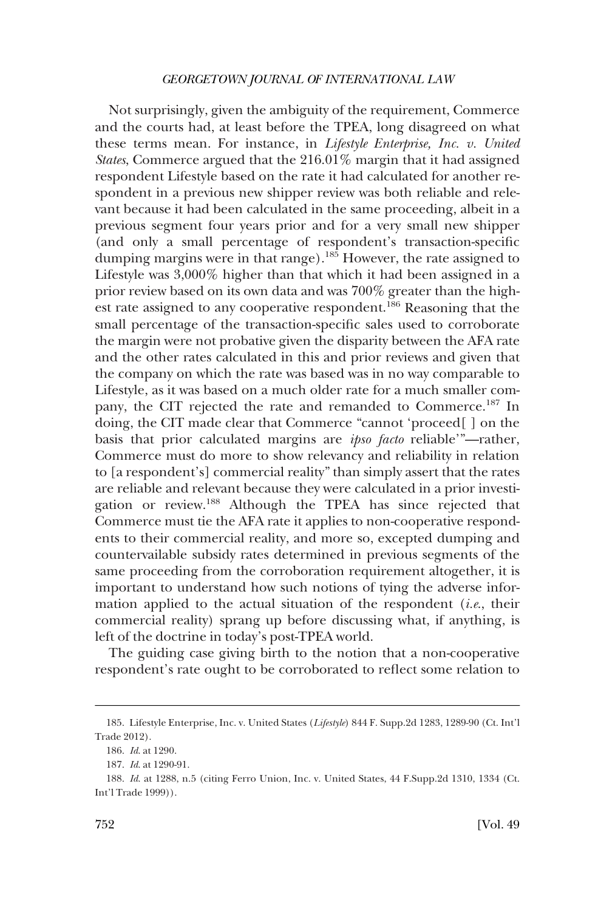Not surprisingly, given the ambiguity of the requirement, Commerce and the courts had, at least before the TPEA, long disagreed on what these terms mean. For instance, in *Lifestyle Enterprise, Inc. v. United States*, Commerce argued that the 216.01% margin that it had assigned respondent Lifestyle based on the rate it had calculated for another respondent in a previous new shipper review was both reliable and relevant because it had been calculated in the same proceeding, albeit in a previous segment four years prior and for a very small new shipper (and only a small percentage of respondent's transaction-specific dumping margins were in that range).<sup>185</sup> However, the rate assigned to Lifestyle was 3,000% higher than that which it had been assigned in a prior review based on its own data and was 700% greater than the highest rate assigned to any cooperative respondent.<sup>186</sup> Reasoning that the small percentage of the transaction-specific sales used to corroborate the margin were not probative given the disparity between the AFA rate and the other rates calculated in this and prior reviews and given that the company on which the rate was based was in no way comparable to Lifestyle, as it was based on a much older rate for a much smaller company, the CIT rejected the rate and remanded to Commerce.<sup>187</sup> In doing, the CIT made clear that Commerce "cannot 'proceed[ ] on the basis that prior calculated margins are *ipso facto* reliable'"—rather, Commerce must do more to show relevancy and reliability in relation to [a respondent's] commercial reality" than simply assert that the rates are reliable and relevant because they were calculated in a prior investigation or review.188 Although the TPEA has since rejected that Commerce must tie the AFA rate it applies to non-cooperative respondents to their commercial reality, and more so, excepted dumping and countervailable subsidy rates determined in previous segments of the same proceeding from the corroboration requirement altogether, it is important to understand how such notions of tying the adverse information applied to the actual situation of the respondent (*i.e*., their commercial reality) sprang up before discussing what, if anything, is left of the doctrine in today's post-TPEA world.

The guiding case giving birth to the notion that a non-cooperative respondent's rate ought to be corroborated to reflect some relation to

<sup>185.</sup> Lifestyle Enterprise, Inc. v. United States (*Lifestyle*) 844 F. Supp.2d 1283, 1289-90 (Ct. Int'l Trade 2012).

<sup>186.</sup> *Id*. at 1290.

<sup>187.</sup> *Id*. at 1290-91.

<sup>188.</sup> *Id*. at 1288, n.5 (citing Ferro Union, Inc. v. United States, 44 F.Supp.2d 1310, 1334 (Ct. Int'l Trade 1999)).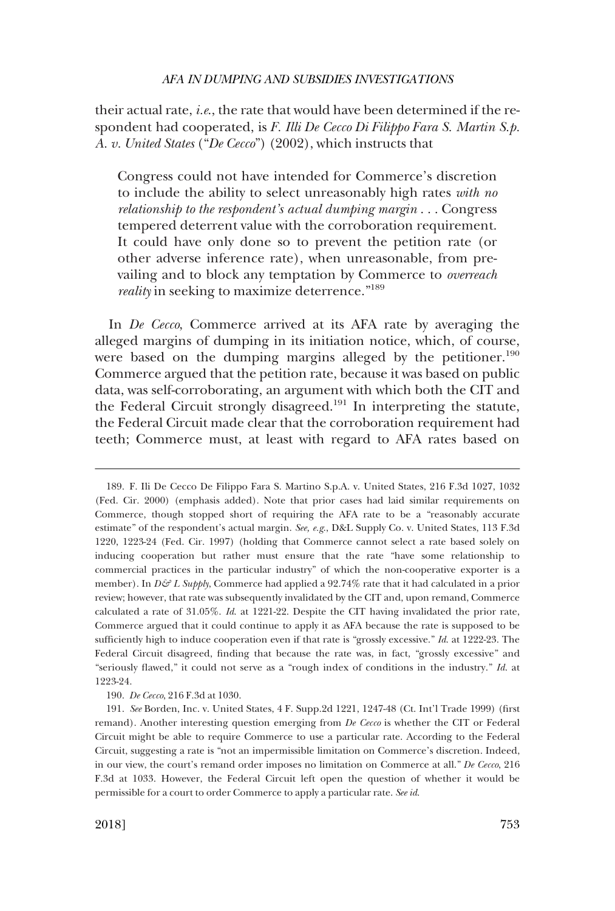their actual rate, *i.e*., the rate that would have been determined if the respondent had cooperated, is *F. Illi De Cecco Di Filippo Fara S. Martin S.p. A. v. United States* ("*De Cecco*") (2002), which instructs that

Congress could not have intended for Commerce's discretion to include the ability to select unreasonably high rates *with no relationship to the respondent's actual dumping margin* . . . Congress tempered deterrent value with the corroboration requirement. It could have only done so to prevent the petition rate (or other adverse inference rate), when unreasonable, from prevailing and to block any temptation by Commerce to *overreach reality* in seeking to maximize deterrence."<sup>189</sup>

In *De Cecco*, Commerce arrived at its AFA rate by averaging the alleged margins of dumping in its initiation notice, which, of course, were based on the dumping margins alleged by the petitioner.<sup>190</sup> Commerce argued that the petition rate, because it was based on public data, was self-corroborating, an argument with which both the CIT and the Federal Circuit strongly disagreed.<sup>191</sup> In interpreting the statute, the Federal Circuit made clear that the corroboration requirement had teeth; Commerce must, at least with regard to AFA rates based on

190. *De Cecco*, 216 F.3d at 1030.

<sup>189.</sup> F. Ili De Cecco De Filippo Fara S. Martino S.p.A. v. United States, 216 F.3d 1027, 1032 (Fed. Cir. 2000) (emphasis added). Note that prior cases had laid similar requirements on Commerce, though stopped short of requiring the AFA rate to be a "reasonably accurate estimate" of the respondent's actual margin. *See, e.g*., D&L Supply Co. v. United States, 113 F.3d 1220, 1223-24 (Fed. Cir. 1997) (holding that Commerce cannot select a rate based solely on inducing cooperation but rather must ensure that the rate "have some relationship to commercial practices in the particular industry" of which the non-cooperative exporter is a member). In  $D\mathcal{G}$  L Supply, Commerce had applied a 92.74% rate that it had calculated in a prior review; however, that rate was subsequently invalidated by the CIT and, upon remand, Commerce calculated a rate of 31.05%. *Id*. at 1221-22. Despite the CIT having invalidated the prior rate, Commerce argued that it could continue to apply it as AFA because the rate is supposed to be sufficiently high to induce cooperation even if that rate is "grossly excessive." *Id*. at 1222-23. The Federal Circuit disagreed, finding that because the rate was, in fact, "grossly excessive" and "seriously flawed," it could not serve as a "rough index of conditions in the industry." *Id*. at 1223-24.

<sup>191.</sup> *See* Borden, Inc. v. United States, 4 F. Supp.2d 1221, 1247-48 (Ct. Int'l Trade 1999) (first remand). Another interesting question emerging from *De Cecco* is whether the CIT or Federal Circuit might be able to require Commerce to use a particular rate. According to the Federal Circuit, suggesting a rate is "not an impermissible limitation on Commerce's discretion. Indeed, in our view, the court's remand order imposes no limitation on Commerce at all." *De Cecco*, 216 F.3d at 1033. However, the Federal Circuit left open the question of whether it would be permissible for a court to order Commerce to apply a particular rate. *See id*.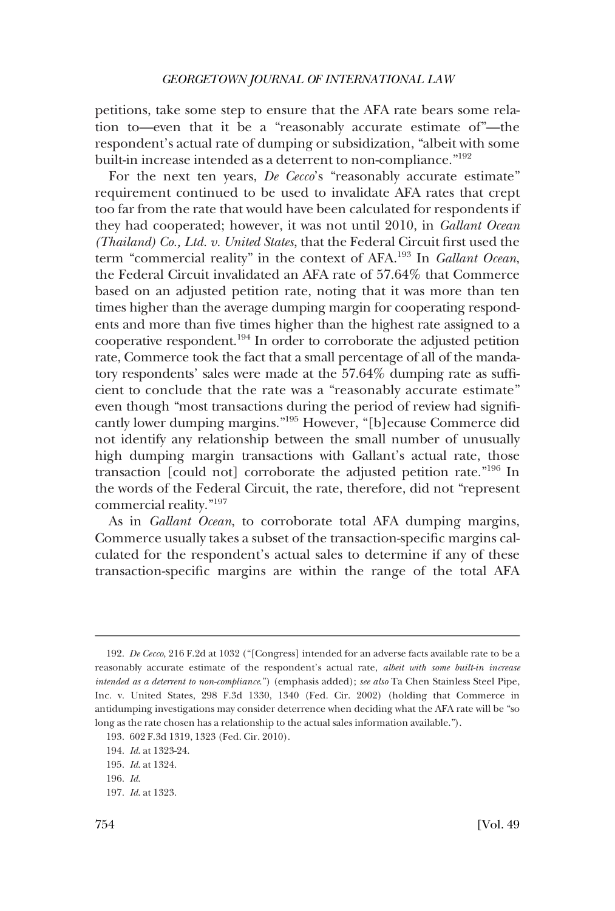petitions, take some step to ensure that the AFA rate bears some relation to—even that it be a "reasonably accurate estimate of"—the respondent's actual rate of dumping or subsidization, "albeit with some built-in increase intended as a deterrent to non-compliance."<sup>192</sup>

For the next ten years, *De Cecco*'s "reasonably accurate estimate" requirement continued to be used to invalidate AFA rates that crept too far from the rate that would have been calculated for respondents if they had cooperated; however, it was not until 2010, in *Gallant Ocean (Thailand) Co., Ltd. v. United States*, that the Federal Circuit first used the term "commercial reality" in the context of AFA.193 In *Gallant Ocean*, the Federal Circuit invalidated an AFA rate of 57.64% that Commerce based on an adjusted petition rate, noting that it was more than ten times higher than the average dumping margin for cooperating respondents and more than five times higher than the highest rate assigned to a cooperative respondent.194 In order to corroborate the adjusted petition rate, Commerce took the fact that a small percentage of all of the mandatory respondents' sales were made at the 57.64% dumping rate as sufficient to conclude that the rate was a "reasonably accurate estimate" even though "most transactions during the period of review had significantly lower dumping margins."195 However, "[b]ecause Commerce did not identify any relationship between the small number of unusually high dumping margin transactions with Gallant's actual rate, those transaction [could not] corroborate the adjusted petition rate."196 In the words of the Federal Circuit, the rate, therefore, did not "represent commercial reality."197

As in *Gallant Ocean*, to corroborate total AFA dumping margins, Commerce usually takes a subset of the transaction-specific margins calculated for the respondent's actual sales to determine if any of these transaction-specific margins are within the range of the total AFA

197. *Id*. at 1323.

<sup>192.</sup> *De Cecco*, 216 F.2d at 1032 ("[Congress] intended for an adverse facts available rate to be a reasonably accurate estimate of the respondent's actual rate, *albeit with some built-in increase intended as a deterrent to non-compliance*.") (emphasis added); *see also* Ta Chen Stainless Steel Pipe, Inc. v. United States, 298 F.3d 1330, 1340 (Fed. Cir. 2002) (holding that Commerce in antidumping investigations may consider deterrence when deciding what the AFA rate will be "so long as the rate chosen has a relationship to the actual sales information available.").

<sup>193. 602</sup> F.3d 1319, 1323 (Fed. Cir. 2010).

<sup>194.</sup> *Id*. at 1323-24.

<sup>195.</sup> *Id*. at 1324.

<sup>196.</sup> *Id*.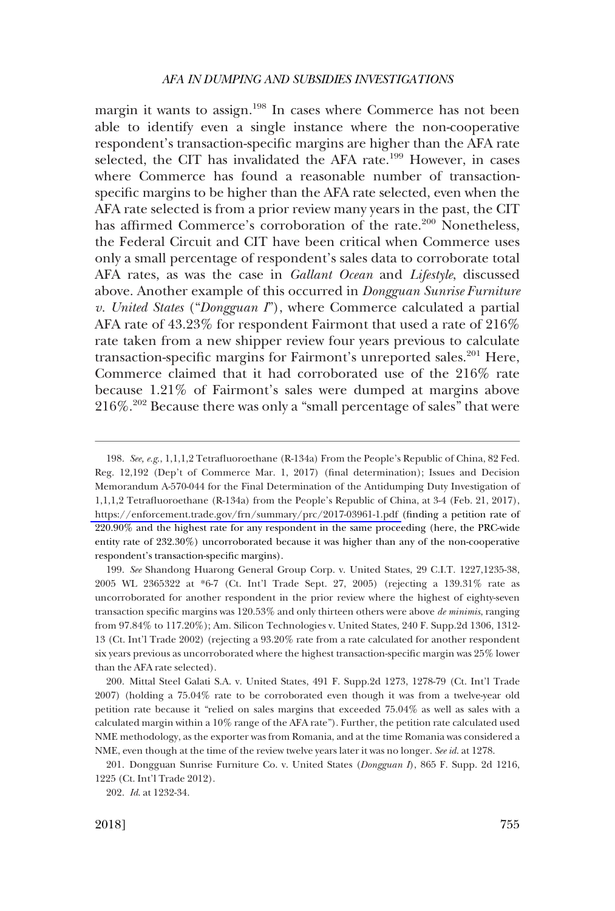margin it wants to assign.<sup>198</sup> In cases where Commerce has not been able to identify even a single instance where the non-cooperative respondent's transaction-specific margins are higher than the AFA rate selected, the CIT has invalidated the AFA rate.<sup>199</sup> However, in cases where Commerce has found a reasonable number of transactionspecific margins to be higher than the AFA rate selected, even when the AFA rate selected is from a prior review many years in the past, the CIT has affirmed Commerce's corroboration of the rate.<sup>200</sup> Nonetheless, the Federal Circuit and CIT have been critical when Commerce uses only a small percentage of respondent's sales data to corroborate total AFA rates, as was the case in *Gallant Ocean* and *Lifestyle*, discussed above. Another example of this occurred in *Dongguan Sunrise Furniture v. United States* ("*Dongguan I*"), where Commerce calculated a partial AFA rate of 43.23% for respondent Fairmont that used a rate of 216% rate taken from a new shipper review four years previous to calculate transaction-specific margins for Fairmont's unreported sales.<sup>201</sup> Here, Commerce claimed that it had corroborated use of the 216% rate because 1.21% of Fairmont's sales were dumped at margins above 216%.202 Because there was only a "small percentage of sales" that were

199. *See* Shandong Huarong General Group Corp. v. United States, 29 C.I.T. 1227,1235-38, 2005 WL 2365322 at \*6-7 (Ct. Int'l Trade Sept. 27, 2005) (rejecting a 139.31% rate as uncorroborated for another respondent in the prior review where the highest of eighty-seven transaction specific margins was 120.53% and only thirteen others were above *de minimis*, ranging from 97.84% to 117.20%); Am. Silicon Technologies v. United States, 240 F. Supp.2d 1306, 1312- 13 (Ct. Int'l Trade 2002) (rejecting a 93.20% rate from a rate calculated for another respondent six years previous as uncorroborated where the highest transaction-specific margin was 25% lower than the AFA rate selected).

200. Mittal Steel Galati S.A. v. United States, 491 F. Supp.2d 1273, 1278-79 (Ct. Int'l Trade 2007) (holding a 75.04% rate to be corroborated even though it was from a twelve-year old petition rate because it "relied on sales margins that exceeded 75.04% as well as sales with a calculated margin within a 10% range of the AFA rate"). Further, the petition rate calculated used NME methodology, as the exporter was from Romania, and at the time Romania was considered a NME, even though at the time of the review twelve years later it was no longer. *See id*. at 1278.

201. Dongguan Sunrise Furniture Co. v. United States (*Dongguan I*), 865 F. Supp. 2d 1216, 1225 (Ct. Int'l Trade 2012).

<sup>198.</sup> See, e.g., 1,1,1,2 Tetrafluoroethane (R-134a) From the People's Republic of China, 82 Fed. Reg. 12,192 (Dep't of Commerce Mar. 1, 2017) (final determination); Issues and Decision Memorandum A-570-044 for the Final Determination of the Antidumping Duty Investigation of 1,1,1,2 Tetrafluoroethane (R-134a) from the People's Republic of China, at 3-4 (Feb. 21, 2017), <https://enforcement.trade.gov/frn/summary/prc/2017-03961-1.pdf>(finding a petition rate of 220.90% and the highest rate for any respondent in the same proceeding (here, the PRC-wide entity rate of 232.30%) uncorroborated because it was higher than any of the non-cooperative respondent's transaction-specific margins).

<sup>202.</sup> *Id*. at 1232-34.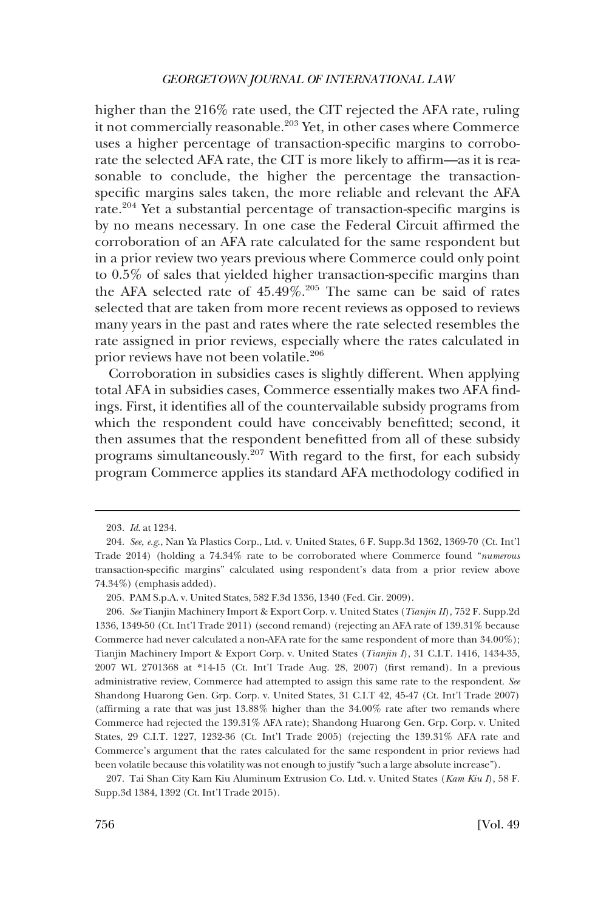higher than the 216% rate used, the CIT rejected the AFA rate, ruling it not commercially reasonable.<sup>203</sup> Yet, in other cases where Commerce uses a higher percentage of transaction-specific margins to corroborate the selected AFA rate, the CIT is more likely to affirm—as it is reasonable to conclude, the higher the percentage the transactionspecific margins sales taken, the more reliable and relevant the AFA rate.204 Yet a substantial percentage of transaction-specific margins is by no means necessary. In one case the Federal Circuit affirmed the corroboration of an AFA rate calculated for the same respondent but in a prior review two years previous where Commerce could only point to 0.5% of sales that yielded higher transaction-specific margins than the AFA selected rate of  $45.49\%$ .<sup>205</sup> The same can be said of rates selected that are taken from more recent reviews as opposed to reviews many years in the past and rates where the rate selected resembles the rate assigned in prior reviews, especially where the rates calculated in prior reviews have not been volatile.<sup>206</sup>

Corroboration in subsidies cases is slightly different. When applying total AFA in subsidies cases, Commerce essentially makes two AFA findings. First, it identifies all of the countervailable subsidy programs from which the respondent could have conceivably benefitted; second, it then assumes that the respondent benefitted from all of these subsidy programs simultaneously.<sup>207</sup> With regard to the first, for each subsidy program Commerce applies its standard AFA methodology codified in

207. Tai Shan City Kam Kiu Aluminum Extrusion Co. Ltd. v. United States (*Kam Kiu I*), 58 F. Supp.3d 1384, 1392 (Ct. Int'l Trade 2015).

<sup>203.</sup> *Id*. at 1234.

<sup>204.</sup> *See, e.g*., Nan Ya Plastics Corp., Ltd. v. United States, 6 F. Supp.3d 1362, 1369-70 (Ct. Int'l Trade 2014) (holding a 74.34% rate to be corroborated where Commerce found "*numerous*  transaction-specific margins" calculated using respondent's data from a prior review above 74.34%) (emphasis added).

<sup>205.</sup> PAM S.p.A. v. United States, 582 F.3d 1336, 1340 (Fed. Cir. 2009).

<sup>206.</sup> *See* Tianjin Machinery Import & Export Corp. v. United States (*Tianjin II*), 752 F. Supp.2d 1336, 1349-50 (Ct. Int'l Trade 2011) (second remand) (rejecting an AFA rate of 139.31% because Commerce had never calculated a non-AFA rate for the same respondent of more than 34.00%); Tianjin Machinery Import & Export Corp. v. United States (*Tianjin I*), 31 C.I.T. 1416, 1434-35, 2007 WL 2701368 at \*14-15 (Ct. Int'l Trade Aug. 28, 2007) (first remand). In a previous administrative review, Commerce had attempted to assign this same rate to the respondent. *See*  Shandong Huarong Gen. Grp. Corp. v. United States, 31 C.I.T 42, 45-47 (Ct. Int'l Trade 2007) (affirming a rate that was just 13.88% higher than the 34.00% rate after two remands where Commerce had rejected the 139.31% AFA rate); Shandong Huarong Gen. Grp. Corp. v. United States, 29 C.I.T. 1227, 1232-36 (Ct. Int'l Trade 2005) (rejecting the 139.31% AFA rate and Commerce's argument that the rates calculated for the same respondent in prior reviews had been volatile because this volatility was not enough to justify "such a large absolute increase").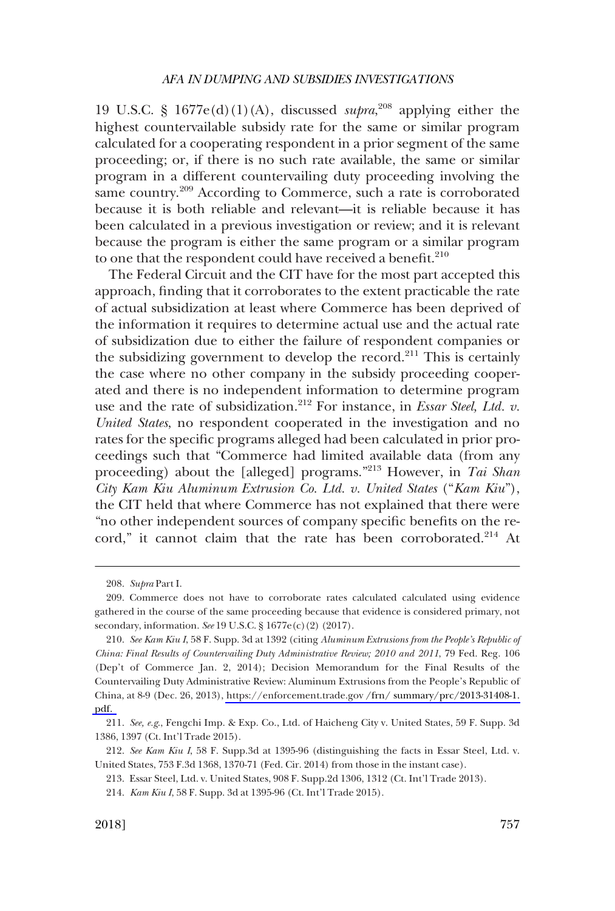19 U.S.C. §  $1677e(d)(1)(A)$ , discussed *supra*,<sup>208</sup> applying either the highest countervailable subsidy rate for the same or similar program calculated for a cooperating respondent in a prior segment of the same proceeding; or, if there is no such rate available, the same or similar program in a different countervailing duty proceeding involving the same country.<sup>209</sup> According to Commerce, such a rate is corroborated because it is both reliable and relevant—it is reliable because it has been calculated in a previous investigation or review; and it is relevant because the program is either the same program or a similar program to one that the respondent could have received a benefit. $2^{10}$ 

The Federal Circuit and the CIT have for the most part accepted this approach, finding that it corroborates to the extent practicable the rate of actual subsidization at least where Commerce has been deprived of the information it requires to determine actual use and the actual rate of subsidization due to either the failure of respondent companies or the subsidizing government to develop the record. $2^{11}$  This is certainly the case where no other company in the subsidy proceeding cooperated and there is no independent information to determine program use and the rate of subsidization.<sup>212</sup> For instance, in *Essar Steel, Ltd. v. United States*, no respondent cooperated in the investigation and no rates for the specific programs alleged had been calculated in prior proceedings such that "Commerce had limited available data (from any proceeding) about the [alleged] programs."<sup>213</sup> However, in *Tai Shan City Kam Kiu Aluminum Extrusion Co. Ltd. v. United States* ("*Kam Kiu*"), the CIT held that where Commerce has not explained that there were "no other independent sources of company specific benefits on the record," it cannot claim that the rate has been corroborated.<sup>214</sup> At

<sup>208.</sup> *Supra* Part I.

<sup>209.</sup> Commerce does not have to corroborate rates calculated calculated using evidence gathered in the course of the same proceeding because that evidence is considered primary, not secondary, information. *See* 19 U.S.C. § 1677e(c)(2) (2017).

*See Kam Kiu I*, 58 F. Supp. 3d at 1392 (citing *Aluminum Extrusions from the People's Republic of*  210. *China: Final Results of Countervailing Duty Administrative Review; 2010 and 2011*, 79 Fed. Reg. 106 (Dep't of Commerce Jan. 2, 2014); Decision Memorandum for the Final Results of the Countervailing Duty Administrative Review: Aluminum Extrusions from the People's Republic of China, at 8-9 (Dec. 26, 2013), [https://enforcement.trade.gov /frn/ summary/prc/2013-31408-1.](https://enforcement.trade.gov/frn/summary/prc/2013-31408-1.pdf)  [pdf.](https://enforcement.trade.gov/frn/summary/prc/2013-31408-1.pdf) 

<sup>211.</sup> *See, e.g*., Fengchi Imp. & Exp. Co., Ltd. of Haicheng City v. United States, 59 F. Supp. 3d 1386, 1397 (Ct. Int'l Trade 2015).

<sup>212.</sup> *See Kam Kiu I*, 58 F. Supp.3d at 1395-96 (distinguishing the facts in Essar Steel, Ltd. v. United States, 753 F.3d 1368, 1370-71 (Fed. Cir. 2014) from those in the instant case).

<sup>213.</sup> Essar Steel, Ltd. v. United States, 908 F. Supp.2d 1306, 1312 (Ct. Int'l Trade 2013).

<sup>214.</sup> *Kam Kiu I*, 58 F. Supp. 3d at 1395-96 (Ct. Int'l Trade 2015).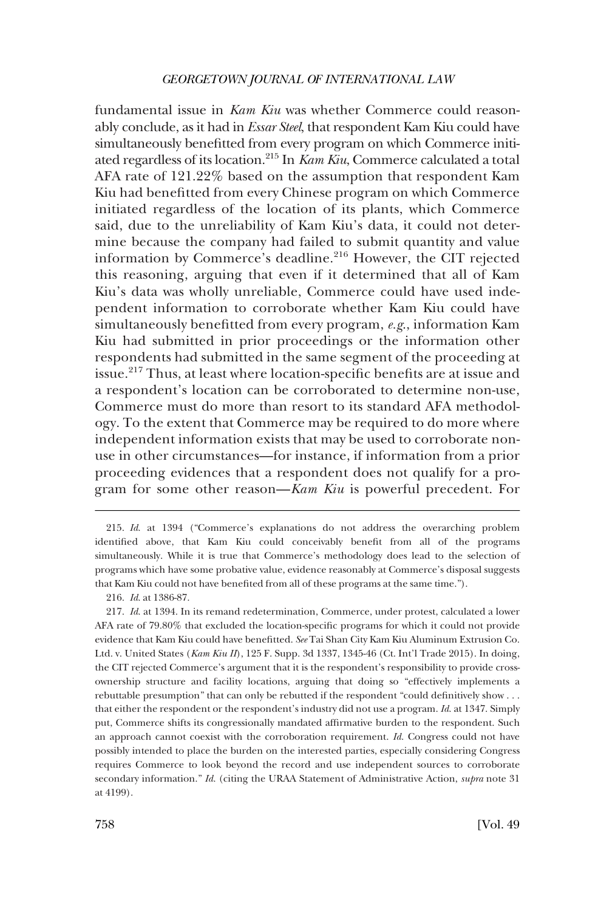fundamental issue in *Kam Kiu* was whether Commerce could reasonably conclude, as it had in *Essar Steel*, that respondent Kam Kiu could have simultaneously benefitted from every program on which Commerce initiated regardless of its location.215 In *Kam Kiu*, Commerce calculated a total AFA rate of 121.22% based on the assumption that respondent Kam Kiu had benefitted from every Chinese program on which Commerce initiated regardless of the location of its plants, which Commerce said, due to the unreliability of Kam Kiu's data, it could not determine because the company had failed to submit quantity and value information by Commerce's deadline.216 However, the CIT rejected this reasoning, arguing that even if it determined that all of Kam Kiu's data was wholly unreliable, Commerce could have used independent information to corroborate whether Kam Kiu could have simultaneously benefitted from every program, *e.g*., information Kam Kiu had submitted in prior proceedings or the information other respondents had submitted in the same segment of the proceeding at issue.217 Thus, at least where location-specific benefits are at issue and a respondent's location can be corroborated to determine non-use, Commerce must do more than resort to its standard AFA methodology. To the extent that Commerce may be required to do more where independent information exists that may be used to corroborate nonuse in other circumstances—for instance, if information from a prior proceeding evidences that a respondent does not qualify for a program for some other reason—*Kam Kiu* is powerful precedent. For

216. *Id*. at 1386-87.

217. *Id*. at 1394. In its remand redetermination, Commerce, under protest, calculated a lower AFA rate of 79.80% that excluded the location-specific programs for which it could not provide evidence that Kam Kiu could have benefitted. *See* Tai Shan City Kam Kiu Aluminum Extrusion Co. Ltd. v. United States (*Kam Kiu II*), 125 F. Supp. 3d 1337, 1345-46 (Ct. Int'l Trade 2015). In doing, the CIT rejected Commerce's argument that it is the respondent's responsibility to provide crossownership structure and facility locations, arguing that doing so "effectively implements a rebuttable presumption" that can only be rebutted if the respondent "could definitively show . . . that either the respondent or the respondent's industry did not use a program. *Id*. at 1347. Simply put, Commerce shifts its congressionally mandated affirmative burden to the respondent. Such an approach cannot coexist with the corroboration requirement. *Id*. Congress could not have possibly intended to place the burden on the interested parties, especially considering Congress requires Commerce to look beyond the record and use independent sources to corroborate secondary information." *Id*. (citing the URAA Statement of Administrative Action, *supra* note 31 at 4199).

<sup>215.</sup> *Id*. at 1394 ("Commerce's explanations do not address the overarching problem identified above, that Kam Kiu could conceivably benefit from all of the programs simultaneously. While it is true that Commerce's methodology does lead to the selection of programs which have some probative value, evidence reasonably at Commerce's disposal suggests that Kam Kiu could not have benefited from all of these programs at the same time.").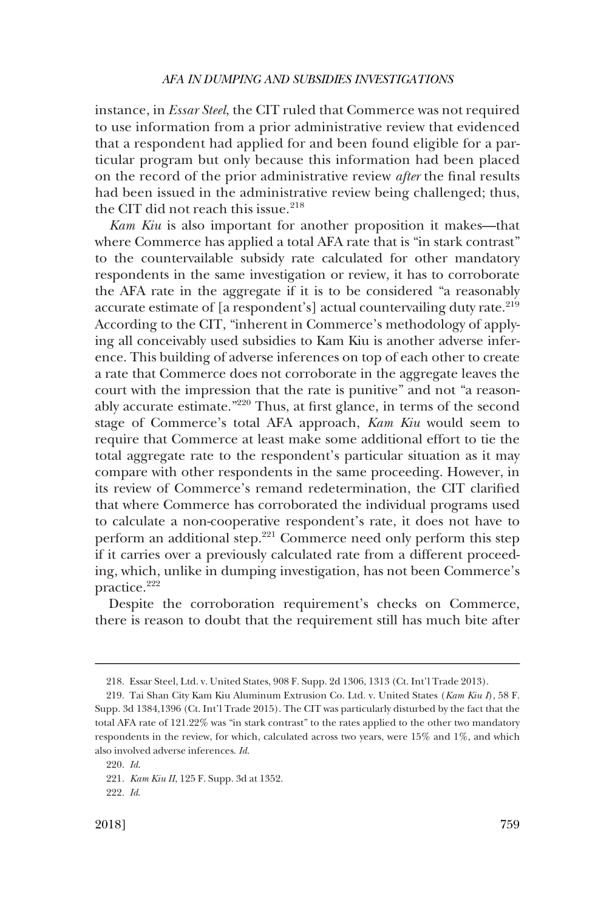instance, in *Essar Steel*, the CIT ruled that Commerce was not required to use information from a prior administrative review that evidenced that a respondent had applied for and been found eligible for a particular program but only because this information had been placed on the record of the prior administrative review *after* the final results had been issued in the administrative review being challenged; thus, the CIT did not reach this issue. $218$ 

*Kam Kiu* is also important for another proposition it makes—that where Commerce has applied a total AFA rate that is "in stark contrast" to the countervailable subsidy rate calculated for other mandatory respondents in the same investigation or review, it has to corroborate the AFA rate in the aggregate if it is to be considered "a reasonably accurate estimate of [a respondent's] actual countervailing duty rate.<sup>219</sup> According to the CIT, "inherent in Commerce's methodology of applying all conceivably used subsidies to Kam Kiu is another adverse inference. This building of adverse inferences on top of each other to create a rate that Commerce does not corroborate in the aggregate leaves the court with the impression that the rate is punitive" and not "a reasonably accurate estimate."220 Thus, at first glance, in terms of the second stage of Commerce's total AFA approach, *Kam Kiu* would seem to require that Commerce at least make some additional effort to tie the total aggregate rate to the respondent's particular situation as it may compare with other respondents in the same proceeding. However, in its review of Commerce's remand redetermination, the CIT clarified that where Commerce has corroborated the individual programs used to calculate a non-cooperative respondent's rate, it does not have to perform an additional step.221 Commerce need only perform this step if it carries over a previously calculated rate from a different proceeding, which, unlike in dumping investigation, has not been Commerce's practice.<sup>222</sup>

Despite the corroboration requirement's checks on Commerce, there is reason to doubt that the requirement still has much bite after

<sup>218.</sup> Essar Steel, Ltd. v. United States, 908 F. Supp. 2d 1306, 1313 (Ct. Int'l Trade 2013).

<sup>219.</sup> Tai Shan City Kam Kiu Aluminum Extrusion Co. Ltd. v. United States (*Kam Kiu I*), 58 F. Supp. 3d 1384,1396 (Ct. Int'l Trade 2015). The CIT was particularly disturbed by the fact that the total AFA rate of 121.22% was "in stark contrast" to the rates applied to the other two mandatory respondents in the review, for which, calculated across two years, were 15% and 1%, and which also involved adverse inferences. *Id*.

<sup>220.</sup> *Id*.

<sup>221.</sup> *Kam Kiu II*, 125 F. Supp. 3d at 1352.

<sup>222.</sup> *Id*.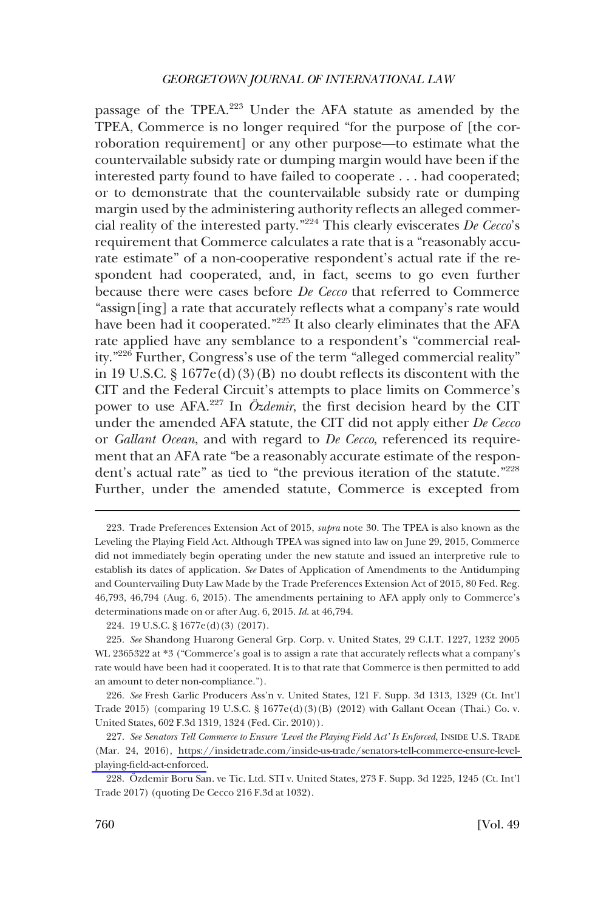passage of the TPEA.<sup>223</sup> Under the AFA statute as amended by the TPEA, Commerce is no longer required "for the purpose of [the corroboration requirement] or any other purpose—to estimate what the countervailable subsidy rate or dumping margin would have been if the interested party found to have failed to cooperate . . . had cooperated; or to demonstrate that the countervailable subsidy rate or dumping margin used by the administering authority reflects an alleged commercial reality of the interested party."224 This clearly eviscerates *De Cecco*'s requirement that Commerce calculates a rate that is a "reasonably accurate estimate" of a non-cooperative respondent's actual rate if the respondent had cooperated, and, in fact, seems to go even further because there were cases before *De Cecco* that referred to Commerce "assign[ing] a rate that accurately reflects what a company's rate would have been had it cooperated."<sup>225</sup> It also clearly eliminates that the AFA rate applied have any semblance to a respondent's "commercial reality."226 Further, Congress's use of the term "alleged commercial reality" in 19 U.S.C.  $\S 1677e(d)(3)(B)$  no doubt reflects its discontent with the CIT and the Federal Circuit's attempts to place limits on Commerce's power to use AFA.<sup>227</sup> In *Özdemir*, the first decision heard by the CIT under the amended AFA statute, the CIT did not apply either *De Cecco*  or *Gallant Ocean*, and with regard to *De Cecco*, referenced its requirement that an AFA rate "be a reasonably accurate estimate of the respondent's actual rate" as tied to "the previous iteration of the statute."228 Further, under the amended statute, Commerce is excepted from

<sup>223.</sup> Trade Preferences Extension Act of 2015, *supra* note 30. The TPEA is also known as the Leveling the Playing Field Act. Although TPEA was signed into law on June 29, 2015, Commerce did not immediately begin operating under the new statute and issued an interpretive rule to establish its dates of application. *See* Dates of Application of Amendments to the Antidumping and Countervailing Duty Law Made by the Trade Preferences Extension Act of 2015, 80 Fed. Reg. 46,793, 46,794 (Aug. 6, 2015). The amendments pertaining to AFA apply only to Commerce's determinations made on or after Aug. 6, 2015. *Id*. at 46,794.

<sup>224. 19</sup> U.S.C. § 1677e(d)(3) (2017).

<sup>225.</sup> *See* Shandong Huarong General Grp. Corp. v. United States, 29 C.I.T. 1227, 1232 2005 WL 2365322 at \*3 ("Commerce's goal is to assign a rate that accurately reflects what a company's rate would have been had it cooperated. It is to that rate that Commerce is then permitted to add an amount to deter non-compliance.").

<sup>226.</sup> *See* Fresh Garlic Producers Ass'n v. United States, 121 F. Supp. 3d 1313, 1329 (Ct. Int'l Trade 2015) (comparing 19 U.S.C. § 1677e(d)(3)(B) (2012) with Gallant Ocean (Thai.) Co. v. United States, 602 F.3d 1319, 1324 (Fed. Cir. 2010)).

*See Senators Tell Commerce to Ensure 'Level the Playing Field Act' Is Enforced*, INSIDE U.S. TRADE 227. (Mar. 24, 2016), [https://insidetrade.com/inside-us-trade/senators-tell-commerce-ensure-level](https://insidetrade.com/inside-us-trade/senators-tell-commerce-ensure-level-playing-field-act-enforced)[playing-field-act-enforced](https://insidetrade.com/inside-us-trade/senators-tell-commerce-ensure-level-playing-field-act-enforced).

<sup>228.</sup> Özdemir Boru San. ve Tic. Ltd. STI v. United States, 273 F. Supp. 3d 1225, 1245 (Ct. Int'l Trade 2017) (quoting De Cecco 216 F.3d at 1032).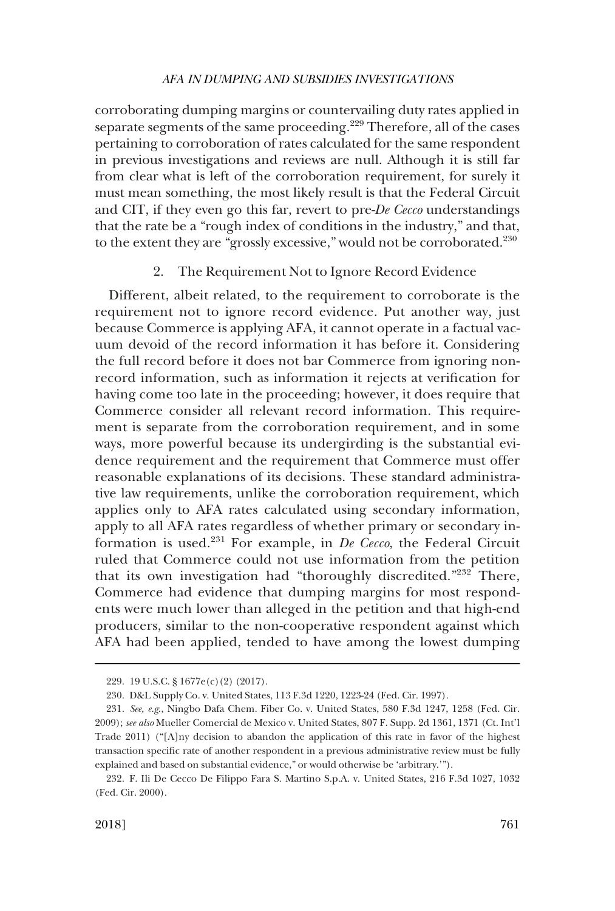corroborating dumping margins or countervailing duty rates applied in separate segments of the same proceeding.<sup>229</sup> Therefore, all of the cases pertaining to corroboration of rates calculated for the same respondent in previous investigations and reviews are null. Although it is still far from clear what is left of the corroboration requirement, for surely it must mean something, the most likely result is that the Federal Circuit and CIT, if they even go this far, revert to pre-*De Cecco* understandings that the rate be a "rough index of conditions in the industry," and that, to the extent they are "grossly excessive," would not be corroborated.<sup>230</sup>

# 2. The Requirement Not to Ignore Record Evidence

Different, albeit related, to the requirement to corroborate is the requirement not to ignore record evidence. Put another way, just because Commerce is applying AFA, it cannot operate in a factual vacuum devoid of the record information it has before it. Considering the full record before it does not bar Commerce from ignoring nonrecord information, such as information it rejects at verification for having come too late in the proceeding; however, it does require that Commerce consider all relevant record information. This requirement is separate from the corroboration requirement, and in some ways, more powerful because its undergirding is the substantial evidence requirement and the requirement that Commerce must offer reasonable explanations of its decisions. These standard administrative law requirements, unlike the corroboration requirement, which applies only to AFA rates calculated using secondary information, apply to all AFA rates regardless of whether primary or secondary information is used.231 For example, in *De Cecco*, the Federal Circuit ruled that Commerce could not use information from the petition that its own investigation had "thoroughly discredited."<sup>232</sup> There, Commerce had evidence that dumping margins for most respondents were much lower than alleged in the petition and that high-end producers, similar to the non-cooperative respondent against which AFA had been applied, tended to have among the lowest dumping

<sup>229. 19</sup> U.S.C. § 1677e(c)(2) (2017).

<sup>230.</sup> D&L Supply Co. v. United States, 113 F.3d 1220, 1223-24 (Fed. Cir. 1997).

<sup>231.</sup> *See, e.g*., Ningbo Dafa Chem. Fiber Co. v. United States, 580 F.3d 1247, 1258 (Fed. Cir. 2009); *see also* Mueller Comercial de Mexico v. United States, 807 F. Supp. 2d 1361, 1371 (Ct. Int'l Trade 2011) ("[A]ny decision to abandon the application of this rate in favor of the highest transaction specific rate of another respondent in a previous administrative review must be fully explained and based on substantial evidence," or would otherwise be 'arbitrary.'").

<sup>232.</sup> F. Ili De Cecco De Filippo Fara S. Martino S.p.A. v. United States, 216 F.3d 1027, 1032 (Fed. Cir. 2000).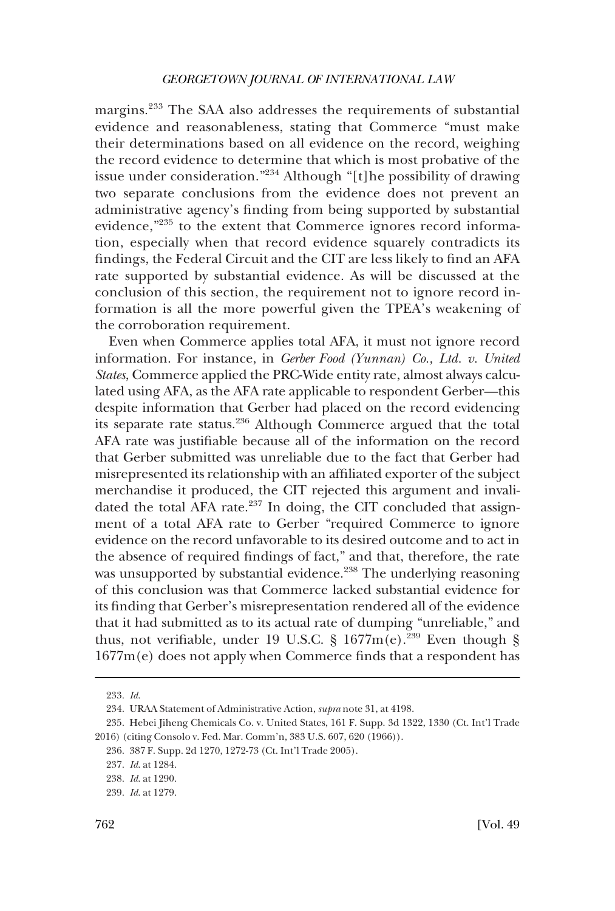margins.233 The SAA also addresses the requirements of substantial evidence and reasonableness, stating that Commerce "must make their determinations based on all evidence on the record, weighing the record evidence to determine that which is most probative of the issue under consideration."234 Although "[t]he possibility of drawing two separate conclusions from the evidence does not prevent an administrative agency's finding from being supported by substantial evidence,<sup>"235</sup> to the extent that Commerce ignores record information, especially when that record evidence squarely contradicts its findings, the Federal Circuit and the CIT are less likely to find an AFA rate supported by substantial evidence. As will be discussed at the conclusion of this section, the requirement not to ignore record information is all the more powerful given the TPEA's weakening of the corroboration requirement.

Even when Commerce applies total AFA, it must not ignore record information. For instance, in *Gerber Food (Yunnan) Co., Ltd. v. United States*, Commerce applied the PRC-Wide entity rate, almost always calculated using AFA, as the AFA rate applicable to respondent Gerber—this despite information that Gerber had placed on the record evidencing its separate rate status.<sup>236</sup> Although Commerce argued that the total AFA rate was justifiable because all of the information on the record that Gerber submitted was unreliable due to the fact that Gerber had misrepresented its relationship with an affiliated exporter of the subject merchandise it produced, the CIT rejected this argument and invalidated the total AFA rate.<sup>237</sup> In doing, the CIT concluded that assignment of a total AFA rate to Gerber "required Commerce to ignore evidence on the record unfavorable to its desired outcome and to act in the absence of required findings of fact," and that, therefore, the rate was unsupported by substantial evidence.<sup>238</sup> The underlying reasoning of this conclusion was that Commerce lacked substantial evidence for its finding that Gerber's misrepresentation rendered all of the evidence that it had submitted as to its actual rate of dumping "unreliable," and thus, not verifiable, under 19 U.S.C. § 1677 $m(e)$ .<sup>239</sup> Even though § 1677m(e) does not apply when Commerce finds that a respondent has

<sup>233.</sup> *Id*.

<sup>234.</sup> URAA Statement of Administrative Action, *supra* note 31, at 4198.

<sup>235.</sup> Hebei Jiheng Chemicals Co. v. United States, 161 F. Supp. 3d 1322, 1330 (Ct. Int'l Trade 2016) (citing Consolo v. Fed. Mar. Comm'n, 383 U.S. 607, 620 (1966)).

<sup>236. 387</sup> F. Supp. 2d 1270, 1272-73 (Ct. Int'l Trade 2005).

<sup>237.</sup> *Id*. at 1284.

<sup>238.</sup> *Id*. at 1290.

<sup>239.</sup> *Id*. at 1279.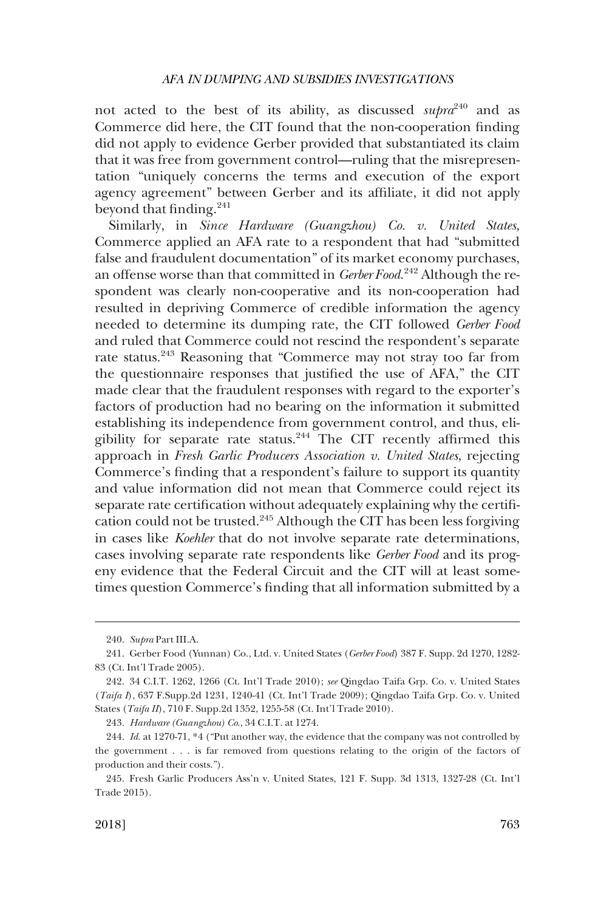not acted to the best of its ability, as discussed *supra*<sup>240</sup> and as Commerce did here, the CIT found that the non-cooperation finding did not apply to evidence Gerber provided that substantiated its claim that it was free from government control—ruling that the misrepresentation "uniquely concerns the terms and execution of the export agency agreement" between Gerber and its affiliate, it did not apply beyond that finding.<sup>241</sup>

Similarly, in *Since Hardware (Guangzhou) Co. v. United States*, Commerce applied an AFA rate to a respondent that had "submitted false and fraudulent documentation" of its market economy purchases, an offense worse than that committed in *Gerber Food*. 242 Although the respondent was clearly non-cooperative and its non-cooperation had resulted in depriving Commerce of credible information the agency needed to determine its dumping rate, the CIT followed *Gerber Food*  and ruled that Commerce could not rescind the respondent's separate rate status.<sup>243</sup> Reasoning that "Commerce may not stray too far from the questionnaire responses that justified the use of AFA," the CIT made clear that the fraudulent responses with regard to the exporter's factors of production had no bearing on the information it submitted establishing its independence from government control, and thus, eligibility for separate rate status.244 The CIT recently affirmed this approach in *Fresh Garlic Producers Association v. United States*, rejecting Commerce's finding that a respondent's failure to support its quantity and value information did not mean that Commerce could reject its separate rate certification without adequately explaining why the certification could not be trusted.245 Although the CIT has been less forgiving in cases like *Koehler* that do not involve separate rate determinations, cases involving separate rate respondents like *Gerber Food* and its progeny evidence that the Federal Circuit and the CIT will at least sometimes question Commerce's finding that all information submitted by a

<sup>240.</sup> *Supra* Part III.A.

<sup>241.</sup> Gerber Food (Yunnan) Co., Ltd. v. United States (*Gerber Food*) 387 F. Supp. 2d 1270, 1282- 83 (Ct. Int'l Trade 2005).

<sup>242. 34</sup> C.I.T. 1262, 1266 (Ct. Int'l Trade 2010); *see* Qingdao Taifa Grp. Co. v. United States (*Taifa I*), 637 F.Supp.2d 1231, 1240-41 (Ct. Int'l Trade 2009); Qingdao Taifa Grp. Co. v. United States (*Taifa II*), 710 F. Supp.2d 1352, 1255-58 (Ct. Int'l Trade 2010).

<sup>243.</sup> *Hardware (Guangzhou) Co*., 34 C.I.T. at 1274.

<sup>244.</sup> *Id*. at 1270-71, \*4 ("Put another way, the evidence that the company was not controlled by the government . . . is far removed from questions relating to the origin of the factors of production and their costs.").

<sup>245.</sup> Fresh Garlic Producers Ass'n v. United States, 121 F. Supp. 3d 1313, 1327-28 (Ct. Int'l Trade 2015).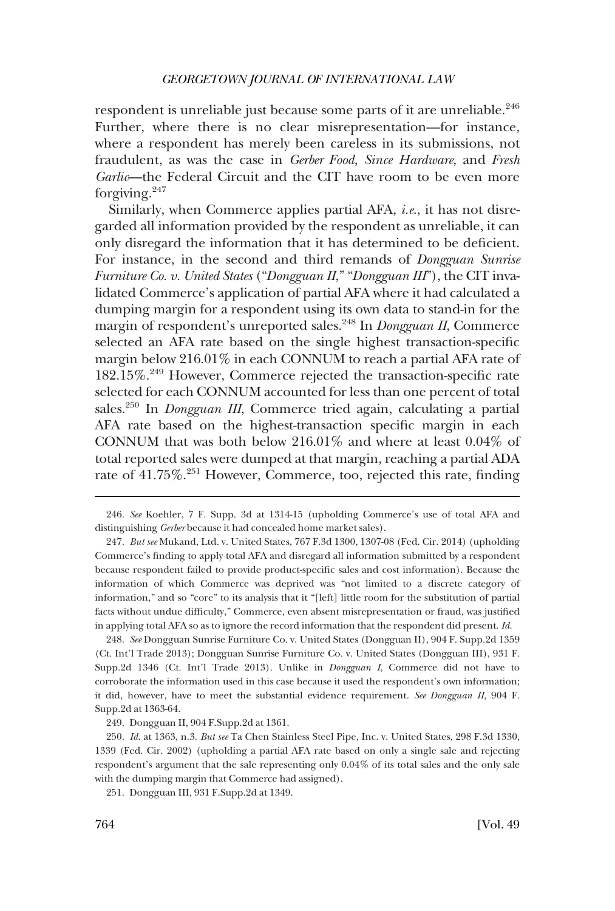respondent is unreliable just because some parts of it are unreliable.<sup>246</sup> Further, where there is no clear misrepresentation—for instance, where a respondent has merely been careless in its submissions, not fraudulent, as was the case in *Gerber Food*, *Since Hardware*, and *Fresh Garlic*—the Federal Circuit and the CIT have room to be even more forgiving.<sup>247</sup>

Similarly, when Commerce applies partial AFA, *i.e*., it has not disregarded all information provided by the respondent as unreliable, it can only disregard the information that it has determined to be deficient. For instance, in the second and third remands of *Dongguan Sunrise Furniture Co. v. United States* ("*Dongguan II*," "*Dongguan III*"), the CIT invalidated Commerce's application of partial AFA where it had calculated a dumping margin for a respondent using its own data to stand-in for the margin of respondent's unreported sales.<sup>248</sup> In *Dongguan II*, Commerce selected an AFA rate based on the single highest transaction-specific margin below 216.01% in each CONNUM to reach a partial AFA rate of 182.15%.249 However, Commerce rejected the transaction-specific rate selected for each CONNUM accounted for less than one percent of total sales.250 In *Dongguan III*, Commerce tried again, calculating a partial AFA rate based on the highest-transaction specific margin in each CONNUM that was both below 216.01% and where at least 0.04% of total reported sales were dumped at that margin, reaching a partial ADA rate of 41.75%.<sup>251</sup> However, Commerce, too, rejected this rate, finding

248. *See* Dongguan Sunrise Furniture Co. v. United States (Dongguan II), 904 F. Supp.2d 1359 (Ct. Int'l Trade 2013); Dongguan Sunrise Furniture Co. v. United States (Dongguan III), 931 F. Supp.2d 1346 (Ct. Int'l Trade 2013). Unlike in *Dongguan I*, Commerce did not have to corroborate the information used in this case because it used the respondent's own information; it did, however, have to meet the substantial evidence requirement. *See Dongguan II*, 904 F. Supp.2d at 1363-64.

249. Dongguan II, 904 F.Supp.2d at 1361.

251. Dongguan III, 931 F.Supp.2d at 1349.

<sup>246.</sup> *See* Koehler, 7 F. Supp. 3d at 1314-15 (upholding Commerce's use of total AFA and distinguishing *Gerber* because it had concealed home market sales).

<sup>247.</sup> *But see* Mukand, Ltd. v. United States, 767 F.3d 1300, 1307-08 (Fed. Cir. 2014) (upholding Commerce's finding to apply total AFA and disregard all information submitted by a respondent because respondent failed to provide product-specific sales and cost information). Because the information of which Commerce was deprived was "not limited to a discrete category of information," and so "core" to its analysis that it "[left] little room for the substitution of partial facts without undue difficulty," Commerce, even absent misrepresentation or fraud, was justified in applying total AFA so as to ignore the record information that the respondent did present. *Id*.

<sup>250.</sup> *Id*. at 1363, n.3. *But see* Ta Chen Stainless Steel Pipe, Inc. v. United States, 298 F.3d 1330, 1339 (Fed. Cir. 2002) (upholding a partial AFA rate based on only a single sale and rejecting respondent's argument that the sale representing only 0.04% of its total sales and the only sale with the dumping margin that Commerce had assigned).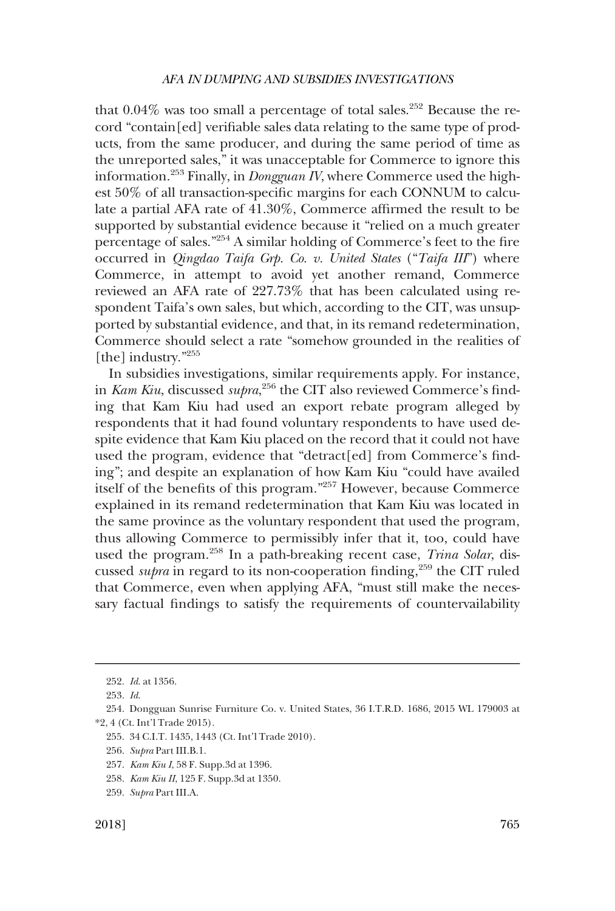that  $0.04\%$  was too small a percentage of total sales.<sup>252</sup> Because the record "contain[ed] verifiable sales data relating to the same type of products, from the same producer, and during the same period of time as the unreported sales," it was unacceptable for Commerce to ignore this information.253 Finally, in *Dongguan IV*, where Commerce used the highest 50% of all transaction-specific margins for each CONNUM to calculate a partial AFA rate of 41.30%, Commerce affirmed the result to be supported by substantial evidence because it "relied on a much greater percentage of sales."254 A similar holding of Commerce's feet to the fire occurred in *Qingdao Taifa Grp. Co. v. United States* ("*Taifa III*") where Commerce, in attempt to avoid yet another remand, Commerce reviewed an AFA rate of 227.73% that has been calculated using respondent Taifa's own sales, but which, according to the CIT, was unsupported by substantial evidence, and that, in its remand redetermination, Commerce should select a rate "somehow grounded in the realities of [the] industry."255

In subsidies investigations, similar requirements apply. For instance, in *Kam Kiu*, discussed *supra*, 256 the CIT also reviewed Commerce's finding that Kam Kiu had used an export rebate program alleged by respondents that it had found voluntary respondents to have used despite evidence that Kam Kiu placed on the record that it could not have used the program, evidence that "detract[ed] from Commerce's finding"; and despite an explanation of how Kam Kiu "could have availed itself of the benefits of this program."257 However, because Commerce explained in its remand redetermination that Kam Kiu was located in the same province as the voluntary respondent that used the program, thus allowing Commerce to permissibly infer that it, too, could have used the program.258 In a path-breaking recent case, *Trina Solar*, discussed *supra* in regard to its non-cooperation finding,<sup>259</sup> the CIT ruled that Commerce, even when applying AFA, "must still make the necessary factual findings to satisfy the requirements of countervailability

<sup>252.</sup> *Id*. at 1356.

<sup>253.</sup> *Id*.

<sup>254.</sup> Dongguan Sunrise Furniture Co. v. United States, 36 I.T.R.D. 1686, 2015 WL 179003 at \*2, 4 (Ct. Int'l Trade 2015).

<sup>255. 34</sup> C.I.T. 1435, 1443 (Ct. Int'l Trade 2010).

<sup>256.</sup> *Supra* Part III.B.1.

<sup>257.</sup> *Kam Kiu I*, 58 F. Supp.3d at 1396.

<sup>258.</sup> *Kam Kiu II*, 125 F. Supp.3d at 1350.

<sup>259.</sup> *Supra* Part III.A.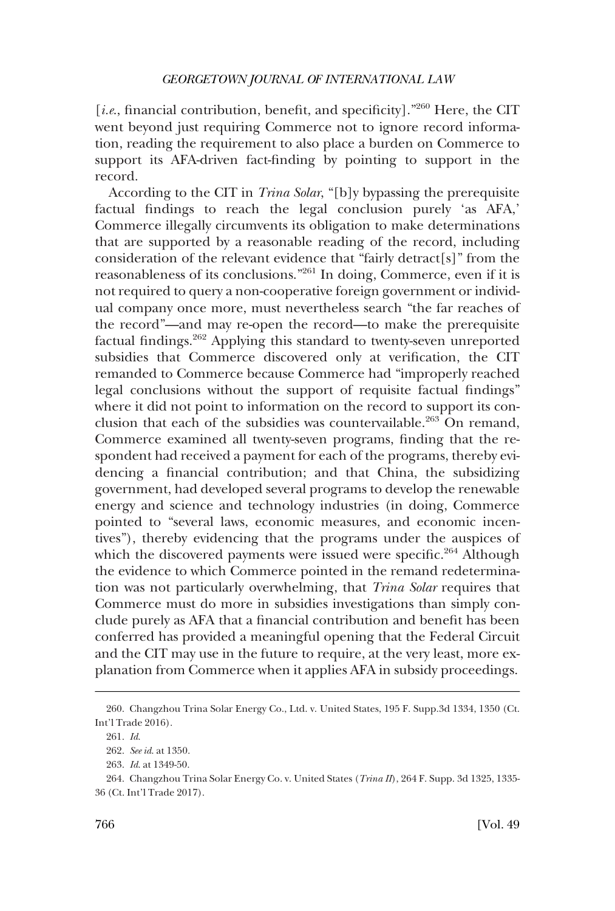[*i.e.*, financial contribution, benefit, and specificity].<sup>"260</sup> Here, the CIT went beyond just requiring Commerce not to ignore record information, reading the requirement to also place a burden on Commerce to support its AFA-driven fact-finding by pointing to support in the record.

According to the CIT in *Trina Solar*, "[b]y bypassing the prerequisite factual findings to reach the legal conclusion purely 'as AFA,' Commerce illegally circumvents its obligation to make determinations that are supported by a reasonable reading of the record, including consideration of the relevant evidence that "fairly detract[s]" from the reasonableness of its conclusions."261 In doing, Commerce, even if it is not required to query a non-cooperative foreign government or individual company once more, must nevertheless search "the far reaches of the record"—and may re-open the record—to make the prerequisite factual findings.262 Applying this standard to twenty-seven unreported subsidies that Commerce discovered only at verification, the CIT remanded to Commerce because Commerce had "improperly reached legal conclusions without the support of requisite factual findings" where it did not point to information on the record to support its conclusion that each of the subsidies was countervailable. $263$  On remand, Commerce examined all twenty-seven programs, finding that the respondent had received a payment for each of the programs, thereby evidencing a financial contribution; and that China, the subsidizing government, had developed several programs to develop the renewable energy and science and technology industries (in doing, Commerce pointed to "several laws, economic measures, and economic incentives"), thereby evidencing that the programs under the auspices of which the discovered payments were issued were specific.<sup>264</sup> Although the evidence to which Commerce pointed in the remand redetermination was not particularly overwhelming, that *Trina Solar* requires that Commerce must do more in subsidies investigations than simply conclude purely as AFA that a financial contribution and benefit has been conferred has provided a meaningful opening that the Federal Circuit and the CIT may use in the future to require, at the very least, more explanation from Commerce when it applies AFA in subsidy proceedings.

<sup>260.</sup> Changzhou Trina Solar Energy Co., Ltd. v. United States, 195 F. Supp.3d 1334, 1350 (Ct. Int'l Trade 2016).

<sup>261.</sup> *Id*.

<sup>262.</sup> *See id*. at 1350.

<sup>263.</sup> *Id*. at 1349-50.

<sup>264.</sup> Changzhou Trina Solar Energy Co. v. United States (*Trina II*), 264 F. Supp. 3d 1325, 1335- 36 (Ct. Int'l Trade 2017).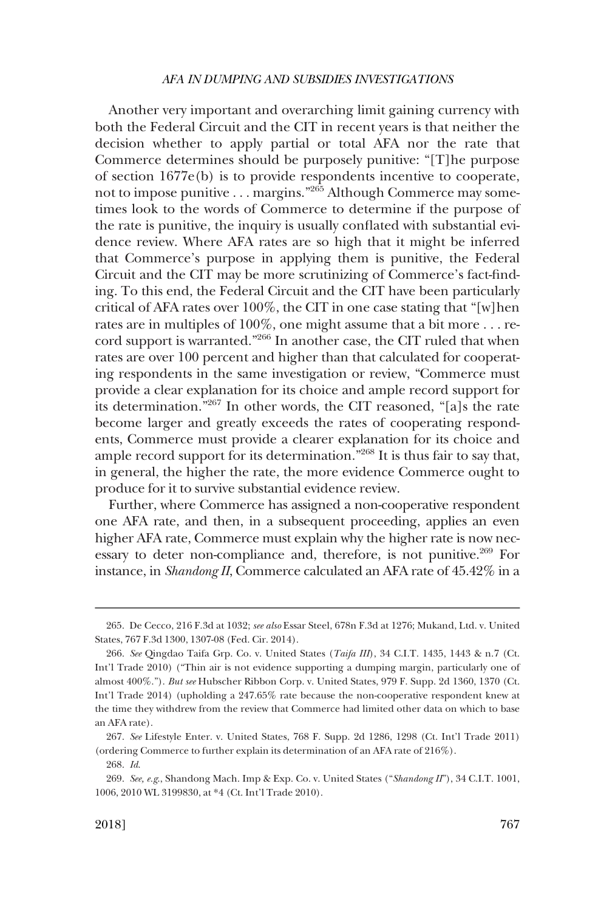Another very important and overarching limit gaining currency with both the Federal Circuit and the CIT in recent years is that neither the decision whether to apply partial or total AFA nor the rate that Commerce determines should be purposely punitive: "[T]he purpose of section 1677e(b) is to provide respondents incentive to cooperate, not to impose punitive . . . margins."265 Although Commerce may sometimes look to the words of Commerce to determine if the purpose of the rate is punitive, the inquiry is usually conflated with substantial evidence review. Where AFA rates are so high that it might be inferred that Commerce's purpose in applying them is punitive, the Federal Circuit and the CIT may be more scrutinizing of Commerce's fact-finding. To this end, the Federal Circuit and the CIT have been particularly critical of AFA rates over 100%, the CIT in one case stating that "[w]hen rates are in multiples of 100%, one might assume that a bit more . . . record support is warranted."266 In another case, the CIT ruled that when rates are over 100 percent and higher than that calculated for cooperating respondents in the same investigation or review, "Commerce must provide a clear explanation for its choice and ample record support for its determination."267 In other words, the CIT reasoned, "[a]s the rate become larger and greatly exceeds the rates of cooperating respondents, Commerce must provide a clearer explanation for its choice and ample record support for its determination."268 It is thus fair to say that, in general, the higher the rate, the more evidence Commerce ought to produce for it to survive substantial evidence review.

Further, where Commerce has assigned a non-cooperative respondent one AFA rate, and then, in a subsequent proceeding, applies an even higher AFA rate, Commerce must explain why the higher rate is now necessary to deter non-compliance and, therefore, is not punitive.<sup>269</sup> For instance, in *Shandong II*, Commerce calculated an AFA rate of 45.42% in a

<sup>265.</sup> De Cecco, 216 F.3d at 1032; *see also* Essar Steel, 678n F.3d at 1276; Mukand, Ltd. v. United States, 767 F.3d 1300, 1307-08 (Fed. Cir. 2014).

<sup>266.</sup> *See* Qingdao Taifa Grp. Co. v. United States (*Taifa III*), 34 C.I.T. 1435, 1443 & n.7 (Ct. Int'l Trade 2010) ("Thin air is not evidence supporting a dumping margin, particularly one of almost 400%."). *But see* Hubscher Ribbon Corp. v. United States, 979 F. Supp. 2d 1360, 1370 (Ct. Int'l Trade 2014) (upholding a 247.65% rate because the non-cooperative respondent knew at the time they withdrew from the review that Commerce had limited other data on which to base an AFA rate).

<sup>267.</sup> *See* Lifestyle Enter. v. United States, 768 F. Supp. 2d 1286, 1298 (Ct. Int'l Trade 2011) (ordering Commerce to further explain its determination of an AFA rate of 216%).

<sup>268.</sup> *Id*.

<sup>269.</sup> *See, e.g*., Shandong Mach. Imp & Exp. Co. v. United States ("*Shandong II*"), 34 C.I.T. 1001, 1006, 2010 WL 3199830, at \*4 (Ct. Int'l Trade 2010).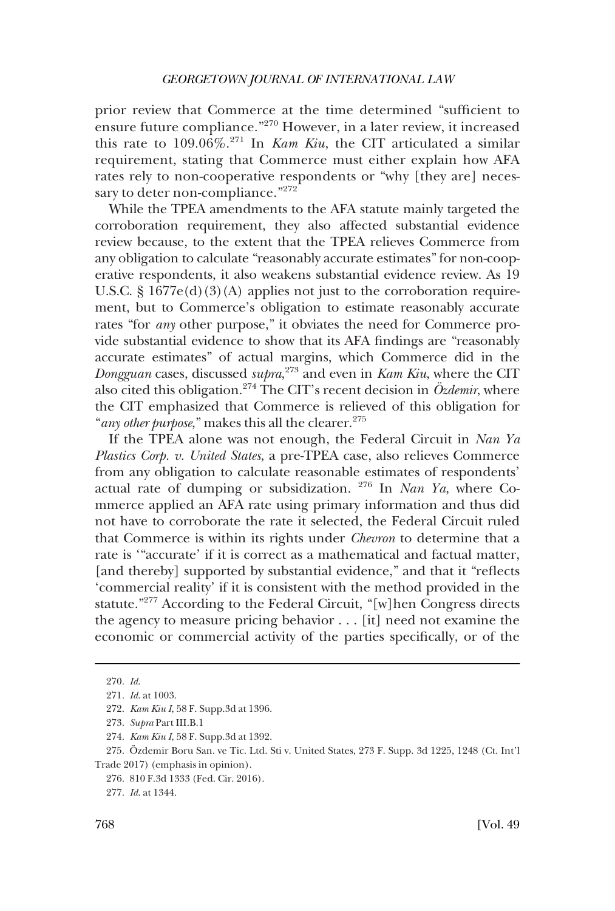prior review that Commerce at the time determined "sufficient to ensure future compliance."<sup>270</sup> However, in a later review, it increased this rate to 109.06%.271 In *Kam Kiu*, the CIT articulated a similar requirement, stating that Commerce must either explain how AFA rates rely to non-cooperative respondents or "why [they are] necessary to deter non-compliance."272

While the TPEA amendments to the AFA statute mainly targeted the corroboration requirement, they also affected substantial evidence review because, to the extent that the TPEA relieves Commerce from any obligation to calculate "reasonably accurate estimates" for non-cooperative respondents, it also weakens substantial evidence review. As 19 U.S.C.  $\S 1677e(d)(3)(A)$  applies not just to the corroboration requirement, but to Commerce's obligation to estimate reasonably accurate rates "for *any* other purpose," it obviates the need for Commerce provide substantial evidence to show that its AFA findings are "reasonably accurate estimates" of actual margins, which Commerce did in the *Dongguan* cases, discussed *supra*, 273 and even in *Kam Kiu*, where the CIT also cited this obligation.<sup>274</sup> The CIT's recent decision in  $\ddot{O}z$ *demir*, where the CIT emphasized that Commerce is relieved of this obligation for "*any other purpose*," makes this all the clearer.<sup>275</sup>

If the TPEA alone was not enough, the Federal Circuit in *Nan Ya Plastics Corp. v. United States*, a pre-TPEA case, also relieves Commerce from any obligation to calculate reasonable estimates of respondents' actual rate of dumping or subsidization. 276 In *Nan Ya*, where Commerce applied an AFA rate using primary information and thus did not have to corroborate the rate it selected, the Federal Circuit ruled that Commerce is within its rights under *Chevron* to determine that a rate is '"accurate' if it is correct as a mathematical and factual matter, [and thereby] supported by substantial evidence," and that it "reflects 'commercial reality' if it is consistent with the method provided in the statute."277 According to the Federal Circuit, "[w]hen Congress directs the agency to measure pricing behavior . . . [it] need not examine the economic or commercial activity of the parties specifically, or of the

<sup>270.</sup> *Id*.

<sup>271.</sup> *Id*. at 1003.

<sup>272.</sup> *Kam Kiu I*, 58 F. Supp.3d at 1396.

<sup>273.</sup> *Supra* Part III.B.1

<sup>274.</sup> *Kam Kiu I*, 58 F. Supp.3d at 1392.

<sup>275.</sup> Özdemir Boru San. ve Tic. Ltd. Sti v. United States, 273 F. Supp. 3d 1225, 1248 (Ct. Int'l Trade 2017) (emphasis in opinion).

<sup>276. 810</sup> F.3d 1333 (Fed. Cir. 2016).

<sup>277.</sup> *Id*. at 1344.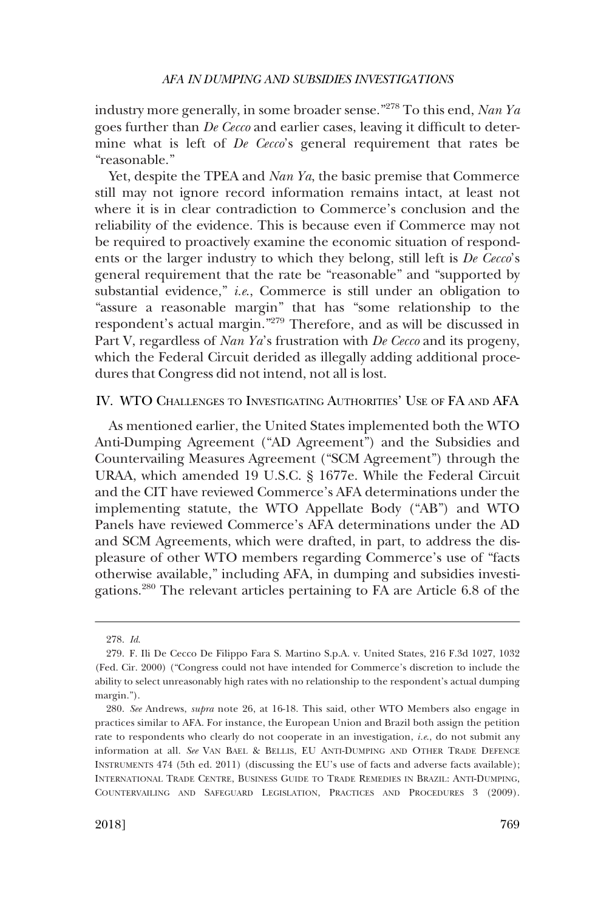industry more generally, in some broader sense."278 To this end, *Nan Ya*  goes further than *De Cecco* and earlier cases, leaving it difficult to determine what is left of *De Cecco*'s general requirement that rates be "reasonable."

Yet, despite the TPEA and *Nan Ya*, the basic premise that Commerce still may not ignore record information remains intact, at least not where it is in clear contradiction to Commerce's conclusion and the reliability of the evidence. This is because even if Commerce may not be required to proactively examine the economic situation of respondents or the larger industry to which they belong, still left is *De Cecco*'s general requirement that the rate be "reasonable" and "supported by substantial evidence," *i.e*., Commerce is still under an obligation to "assure a reasonable margin" that has "some relationship to the respondent's actual margin."279 Therefore, and as will be discussed in Part V, regardless of *Nan Ya*'s frustration with *De Cecco* and its progeny, which the Federal Circuit derided as illegally adding additional procedures that Congress did not intend, not all is lost.

## IV. WTO CHALLENGES TO INVESTIGATING AUTHORITIES' USE OF FA AND AFA

As mentioned earlier, the United States implemented both the WTO Anti-Dumping Agreement ("AD Agreement") and the Subsidies and Countervailing Measures Agreement ("SCM Agreement") through the URAA, which amended 19 U.S.C. § 1677e. While the Federal Circuit and the CIT have reviewed Commerce's AFA determinations under the implementing statute, the WTO Appellate Body ("AB") and WTO Panels have reviewed Commerce's AFA determinations under the AD and SCM Agreements, which were drafted, in part, to address the displeasure of other WTO members regarding Commerce's use of "facts otherwise available," including AFA, in dumping and subsidies investigations.280 The relevant articles pertaining to FA are Article 6.8 of the

<sup>278.</sup> *Id*.

<sup>279.</sup> F. Ili De Cecco De Filippo Fara S. Martino S.p.A. v. United States, 216 F.3d 1027, 1032 (Fed. Cir. 2000) ("Congress could not have intended for Commerce's discretion to include the ability to select unreasonably high rates with no relationship to the respondent's actual dumping margin.").

<sup>280.</sup> *See* Andrews, *supra* note 26, at 16-18. This said, other WTO Members also engage in practices similar to AFA. For instance, the European Union and Brazil both assign the petition rate to respondents who clearly do not cooperate in an investigation, *i.e*., do not submit any information at all. *See* VAN BAEL & BELLIS, EU ANTI-DUMPING AND OTHER TRADE DEFENCE INSTRUMENTS 474 (5th ed. 2011) (discussing the EU's use of facts and adverse facts available); INTERNATIONAL TRADE CENTRE, BUSINESS GUIDE TO TRADE REMEDIES IN BRAZIL: ANTI-DUMPING, COUNTERVAILING AND SAFEGUARD LEGISLATION, PRACTICES AND PROCEDURES 3 (2009).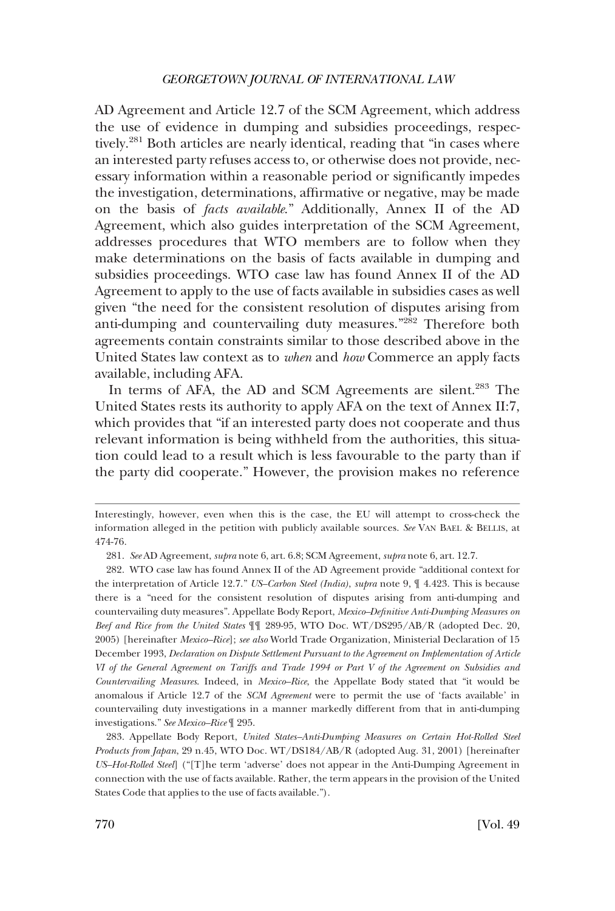AD Agreement and Article 12.7 of the SCM Agreement, which address the use of evidence in dumping and subsidies proceedings, respectively.<sup>281</sup> Both articles are nearly identical, reading that "in cases where an interested party refuses access to, or otherwise does not provide, necessary information within a reasonable period or significantly impedes the investigation, determinations, affirmative or negative, may be made on the basis of *facts available*." Additionally, Annex II of the AD Agreement, which also guides interpretation of the SCM Agreement, addresses procedures that WTO members are to follow when they make determinations on the basis of facts available in dumping and subsidies proceedings. WTO case law has found Annex II of the AD Agreement to apply to the use of facts available in subsidies cases as well given "the need for the consistent resolution of disputes arising from anti-dumping and countervailing duty measures."282 Therefore both agreements contain constraints similar to those described above in the United States law context as to *when* and *how* Commerce an apply facts available, including AFA.

In terms of AFA, the AD and SCM Agreements are silent.<sup>283</sup> The United States rests its authority to apply AFA on the text of Annex II:7, which provides that "if an interested party does not cooperate and thus relevant information is being withheld from the authorities, this situation could lead to a result which is less favourable to the party than if the party did cooperate." However, the provision makes no reference

Interestingly, however, even when this is the case, the EU will attempt to cross-check the information alleged in the petition with publicly available sources. *See* VAN BAEL & BELLIS, at 474-76.

<sup>281.</sup> *See* AD Agreement, *supra* note 6, art. 6.8; SCM Agreement, *supra* note 6, art. 12.7.

<sup>282.</sup> WTO case law has found Annex II of the AD Agreement provide "additional context for the interpretation of Article 12.7." *US–Carbon Steel (India)*, *supra* note 9, ¶ 4.423. This is because there is a "need for the consistent resolution of disputes arising from anti-dumping and countervailing duty measures". Appellate Body Report, *Mexico–Definitive Anti-Dumping Measures on Beef and Rice from the United States* ¶¶ 289-95, WTO Doc. WT/DS295/AB/R (adopted Dec. 20, 2005) [hereinafter *Mexico–Rice*]; *see also* World Trade Organization, Ministerial Declaration of 15 December 1993, *Declaration on Dispute Settlement Pursuant to the Agreement on Implementation of Article VI of the General Agreement on Tariffs and Trade 1994 or Part V of the Agreement on Subsidies and Countervailing Measures*. Indeed, in *Mexico–Rice*, the Appellate Body stated that "it would be anomalous if Article 12.7 of the *SCM Agreement* were to permit the use of 'facts available' in countervailing duty investigations in a manner markedly different from that in anti-dumping investigations." *See Mexico–Rice* ¶ 295.

<sup>283.</sup> Appellate Body Report, *United States–Anti-Dumping Measures on Certain Hot-Rolled Steel Products from Japan*, 29 n.45, WTO Doc. WT/DS184/AB/R (adopted Aug. 31, 2001) [hereinafter *US–Hot-Rolled Steel*] ("[T]he term 'adverse' does not appear in the Anti-Dumping Agreement in connection with the use of facts available. Rather, the term appears in the provision of the United States Code that applies to the use of facts available.").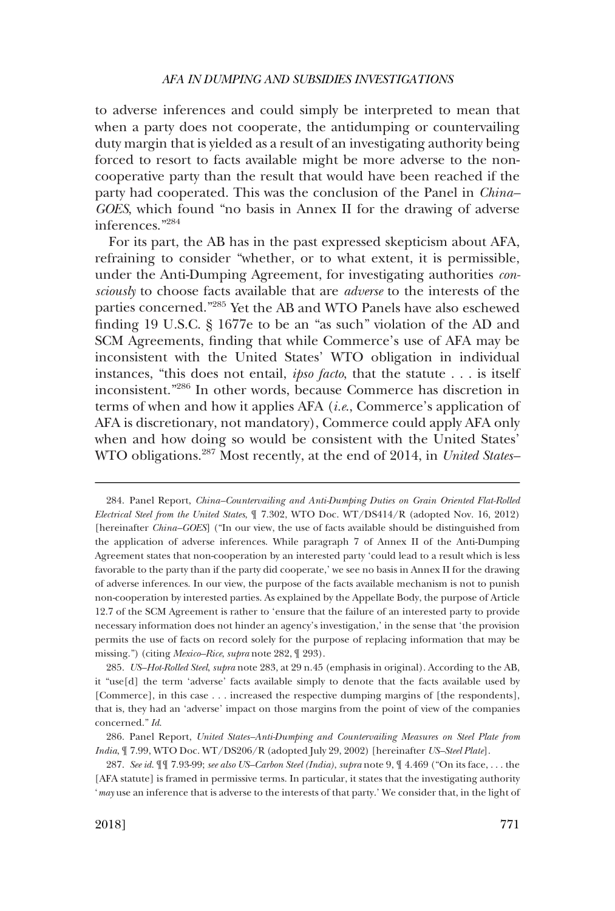to adverse inferences and could simply be interpreted to mean that when a party does not cooperate, the antidumping or countervailing duty margin that is yielded as a result of an investigating authority being forced to resort to facts available might be more adverse to the noncooperative party than the result that would have been reached if the party had cooperated. This was the conclusion of the Panel in *China– GOES*, which found "no basis in Annex II for the drawing of adverse inferences."284

For its part, the AB has in the past expressed skepticism about AFA, refraining to consider "whether, or to what extent, it is permissible, under the Anti-Dumping Agreement, for investigating authorities *consciously* to choose facts available that are *adverse* to the interests of the parties concerned."285 Yet the AB and WTO Panels have also eschewed finding 19 U.S.C. § 1677e to be an "as such" violation of the AD and SCM Agreements, finding that while Commerce's use of AFA may be inconsistent with the United States' WTO obligation in individual instances, "this does not entail, *ipso facto*, that the statute . . . is itself inconsistent."286 In other words, because Commerce has discretion in terms of when and how it applies AFA (*i.e*., Commerce's application of AFA is discretionary, not mandatory), Commerce could apply AFA only when and how doing so would be consistent with the United States' WTO obligations.287 Most recently, at the end of 2014, in *United States–* 

<sup>284.</sup> Panel Report, *China–Countervailing and Anti-Dumping Duties on Grain Oriented Flat-Rolled Electrical Steel from the United States*, ¶ 7.302, WTO Doc. WT/DS414/R (adopted Nov. 16, 2012) [hereinafter *China–GOES*] ("In our view, the use of facts available should be distinguished from the application of adverse inferences. While paragraph 7 of Annex II of the Anti-Dumping Agreement states that non-cooperation by an interested party 'could lead to a result which is less favorable to the party than if the party did cooperate,' we see no basis in Annex II for the drawing of adverse inferences. In our view, the purpose of the facts available mechanism is not to punish non-cooperation by interested parties. As explained by the Appellate Body, the purpose of Article 12.7 of the SCM Agreement is rather to 'ensure that the failure of an interested party to provide necessary information does not hinder an agency's investigation,' in the sense that 'the provision permits the use of facts on record solely for the purpose of replacing information that may be missing.") (citing *Mexico–Rice*, *supra* note 282, ¶ 293).

<sup>285.</sup> *US–Hot-Rolled Steel*, *supra* note 283, at 29 n.45 (emphasis in original). According to the AB, it "use[d] the term 'adverse' facts available simply to denote that the facts available used by [Commerce], in this case . . . increased the respective dumping margins of [the respondents], that is, they had an 'adverse' impact on those margins from the point of view of the companies concerned." *Id*.

<sup>286.</sup> Panel Report, *United States–Anti-Dumping and Countervailing Measures on Steel Plate from India*, ¶ 7.99, WTO Doc. WT/DS206/R (adopted July 29, 2002) [hereinafter *US–Steel Plate*].

<sup>287.</sup> *See id*. ¶¶ 7.93-99; *see also US–Carbon Steel (India)*, *supra* note 9, ¶ 4.469 ("On its face, . . . the [AFA statute] is framed in permissive terms. In particular, it states that the investigating authority '*may* use an inference that is adverse to the interests of that party.' We consider that, in the light of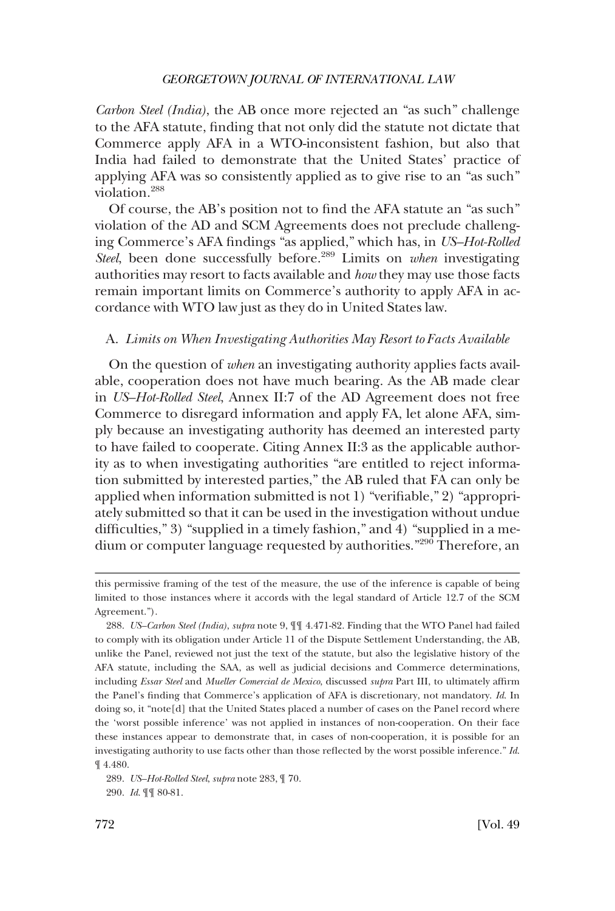*Carbon Steel (India)*, the AB once more rejected an "as such" challenge to the AFA statute, finding that not only did the statute not dictate that Commerce apply AFA in a WTO-inconsistent fashion, but also that India had failed to demonstrate that the United States' practice of applying AFA was so consistently applied as to give rise to an "as such" violation.288

Of course, the AB's position not to find the AFA statute an "as such" violation of the AD and SCM Agreements does not preclude challenging Commerce's AFA findings "as applied," which has, in *US–Hot-Rolled Steel*, been done successfully before.<sup>289</sup> Limits on *when* investigating authorities may resort to facts available and *how* they may use those facts remain important limits on Commerce's authority to apply AFA in accordance with WTO law just as they do in United States law.

## A. *Limits on When Investigating Authorities May Resort to Facts Available*

On the question of *when* an investigating authority applies facts available, cooperation does not have much bearing. As the AB made clear in *US–Hot-Rolled Steel*, Annex II:7 of the AD Agreement does not free Commerce to disregard information and apply FA, let alone AFA, simply because an investigating authority has deemed an interested party to have failed to cooperate. Citing Annex II:3 as the applicable authority as to when investigating authorities "are entitled to reject information submitted by interested parties," the AB ruled that FA can only be applied when information submitted is not 1) "verifiable," 2) "appropriately submitted so that it can be used in the investigation without undue difficulties," 3) "supplied in a timely fashion," and 4) "supplied in a medium or computer language requested by authorities."<sup>290</sup> Therefore, an

this permissive framing of the test of the measure, the use of the inference is capable of being limited to those instances where it accords with the legal standard of Article 12.7 of the SCM Agreement.").

<sup>288.</sup> *US–Carbon Steel (India)*, *supra* note 9, ¶¶ 4.471-82. Finding that the WTO Panel had failed to comply with its obligation under Article 11 of the Dispute Settlement Understanding, the AB, unlike the Panel, reviewed not just the text of the statute, but also the legislative history of the AFA statute, including the SAA, as well as judicial decisions and Commerce determinations, including *Essar Steel* and *Mueller Comercial de Mexico*, discussed *supra* Part III, to ultimately affirm the Panel's finding that Commerce's application of AFA is discretionary, not mandatory. *Id*. In doing so, it "note[d] that the United States placed a number of cases on the Panel record where the 'worst possible inference' was not applied in instances of non-cooperation. On their face these instances appear to demonstrate that, in cases of non-cooperation, it is possible for an investigating authority to use facts other than those reflected by the worst possible inference." *Id*. ¶ 4.480.

<sup>289.</sup> *US–Hot-Rolled Steel*, *supra* note 283, ¶ 70. 290. *Id*. ¶¶ 80-81.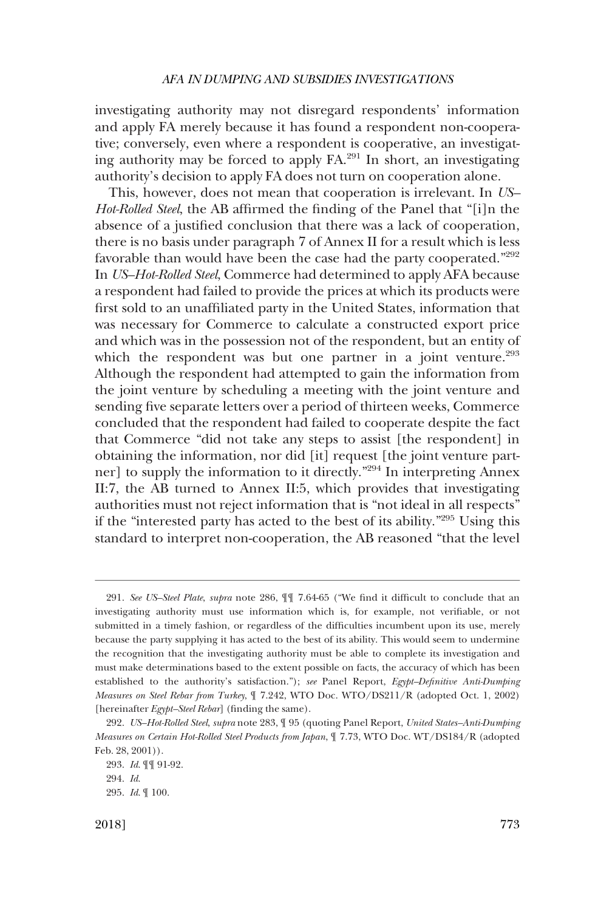investigating authority may not disregard respondents' information and apply FA merely because it has found a respondent non-cooperative; conversely, even where a respondent is cooperative, an investigating authority may be forced to apply  $FA<sup>291</sup>$  In short, an investigating authority's decision to apply FA does not turn on cooperation alone.

This, however, does not mean that cooperation is irrelevant. In *US– Hot-Rolled Steel*, the AB affirmed the finding of the Panel that "[i]n the absence of a justified conclusion that there was a lack of cooperation, there is no basis under paragraph 7 of Annex II for a result which is less favorable than would have been the case had the party cooperated."<sup>292</sup> In *US–Hot-Rolled Steel*, Commerce had determined to apply AFA because a respondent had failed to provide the prices at which its products were first sold to an unaffiliated party in the United States, information that was necessary for Commerce to calculate a constructed export price and which was in the possession not of the respondent, but an entity of which the respondent was but one partner in a joint venture.<sup>293</sup> Although the respondent had attempted to gain the information from the joint venture by scheduling a meeting with the joint venture and sending five separate letters over a period of thirteen weeks, Commerce concluded that the respondent had failed to cooperate despite the fact that Commerce "did not take any steps to assist [the respondent] in obtaining the information, nor did [it] request [the joint venture partner] to supply the information to it directly."<sup>294</sup> In interpreting Annex II:7, the AB turned to Annex II:5, which provides that investigating authorities must not reject information that is "not ideal in all respects" if the "interested party has acted to the best of its ability."295 Using this standard to interpret non-cooperation, the AB reasoned "that the level

<sup>291.</sup> *See US–Steel Plate*, *supra* note 286, ¶¶ 7.64-65 ("We find it difficult to conclude that an investigating authority must use information which is, for example, not verifiable, or not submitted in a timely fashion, or regardless of the difficulties incumbent upon its use, merely because the party supplying it has acted to the best of its ability. This would seem to undermine the recognition that the investigating authority must be able to complete its investigation and must make determinations based to the extent possible on facts, the accuracy of which has been established to the authority's satisfaction."); *see* Panel Report, *Egypt–Definitive Anti-Dumping Measures on Steel Rebar from Turkey*, ¶ 7.242, WTO Doc. WTO/DS211/R (adopted Oct. 1, 2002) [hereinafter *Egypt–Steel Rebar*] (finding the same).

<sup>292.</sup> *US–Hot-Rolled Steel*, *supra* note 283, ¶ 95 (quoting Panel Report, *United States–Anti-Dumping Measures on Certain Hot-Rolled Steel Products from Japan*, ¶ 7.73, WTO Doc. WT/DS184/R (adopted Feb. 28, 2001)).

<sup>293.</sup> *Id*. ¶¶ 91-92.

<sup>294.</sup> *Id*.

<sup>295.</sup> *Id*. ¶ 100.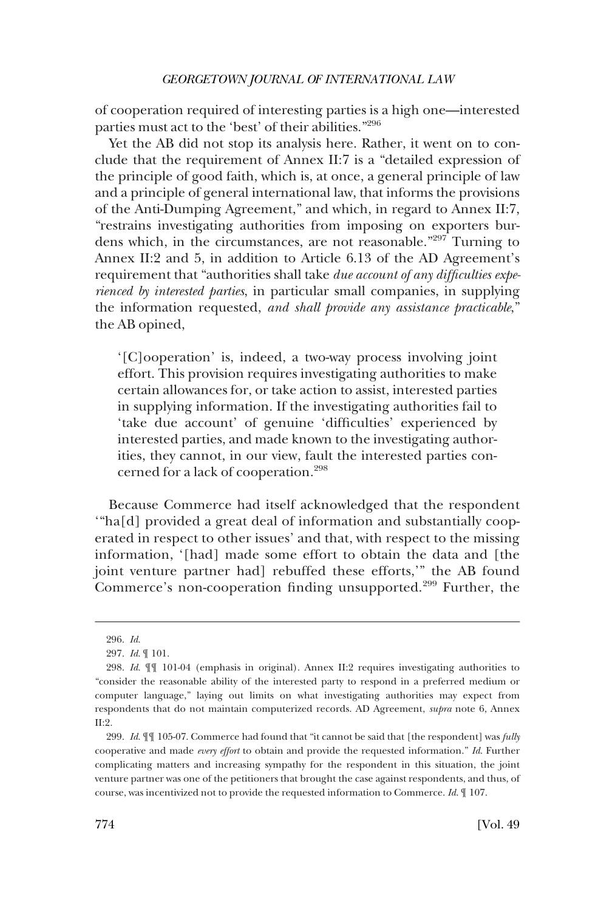of cooperation required of interesting parties is a high one—interested parties must act to the 'best' of their abilities."<sup>296</sup>

Yet the AB did not stop its analysis here. Rather, it went on to conclude that the requirement of Annex II:7 is a "detailed expression of the principle of good faith, which is, at once, a general principle of law and a principle of general international law, that informs the provisions of the Anti-Dumping Agreement," and which, in regard to Annex II:7, "restrains investigating authorities from imposing on exporters burdens which, in the circumstances, are not reasonable."297 Turning to Annex II:2 and 5, in addition to Article 6.13 of the AD Agreement's requirement that "authorities shall take *due account of any difficulties experienced by interested parties*, in particular small companies, in supplying the information requested, *and shall provide any assistance practicable*," the AB opined,

'[C]ooperation' is, indeed, a two-way process involving joint effort. This provision requires investigating authorities to make certain allowances for, or take action to assist, interested parties in supplying information. If the investigating authorities fail to 'take due account' of genuine 'difficulties' experienced by interested parties, and made known to the investigating authorities, they cannot, in our view, fault the interested parties concerned for a lack of cooperation.<sup>298</sup>

Because Commerce had itself acknowledged that the respondent '"ha[d] provided a great deal of information and substantially cooperated in respect to other issues' and that, with respect to the missing information, '[had] made some effort to obtain the data and [the joint venture partner had] rebuffed these efforts,'" the AB found Commerce's non-cooperation finding unsupported.<sup>299</sup> Further, the

<sup>296.</sup> *Id*.

<sup>297.</sup> *Id*. ¶ 101.

<sup>298.</sup> *Id*. ¶¶ 101-04 (emphasis in original). Annex II:2 requires investigating authorities to "consider the reasonable ability of the interested party to respond in a preferred medium or computer language," laying out limits on what investigating authorities may expect from respondents that do not maintain computerized records. AD Agreement, *supra* note 6, Annex II:2.

<sup>299.</sup> *Id*. ¶¶ 105-07. Commerce had found that "it cannot be said that [the respondent] was *fully*  cooperative and made *every effort* to obtain and provide the requested information." *Id*. Further complicating matters and increasing sympathy for the respondent in this situation, the joint venture partner was one of the petitioners that brought the case against respondents, and thus, of course, was incentivized not to provide the requested information to Commerce. *Id*. ¶ 107.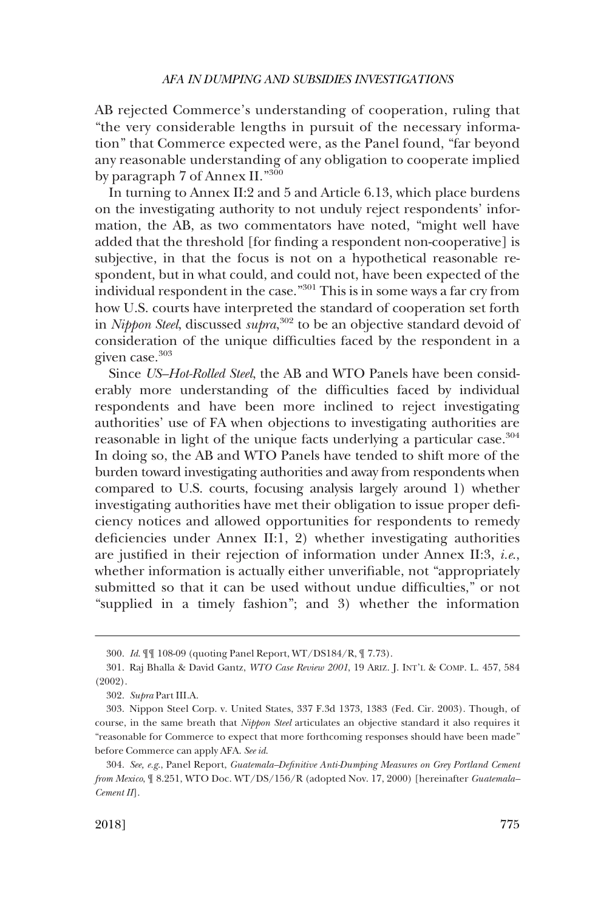AB rejected Commerce's understanding of cooperation, ruling that "the very considerable lengths in pursuit of the necessary information" that Commerce expected were, as the Panel found, "far beyond any reasonable understanding of any obligation to cooperate implied by paragraph 7 of Annex II."<sup>300</sup>

In turning to Annex II:2 and 5 and Article 6.13, which place burdens on the investigating authority to not unduly reject respondents' information, the AB, as two commentators have noted, "might well have added that the threshold [for finding a respondent non-cooperative] is subjective, in that the focus is not on a hypothetical reasonable respondent, but in what could, and could not, have been expected of the individual respondent in the case."301 This is in some ways a far cry from how U.S. courts have interpreted the standard of cooperation set forth in *Nippon Steel*, discussed *supra*, <sup>302</sup> to be an objective standard devoid of consideration of the unique difficulties faced by the respondent in a given case.<sup>303</sup>

Since *US–Hot-Rolled Steel*, the AB and WTO Panels have been considerably more understanding of the difficulties faced by individual respondents and have been more inclined to reject investigating authorities' use of FA when objections to investigating authorities are reasonable in light of the unique facts underlying a particular case.<sup>304</sup> In doing so, the AB and WTO Panels have tended to shift more of the burden toward investigating authorities and away from respondents when compared to U.S. courts, focusing analysis largely around 1) whether investigating authorities have met their obligation to issue proper deficiency notices and allowed opportunities for respondents to remedy deficiencies under Annex II:1, 2) whether investigating authorities are justified in their rejection of information under Annex II:3, *i.e*., whether information is actually either unverifiable, not "appropriately submitted so that it can be used without undue difficulties," or not "supplied in a timely fashion"; and 3) whether the information

<sup>300.</sup> *Id*. ¶¶ 108-09 (quoting Panel Report, WT/DS184/R, ¶ 7.73).

<sup>301.</sup> Raj Bhalla & David Gantz, *WTO Case Review 2001*, 19 ARIZ. J. INT'L & COMP. L. 457, 584 (2002).

<sup>302.</sup> *Supra* Part III.A.

<sup>303.</sup> Nippon Steel Corp. v. United States, 337 F.3d 1373, 1383 (Fed. Cir. 2003). Though, of course, in the same breath that *Nippon Steel* articulates an objective standard it also requires it "reasonable for Commerce to expect that more forthcoming responses should have been made" before Commerce can apply AFA. *See id*.

<sup>304.</sup> *See, e.g*., Panel Report, *Guatemala–Definitive Anti-Dumping Measures on Grey Portland Cement from Mexico*, ¶ 8.251, WTO Doc. WT/DS/156/R (adopted Nov. 17, 2000) [hereinafter *Guatemala– Cement II*].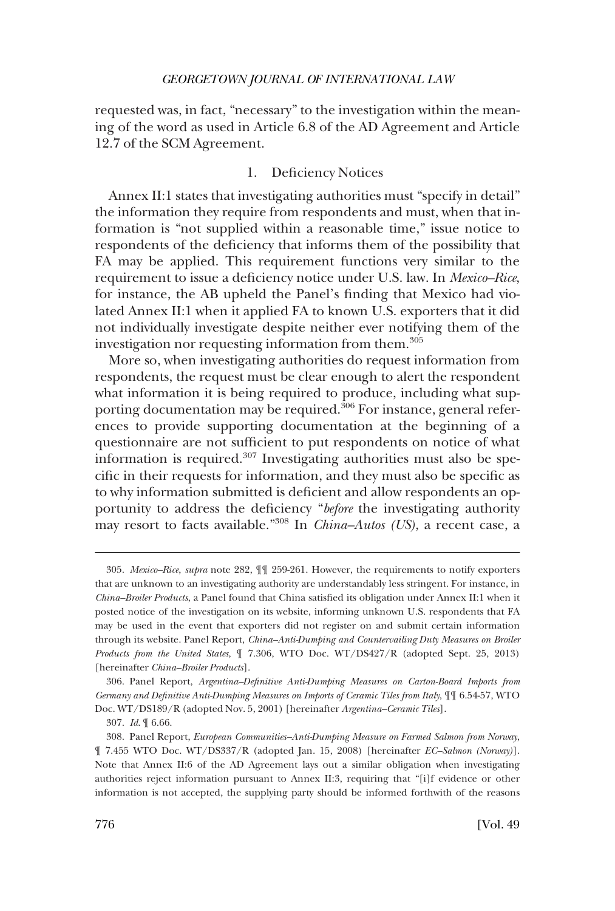requested was, in fact, "necessary" to the investigation within the meaning of the word as used in Article 6.8 of the AD Agreement and Article 12.7 of the SCM Agreement.

## 1. Deficiency Notices

Annex II:1 states that investigating authorities must "specify in detail" the information they require from respondents and must, when that information is "not supplied within a reasonable time," issue notice to respondents of the deficiency that informs them of the possibility that FA may be applied. This requirement functions very similar to the requirement to issue a deficiency notice under U.S. law. In *Mexico–Rice*, for instance, the AB upheld the Panel's finding that Mexico had violated Annex II:1 when it applied FA to known U.S. exporters that it did not individually investigate despite neither ever notifying them of the investigation nor requesting information from them.<sup>305</sup>

More so, when investigating authorities do request information from respondents, the request must be clear enough to alert the respondent what information it is being required to produce, including what supporting documentation may be required.<sup>306</sup> For instance, general references to provide supporting documentation at the beginning of a questionnaire are not sufficient to put respondents on notice of what information is required.307 Investigating authorities must also be specific in their requests for information, and they must also be specific as to why information submitted is deficient and allow respondents an opportunity to address the deficiency "*before* the investigating authority may resort to facts available."308 In *China–Autos (US)*, a recent case, a

<sup>305.</sup> *Mexico–Rice*, *supra* note 282, ¶¶ 259-261. However, the requirements to notify exporters that are unknown to an investigating authority are understandably less stringent. For instance, in *China–Broiler Products*, a Panel found that China satisfied its obligation under Annex II:1 when it posted notice of the investigation on its website, informing unknown U.S. respondents that FA may be used in the event that exporters did not register on and submit certain information through its website. Panel Report, *China–Anti-Dumping and Countervailing Duty Measures on Broiler Products from the United States*, ¶ 7.306, WTO Doc. WT/DS427/R (adopted Sept. 25, 2013) [hereinafter *China–Broiler Products*].

<sup>306.</sup> Panel Report, *Argentina–Definitive Anti-Dumping Measures on Carton-Board Imports from Germany and Definitive Anti-Dumping Measures on Imports of Ceramic Tiles from Italy*, ¶¶ 6.54-57, WTO Doc. WT/DS189/R (adopted Nov. 5, 2001) [hereinafter *Argentina–Ceramic Tiles*].

<sup>307.</sup> *Id*. ¶ 6.66.

<sup>308.</sup> Panel Report, *European Communities–Anti-Dumping Measure on Farmed Salmon from Norway*, ¶ 7.455 WTO Doc. WT/DS337/R (adopted Jan. 15, 2008) [hereinafter *EC–Salmon (Norway)*]. Note that Annex II:6 of the AD Agreement lays out a similar obligation when investigating authorities reject information pursuant to Annex II:3, requiring that "[i]f evidence or other information is not accepted, the supplying party should be informed forthwith of the reasons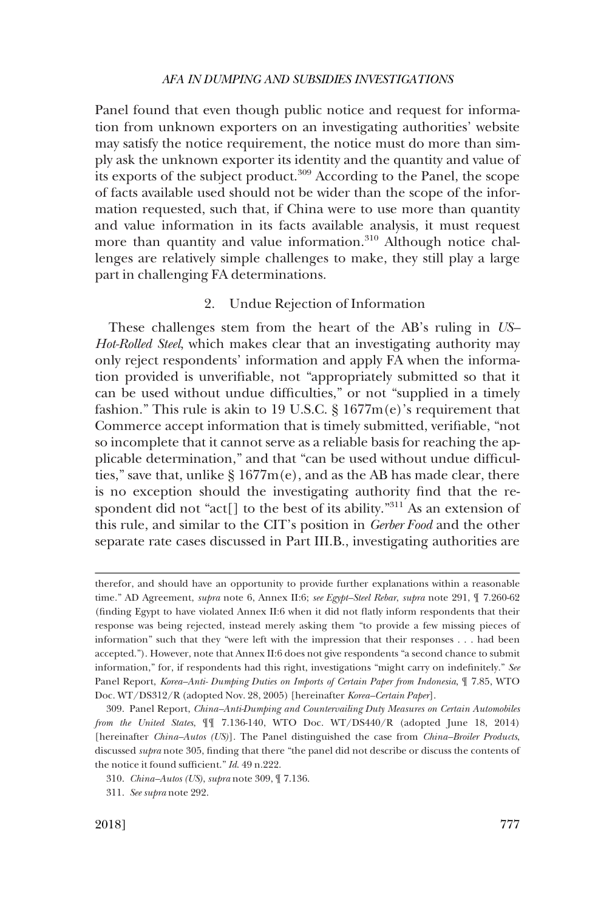Panel found that even though public notice and request for information from unknown exporters on an investigating authorities' website may satisfy the notice requirement, the notice must do more than simply ask the unknown exporter its identity and the quantity and value of its exports of the subject product.309 According to the Panel, the scope of facts available used should not be wider than the scope of the information requested, such that, if China were to use more than quantity and value information in its facts available analysis, it must request more than quantity and value information.<sup>310</sup> Although notice challenges are relatively simple challenges to make, they still play a large part in challenging FA determinations.

# 2. Undue Rejection of Information

These challenges stem from the heart of the AB's ruling in *US– Hot-Rolled Steel*, which makes clear that an investigating authority may only reject respondents' information and apply FA when the information provided is unverifiable, not "appropriately submitted so that it can be used without undue difficulties," or not "supplied in a timely fashion." This rule is akin to 19 U.S.C.  $\S 1677m(e)$ 's requirement that Commerce accept information that is timely submitted, verifiable, "not so incomplete that it cannot serve as a reliable basis for reaching the applicable determination," and that "can be used without undue difficulties," save that, unlike  $\S 1677m(e)$ , and as the AB has made clear, there is no exception should the investigating authority find that the respondent did not "act[] to the best of its ability."<sup>311</sup> As an extension of this rule, and similar to the CIT's position in *Gerber Food* and the other separate rate cases discussed in Part III.B., investigating authorities are

therefor, and should have an opportunity to provide further explanations within a reasonable time." AD Agreement, *supra* note 6, Annex II:6; *see Egypt–Steel Rebar*, *supra* note 291, ¶ 7.260-62 (finding Egypt to have violated Annex II:6 when it did not flatly inform respondents that their response was being rejected, instead merely asking them "to provide a few missing pieces of information" such that they "were left with the impression that their responses . . . had been accepted."). However, note that Annex II:6 does not give respondents "a second chance to submit information," for, if respondents had this right, investigations "might carry on indefinitely." *See*  Panel Report, *Korea–Anti- Dumping Duties on Imports of Certain Paper from Indonesia*, ¶ 7.85, WTO Doc. WT/DS312/R (adopted Nov. 28, 2005) [hereinafter *Korea–Certain Paper*].

<sup>309.</sup> Panel Report, *China–Anti-Dumping and Countervailing Duty Measures on Certain Automobiles from the United States*, ¶¶ 7.136-140, WTO Doc. WT/DS440/R (adopted June 18, 2014) [hereinafter *China–Autos (US)*]. The Panel distinguished the case from *China–Broiler Products*, discussed *supra* note 305, finding that there "the panel did not describe or discuss the contents of the notice it found sufficient." *Id*. 49 n.222.

<sup>310.</sup> *China–Autos (US)*, *supra* note 309, ¶ 7.136.

<sup>311.</sup> *See supra* note 292.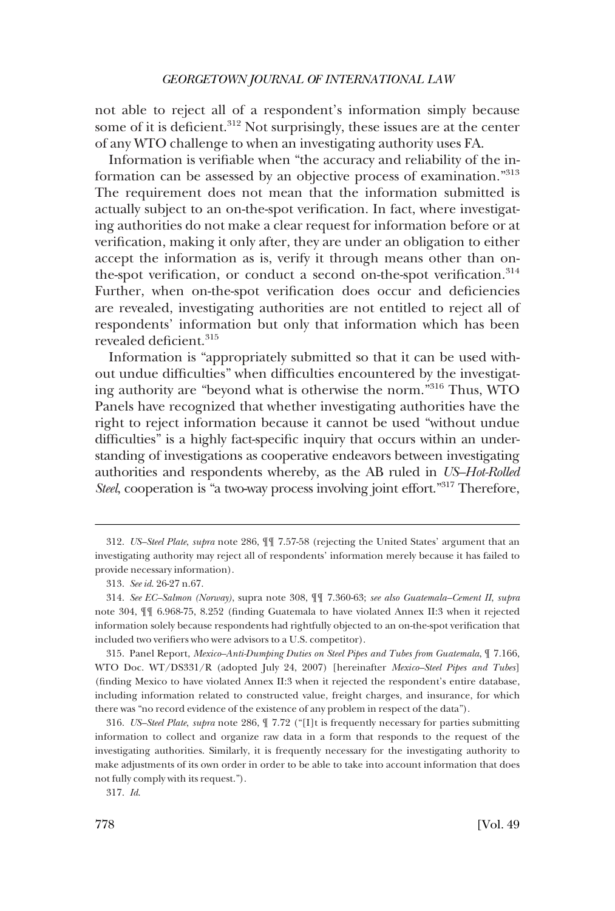not able to reject all of a respondent's information simply because some of it is deficient. $312$  Not surprisingly, these issues are at the center of any WTO challenge to when an investigating authority uses FA.

Information is verifiable when "the accuracy and reliability of the information can be assessed by an objective process of examination."<sup>313</sup> The requirement does not mean that the information submitted is actually subject to an on-the-spot verification. In fact, where investigating authorities do not make a clear request for information before or at verification, making it only after, they are under an obligation to either accept the information as is, verify it through means other than onthe-spot verification, or conduct a second on-the-spot verification.<sup>314</sup> Further, when on-the-spot verification does occur and deficiencies are revealed, investigating authorities are not entitled to reject all of respondents' information but only that information which has been revealed deficient.<sup>315</sup>

Information is "appropriately submitted so that it can be used without undue difficulties" when difficulties encountered by the investigating authority are "beyond what is otherwise the norm."316 Thus, WTO Panels have recognized that whether investigating authorities have the right to reject information because it cannot be used "without undue difficulties" is a highly fact-specific inquiry that occurs within an understanding of investigations as cooperative endeavors between investigating authorities and respondents whereby, as the AB ruled in *US–Hot-Rolled Steel*, cooperation is "a two-way process involving joint effort."317 Therefore,

<sup>312.</sup> *US–Steel Plate*, *supra* note 286, ¶¶ 7.57-58 (rejecting the United States' argument that an investigating authority may reject all of respondents' information merely because it has failed to provide necessary information).

<sup>313.</sup> *See id*. 26-27 n.67.

<sup>314.</sup> *See EC–Salmon (Norway)*, supra note 308, ¶¶ 7.360-63; *see also Guatemala–Cement II*, *supra*  note 304, ¶¶ 6.968-75, 8.252 (finding Guatemala to have violated Annex II:3 when it rejected information solely because respondents had rightfully objected to an on-the-spot verification that included two verifiers who were advisors to a U.S. competitor).

<sup>315.</sup> Panel Report, *Mexico–Anti-Dumping Duties on Steel Pipes and Tubes from Guatemala*, ¶ 7.166, WTO Doc. WT/DS331/R (adopted July 24, 2007) [hereinafter *Mexico–Steel Pipes and Tubes*] (finding Mexico to have violated Annex II:3 when it rejected the respondent's entire database, including information related to constructed value, freight charges, and insurance, for which there was "no record evidence of the existence of any problem in respect of the data").

<sup>316.</sup> *US–Steel Plate*, *supra* note 286, ¶ 7.72 ("[I]t is frequently necessary for parties submitting information to collect and organize raw data in a form that responds to the request of the investigating authorities. Similarly, it is frequently necessary for the investigating authority to make adjustments of its own order in order to be able to take into account information that does not fully comply with its request.").

<sup>317.</sup> *Id*.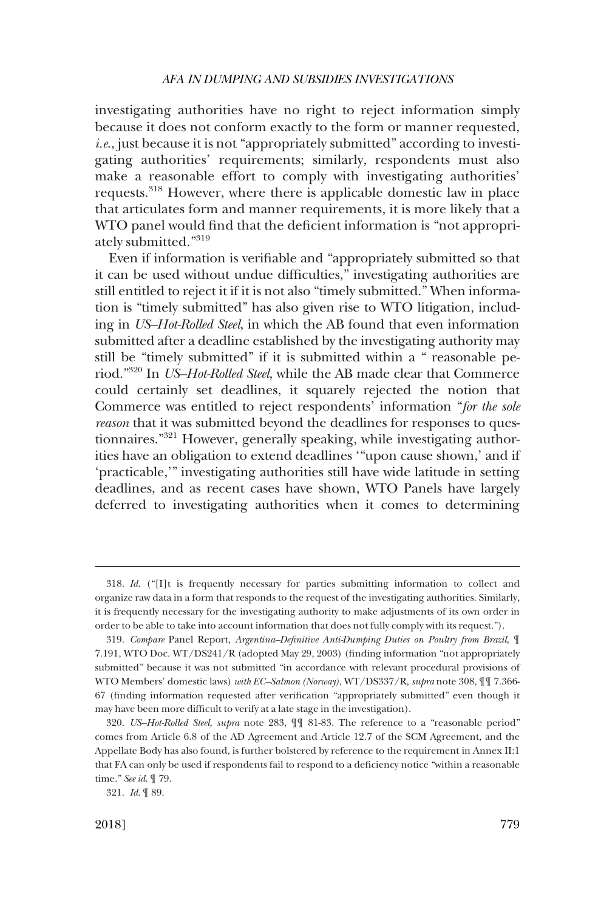investigating authorities have no right to reject information simply because it does not conform exactly to the form or manner requested, *i.e.*, just because it is not "appropriately submitted" according to investigating authorities' requirements; similarly, respondents must also make a reasonable effort to comply with investigating authorities' requests.318 However, where there is applicable domestic law in place that articulates form and manner requirements, it is more likely that a WTO panel would find that the deficient information is "not appropriately submitted."<sup>319</sup>

Even if information is verifiable and "appropriately submitted so that it can be used without undue difficulties," investigating authorities are still entitled to reject it if it is not also "timely submitted." When information is "timely submitted" has also given rise to WTO litigation, including in *US–Hot-Rolled Steel*, in which the AB found that even information submitted after a deadline established by the investigating authority may still be "timely submitted" if it is submitted within a " reasonable period."320 In *US–Hot-Rolled Steel*, while the AB made clear that Commerce could certainly set deadlines, it squarely rejected the notion that Commerce was entitled to reject respondents' information "*for the sole reason* that it was submitted beyond the deadlines for responses to questionnaires."321 However, generally speaking, while investigating authorities have an obligation to extend deadlines '"upon cause shown,' and if 'practicable,'" investigating authorities still have wide latitude in setting deadlines, and as recent cases have shown, WTO Panels have largely deferred to investigating authorities when it comes to determining

<sup>318.</sup> *Id*. ("[I]t is frequently necessary for parties submitting information to collect and organize raw data in a form that responds to the request of the investigating authorities. Similarly, it is frequently necessary for the investigating authority to make adjustments of its own order in order to be able to take into account information that does not fully comply with its request.").

<sup>319.</sup> *Compare* Panel Report, *Argentina–Definitive Anti-Dumping Duties on Poultry from Brazil*, ¶ 7.191, WTO Doc. WT/DS241/R (adopted May 29, 2003) (finding information "not appropriately submitted" because it was not submitted "in accordance with relevant procedural provisions of WTO Members' domestic laws) *with EC–Salmon (Norway)*, WT/DS337/R, *supra* note 308, ¶¶ 7.366- 67 (finding information requested after verification "appropriately submitted" even though it may have been more difficult to verify at a late stage in the investigation).

<sup>320.</sup> *US–Hot-Rolled Steel*, *supra* note 283, ¶¶ 81-83. The reference to a "reasonable period" comes from Article 6.8 of the AD Agreement and Article 12.7 of the SCM Agreement, and the Appellate Body has also found, is further bolstered by reference to the requirement in Annex II:1 that FA can only be used if respondents fail to respond to a deficiency notice "within a reasonable time." *See id*. ¶ 79.

<sup>321.</sup> *Id*. ¶ 89.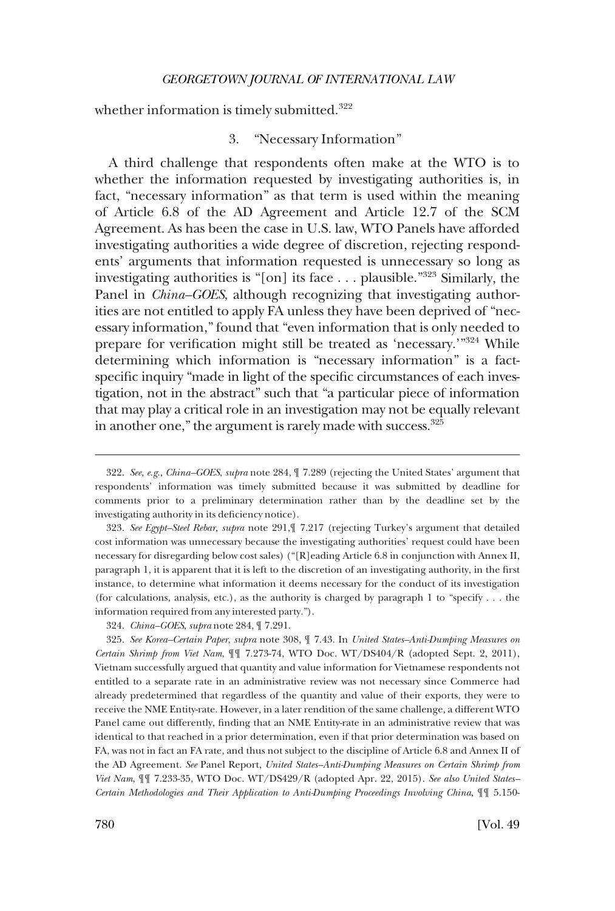whether information is timely submitted.<sup>322</sup>

## 3. "Necessary Information"

A third challenge that respondents often make at the WTO is to whether the information requested by investigating authorities is, in fact, "necessary information" as that term is used within the meaning of Article 6.8 of the AD Agreement and Article 12.7 of the SCM Agreement. As has been the case in U.S. law, WTO Panels have afforded investigating authorities a wide degree of discretion, rejecting respondents' arguments that information requested is unnecessary so long as investigating authorities is "[on] its face . . . plausible."323 Similarly, the Panel in *China–GOES*, although recognizing that investigating authorities are not entitled to apply FA unless they have been deprived of "necessary information," found that "even information that is only needed to prepare for verification might still be treated as 'necessary.'"324 While determining which information is "necessary information" is a factspecific inquiry "made in light of the specific circumstances of each investigation, not in the abstract" such that "a particular piece of information that may play a critical role in an investigation may not be equally relevant in another one," the argument is rarely made with success.<sup>325</sup>

<sup>322.</sup> *See, e.g*., *China–GOES*, *supra* note 284, ¶ 7.289 (rejecting the United States' argument that respondents' information was timely submitted because it was submitted by deadline for comments prior to a preliminary determination rather than by the deadline set by the investigating authority in its deficiency notice).

<sup>323.</sup> *See Egypt–Steel Rebar*, *supra* note 291,¶ 7.217 (rejecting Turkey's argument that detailed cost information was unnecessary because the investigating authorities' request could have been necessary for disregarding below cost sales) ("[R]eading Article 6.8 in conjunction with Annex II, paragraph 1, it is apparent that it is left to the discretion of an investigating authority, in the first instance, to determine what information it deems necessary for the conduct of its investigation (for calculations, analysis, etc.), as the authority is charged by paragraph 1 to "specify . . . the information required from any interested party.").

<sup>324.</sup> *China–GOES*, *supra* note 284, ¶ 7.291.

<sup>325.</sup> *See Korea–Certain Paper*, *supra* note 308, ¶ 7.43. In *United States–Anti-Dumping Measures on Certain Shrimp from Viet Nam*, ¶¶ 7.273-74, WTO Doc. WT/DS404/R (adopted Sept. 2, 2011), Vietnam successfully argued that quantity and value information for Vietnamese respondents not entitled to a separate rate in an administrative review was not necessary since Commerce had already predetermined that regardless of the quantity and value of their exports, they were to receive the NME Entity-rate. However, in a later rendition of the same challenge, a different WTO Panel came out differently, finding that an NME Entity-rate in an administrative review that was identical to that reached in a prior determination, even if that prior determination was based on FA, was not in fact an FA rate, and thus not subject to the discipline of Article 6.8 and Annex II of the AD Agreement. *See* Panel Report, *United States–Anti-Dumping Measures on Certain Shrimp from Viet Nam*, ¶¶ 7.233-35, WTO Doc. WT/DS429/R (adopted Apr. 22, 2015). *See also United States– Certain Methodologies and Their Application to Anti-Dumping Proceedings Involving China*, ¶¶ 5.150-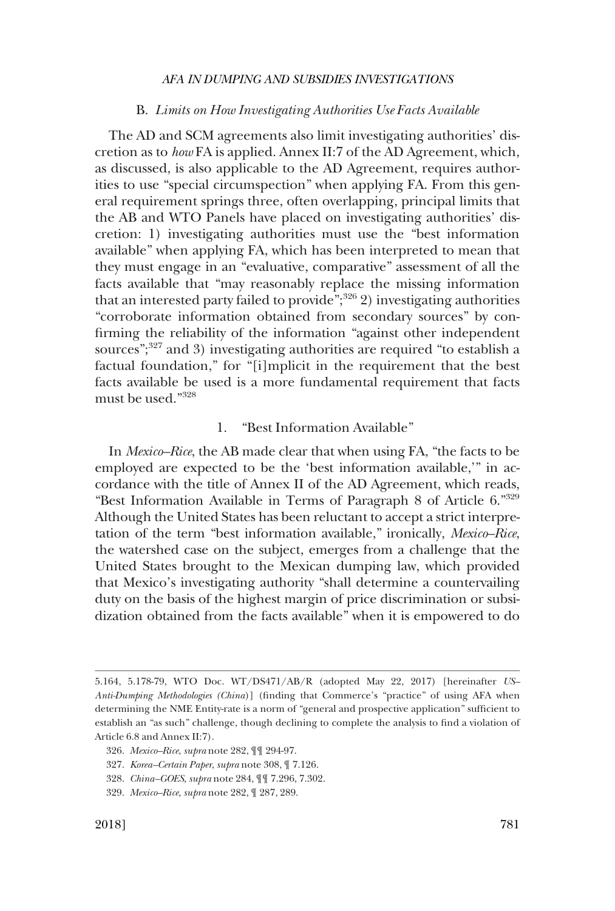## B. *Limits on How Investigating Authorities Use Facts Available*

The AD and SCM agreements also limit investigating authorities' discretion as to *how* FA is applied. Annex II:7 of the AD Agreement, which, as discussed, is also applicable to the AD Agreement, requires authorities to use "special circumspection" when applying FA. From this general requirement springs three, often overlapping, principal limits that the AB and WTO Panels have placed on investigating authorities' discretion: 1) investigating authorities must use the "best information available" when applying FA, which has been interpreted to mean that they must engage in an "evaluative, comparative" assessment of all the facts available that "may reasonably replace the missing information that an interested party failed to provide"; $326$  2) investigating authorities "corroborate information obtained from secondary sources" by confirming the reliability of the information "against other independent sources";<sup>327</sup> and 3) investigating authorities are required "to establish a factual foundation," for "[i]mplicit in the requirement that the best facts available be used is a more fundamental requirement that facts must be used."<sup>328</sup>

# 1. "Best Information Available"

In *Mexico–Rice*, the AB made clear that when using FA, "the facts to be employed are expected to be the 'best information available,'" in accordance with the title of Annex II of the AD Agreement, which reads, "Best Information Available in Terms of Paragraph 8 of Article 6."329 Although the United States has been reluctant to accept a strict interpretation of the term "best information available," ironically, *Mexico–Rice*, the watershed case on the subject, emerges from a challenge that the United States brought to the Mexican dumping law, which provided that Mexico's investigating authority "shall determine a countervailing duty on the basis of the highest margin of price discrimination or subsidization obtained from the facts available" when it is empowered to do

<sup>5.164, 5.178-79,</sup> WTO Doc. WT/DS471/AB/R (adopted May 22, 2017) [hereinafter *US– Anti-Dumping Methodologies (China*)] (finding that Commerce's "practice" of using AFA when determining the NME Entity-rate is a norm of "general and prospective application" sufficient to establish an "as such" challenge, though declining to complete the analysis to find a violation of Article 6.8 and Annex II:7).

<sup>326.</sup> *Mexico–Rice*, *supra* note 282, ¶¶ 294-97.

<sup>327.</sup> *Korea–Certain Paper*, *supra* note 308, ¶ 7.126.

<sup>328.</sup> *China–GOES*, *supra* note 284, ¶¶ 7.296, 7.302.

<sup>329.</sup> *Mexico–Rice*, *supra* note 282, ¶ 287, 289.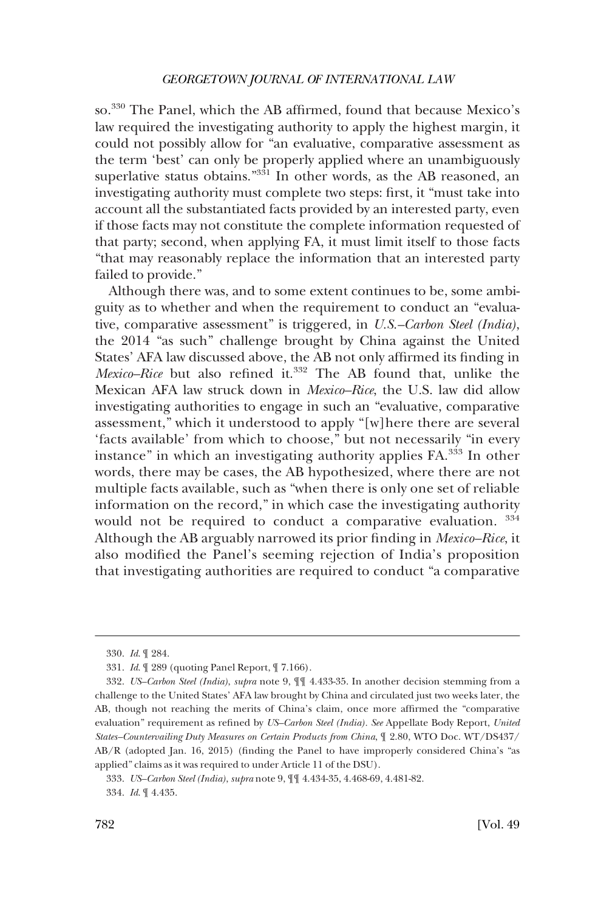so.330 The Panel, which the AB affirmed, found that because Mexico's law required the investigating authority to apply the highest margin, it could not possibly allow for "an evaluative, comparative assessment as the term 'best' can only be properly applied where an unambiguously superlative status obtains."<sup>331</sup> In other words, as the AB reasoned, an investigating authority must complete two steps: first, it "must take into account all the substantiated facts provided by an interested party, even if those facts may not constitute the complete information requested of that party; second, when applying FA, it must limit itself to those facts "that may reasonably replace the information that an interested party failed to provide."

Although there was, and to some extent continues to be, some ambiguity as to whether and when the requirement to conduct an "evaluative, comparative assessment" is triggered, in *U.S.–Carbon Steel (India)*, the 2014 "as such" challenge brought by China against the United States' AFA law discussed above, the AB not only affirmed its finding in *Mexico–Rice* but also refined it.332 The AB found that, unlike the Mexican AFA law struck down in *Mexico–Rice*, the U.S. law did allow investigating authorities to engage in such an "evaluative, comparative assessment," which it understood to apply "[w]here there are several 'facts available' from which to choose," but not necessarily "in every instance" in which an investigating authority applies FA.<sup>333</sup> In other words, there may be cases, the AB hypothesized, where there are not multiple facts available, such as "when there is only one set of reliable information on the record," in which case the investigating authority would not be required to conduct a comparative evaluation. <sup>334</sup> Although the AB arguably narrowed its prior finding in *Mexico–Rice*, it also modified the Panel's seeming rejection of India's proposition that investigating authorities are required to conduct "a comparative

<sup>330.</sup> *Id*. ¶ 284.

<sup>331.</sup> *Id*. ¶ 289 (quoting Panel Report, ¶ 7.166).

<sup>332.</sup> *US–Carbon Steel (India)*, *supra* note 9, ¶¶ 4.433-35. In another decision stemming from a challenge to the United States' AFA law brought by China and circulated just two weeks later, the AB, though not reaching the merits of China's claim, once more affirmed the "comparative evaluation" requirement as refined by *US–Carbon Steel (India). See* Appellate Body Report, *United States–Countervailing Duty Measures on Certain Products from China*, ¶ 2.80, WTO Doc. WT/DS437/ AB/R (adopted Jan. 16, 2015) (finding the Panel to have improperly considered China's "as applied" claims as it was required to under Article 11 of the DSU).

<sup>333.</sup> *US–Carbon Steel (India)*, *supra* note 9, ¶¶ 4.434-35, 4.468-69, 4.481-82.

<sup>334.</sup> *Id*. ¶ 4.435.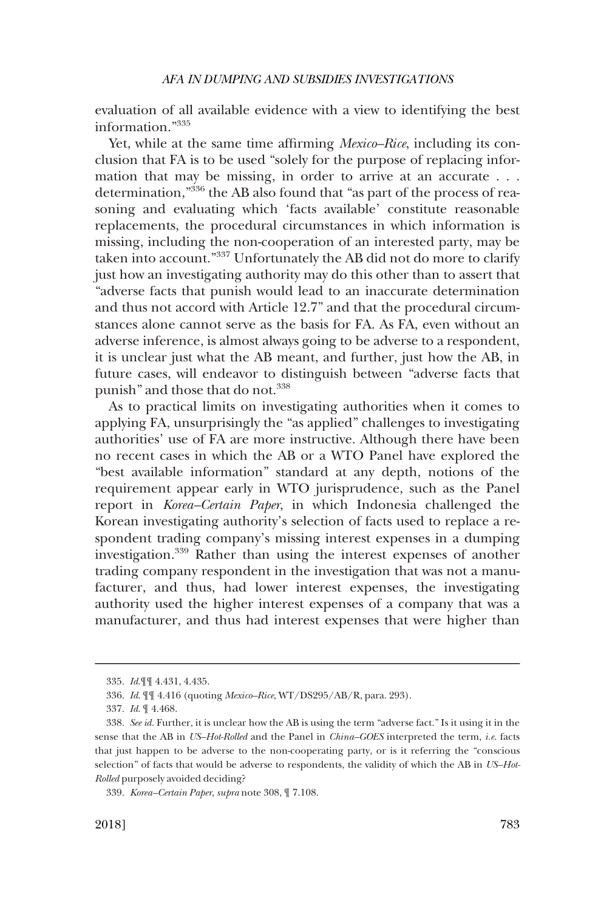evaluation of all available evidence with a view to identifying the best information."335

Yet, while at the same time affirming *Mexico–Rice*, including its conclusion that FA is to be used "solely for the purpose of replacing information that may be missing, in order to arrive at an accurate . . . determination,"336 the AB also found that "as part of the process of reasoning and evaluating which 'facts available' constitute reasonable replacements, the procedural circumstances in which information is missing, including the non-cooperation of an interested party, may be taken into account."<sup>337</sup> Unfortunately the AB did not do more to clarify just how an investigating authority may do this other than to assert that "adverse facts that punish would lead to an inaccurate determination and thus not accord with Article 12.7" and that the procedural circumstances alone cannot serve as the basis for FA. As FA, even without an adverse inference, is almost always going to be adverse to a respondent, it is unclear just what the AB meant, and further, just how the AB, in future cases, will endeavor to distinguish between "adverse facts that punish" and those that do not.<sup>338</sup>

As to practical limits on investigating authorities when it comes to applying FA, unsurprisingly the "as applied" challenges to investigating authorities' use of FA are more instructive. Although there have been no recent cases in which the AB or a WTO Panel have explored the "best available information" standard at any depth, notions of the requirement appear early in WTO jurisprudence, such as the Panel report in *Korea–Certain Paper*, in which Indonesia challenged the Korean investigating authority's selection of facts used to replace a respondent trading company's missing interest expenses in a dumping investigation.339 Rather than using the interest expenses of another trading company respondent in the investigation that was not a manufacturer, and thus, had lower interest expenses, the investigating authority used the higher interest expenses of a company that was a manufacturer, and thus had interest expenses that were higher than

<sup>335.</sup> *Id*.¶¶ 4.431, 4.435.

<sup>336.</sup> *Id*. ¶¶ 4.416 (quoting *Mexico–Rice*, WT/DS295/AB/R, para. 293).

<sup>337.</sup> *Id*. ¶ 4.468.

<sup>338.</sup> *See id*. Further, it is unclear how the AB is using the term "adverse fact." Is it using it in the sense that the AB in *US–Hot-Rolled* and the Panel in *China–GOES* interpreted the term, *i.e*. facts that just happen to be adverse to the non-cooperating party, or is it referring the "conscious selection" of facts that would be adverse to respondents, the validity of which the AB in *US–Hot-Rolled* purposely avoided deciding?

<sup>339.</sup> *Korea–Certain Paper*, *supra* note 308, ¶ 7.108.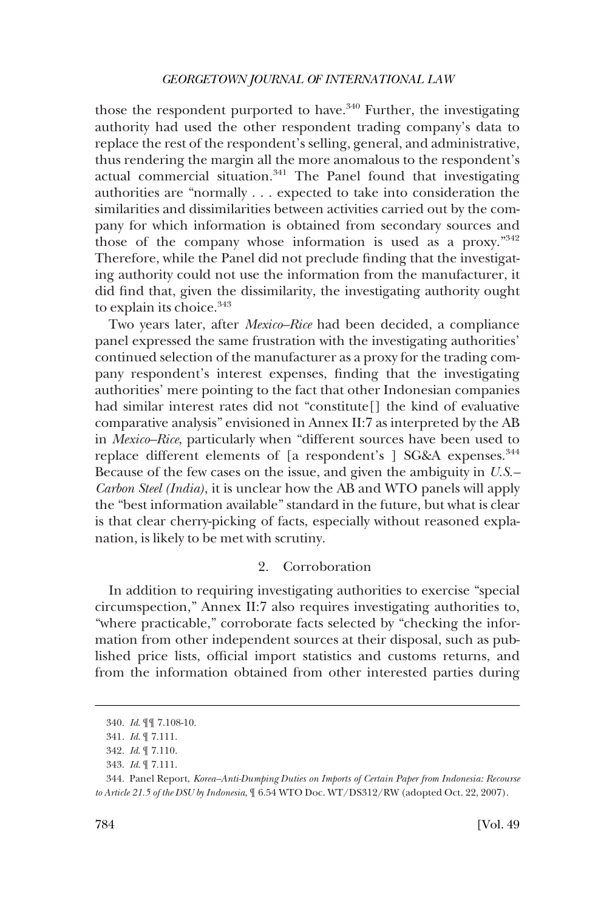# *GEORGETOWN JOURNAL OF INTERNATIONAL LAW*

those the respondent purported to have. $340$  Further, the investigating authority had used the other respondent trading company's data to replace the rest of the respondent's selling, general, and administrative, thus rendering the margin all the more anomalous to the respondent's actual commercial situation.<sup>341</sup> The Panel found that investigating authorities are "normally . . . expected to take into consideration the similarities and dissimilarities between activities carried out by the company for which information is obtained from secondary sources and those of the company whose information is used as a proxy."342 Therefore, while the Panel did not preclude finding that the investigating authority could not use the information from the manufacturer, it did find that, given the dissimilarity, the investigating authority ought to explain its choice.<sup>343</sup>

Two years later, after *Mexico–Rice* had been decided, a compliance panel expressed the same frustration with the investigating authorities' continued selection of the manufacturer as a proxy for the trading company respondent's interest expenses, finding that the investigating authorities' mere pointing to the fact that other Indonesian companies had similar interest rates did not "constitute[] the kind of evaluative comparative analysis" envisioned in Annex II:7 as interpreted by the AB in *Mexico–Rice*, particularly when "different sources have been used to replace different elements of [a respondent's ] SG&A expenses.<sup>344</sup> Because of the few cases on the issue, and given the ambiguity in *U.S.– Carbon Steel (India)*, it is unclear how the AB and WTO panels will apply the "best information available" standard in the future, but what is clear is that clear cherry-picking of facts, especially without reasoned explanation, is likely to be met with scrutiny.

# 2. Corroboration

In addition to requiring investigating authorities to exercise "special circumspection," Annex II:7 also requires investigating authorities to, "where practicable," corroborate facts selected by "checking the information from other independent sources at their disposal, such as published price lists, official import statistics and customs returns, and from the information obtained from other interested parties during

<sup>340.</sup> *Id*. ¶¶ 7.108-10.

<sup>341.</sup> *Id*. ¶ 7.111.

<sup>342.</sup> *Id*. ¶ 7.110.

<sup>343.</sup> *Id*. ¶ 7.111.

<sup>344.</sup> Panel Report, *Korea–Anti-Dumping Duties on Imports of Certain Paper from Indonesia: Recourse to Article 21.5 of the DSU by Indonesia*, ¶ 6.54 WTO Doc. WT/DS312/RW (adopted Oct. 22, 2007).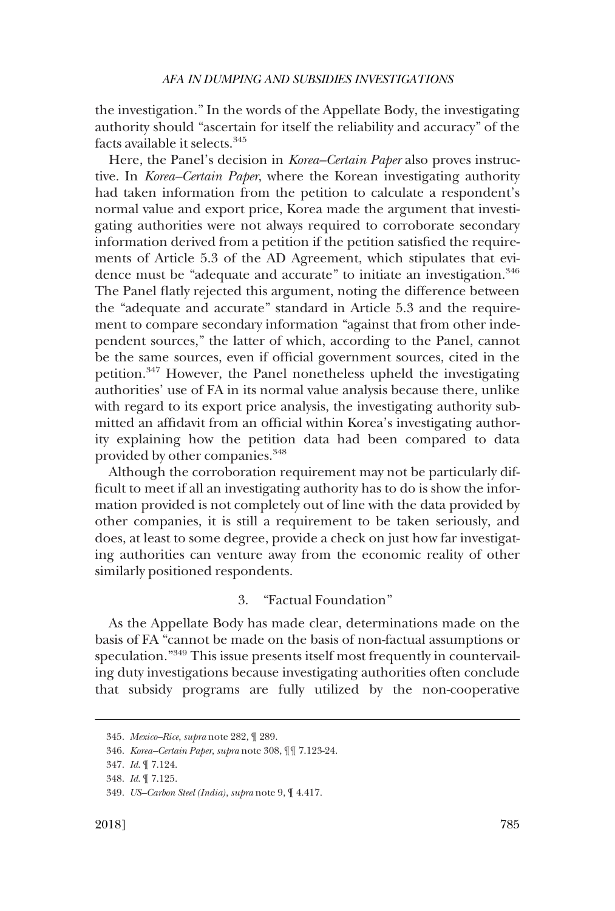the investigation." In the words of the Appellate Body, the investigating authority should "ascertain for itself the reliability and accuracy" of the facts available it selects.345

Here, the Panel's decision in *Korea–Certain Paper* also proves instructive. In *Korea–Certain Paper*, where the Korean investigating authority had taken information from the petition to calculate a respondent's normal value and export price, Korea made the argument that investigating authorities were not always required to corroborate secondary information derived from a petition if the petition satisfied the requirements of Article 5.3 of the AD Agreement, which stipulates that evidence must be "adequate and accurate" to initiate an investigation.<sup>346</sup> The Panel flatly rejected this argument, noting the difference between the "adequate and accurate" standard in Article 5.3 and the requirement to compare secondary information "against that from other independent sources," the latter of which, according to the Panel, cannot be the same sources, even if official government sources, cited in the petition.347 However, the Panel nonetheless upheld the investigating authorities' use of FA in its normal value analysis because there, unlike with regard to its export price analysis, the investigating authority submitted an affidavit from an official within Korea's investigating authority explaining how the petition data had been compared to data provided by other companies.<sup>348</sup>

Although the corroboration requirement may not be particularly difficult to meet if all an investigating authority has to do is show the information provided is not completely out of line with the data provided by other companies, it is still a requirement to be taken seriously, and does, at least to some degree, provide a check on just how far investigating authorities can venture away from the economic reality of other similarly positioned respondents.

# 3. "Factual Foundation"

As the Appellate Body has made clear, determinations made on the basis of FA "cannot be made on the basis of non-factual assumptions or speculation."349 This issue presents itself most frequently in countervailing duty investigations because investigating authorities often conclude that subsidy programs are fully utilized by the non-cooperative

<sup>345.</sup> *Mexico–Rice*, *supra* note 282, ¶ 289.

<sup>346.</sup> *Korea–Certain Paper*, *supra* note 308, ¶¶ 7.123-24.

<sup>347.</sup> *Id*. ¶ 7.124.

<sup>348.</sup> *Id*. ¶ 7.125.

<sup>349.</sup> *US–Carbon Steel (India)*, *supra* note 9, ¶ 4.417.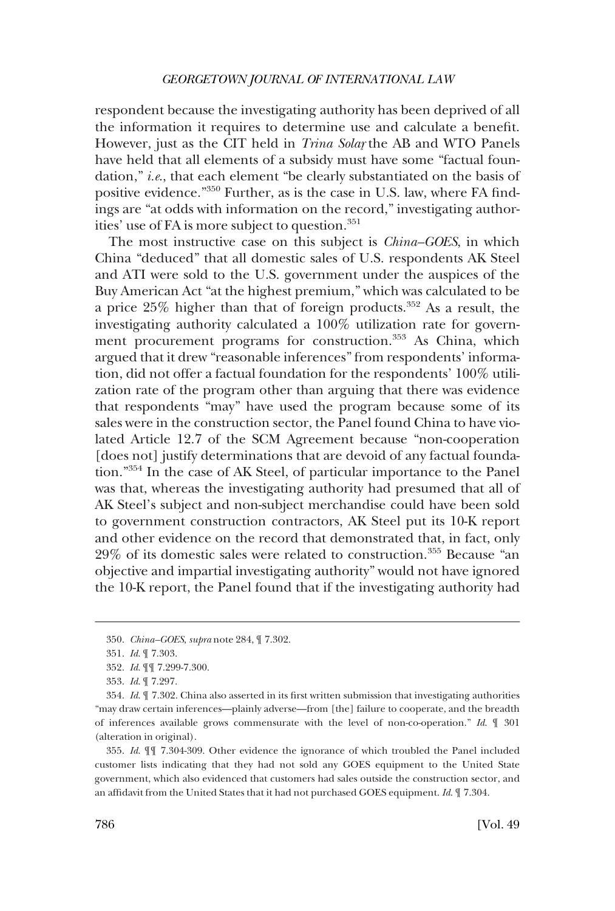respondent because the investigating authority has been deprived of all the information it requires to determine use and calculate a benefit. However, just as the CIT held in *Trina Solar* the AB and WTO Panels have held that all elements of a subsidy must have some "factual foundation," *i.e*., that each element "be clearly substantiated on the basis of positive evidence."350 Further, as is the case in U.S. law, where FA findings are "at odds with information on the record," investigating authorities' use of FA is more subject to question.<sup>351</sup>

The most instructive case on this subject is *China–GOES*, in which China "deduced" that all domestic sales of U.S. respondents AK Steel and ATI were sold to the U.S. government under the auspices of the Buy American Act "at the highest premium," which was calculated to be a price 25% higher than that of foreign products.352 As a result, the investigating authority calculated a 100% utilization rate for government procurement programs for construction.<sup>353</sup> As China, which argued that it drew "reasonable inferences" from respondents' information, did not offer a factual foundation for the respondents' 100% utilization rate of the program other than arguing that there was evidence that respondents "may" have used the program because some of its sales were in the construction sector, the Panel found China to have violated Article 12.7 of the SCM Agreement because "non-cooperation [does not] justify determinations that are devoid of any factual foundation."354 In the case of AK Steel, of particular importance to the Panel was that, whereas the investigating authority had presumed that all of AK Steel's subject and non-subject merchandise could have been sold to government construction contractors, AK Steel put its 10-K report and other evidence on the record that demonstrated that, in fact, only 29% of its domestic sales were related to construction.355 Because "an objective and impartial investigating authority" would not have ignored the 10-K report, the Panel found that if the investigating authority had

<sup>350.</sup> *China–GOES*, *supra* note 284, ¶ 7.302.

<sup>351.</sup> *Id*. ¶ 7.303.

<sup>352.</sup> *Id*. ¶¶ 7.299-7.300.

<sup>353.</sup> *Id*. ¶ 7.297.

<sup>354.</sup> *Id*. ¶ 7.302. China also asserted in its first written submission that investigating authorities "may draw certain inferences—plainly adverse—from [the] failure to cooperate, and the breadth of inferences available grows commensurate with the level of non-co-operation." *Id*. ¶ 301 (alteration in original).

<sup>355.</sup> *Id*. ¶¶ 7.304-309. Other evidence the ignorance of which troubled the Panel included customer lists indicating that they had not sold any GOES equipment to the United State government, which also evidenced that customers had sales outside the construction sector, and an affidavit from the United States that it had not purchased GOES equipment. *Id*. ¶ 7.304.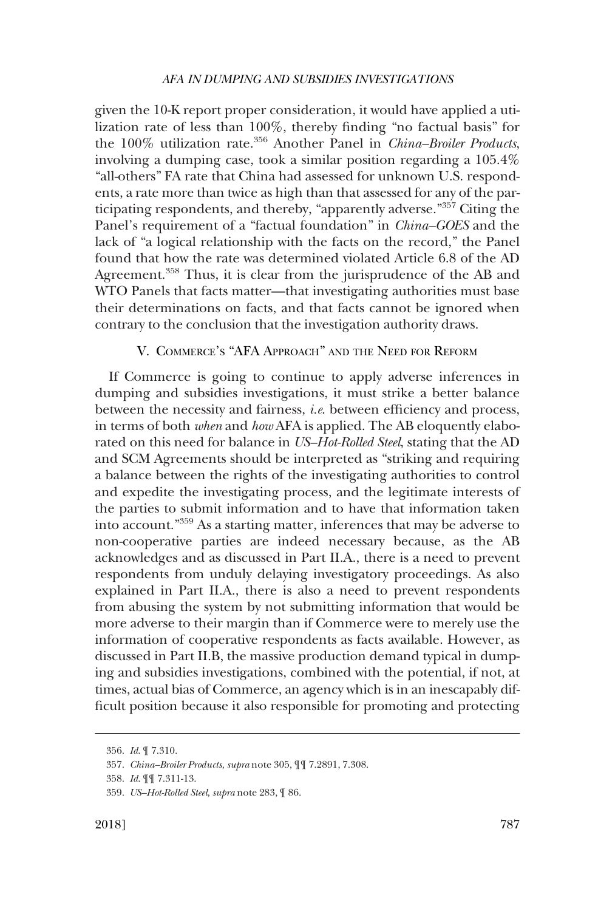given the 10-K report proper consideration, it would have applied a utilization rate of less than 100%, thereby finding "no factual basis" for the 100% utilization rate.356 Another Panel in *China–Broiler Products*, involving a dumping case, took a similar position regarding a 105.4% "all-others" FA rate that China had assessed for unknown U.S. respondents, a rate more than twice as high than that assessed for any of the participating respondents, and thereby, "apparently adverse."357 Citing the Panel's requirement of a "factual foundation" in *China–GOES* and the lack of "a logical relationship with the facts on the record," the Panel found that how the rate was determined violated Article 6.8 of the AD Agreement.<sup>358</sup> Thus, it is clear from the jurisprudence of the AB and WTO Panels that facts matter—that investigating authorities must base their determinations on facts, and that facts cannot be ignored when contrary to the conclusion that the investigation authority draws.

# V. COMMERCE'S "AFA APPROACH" AND THE NEED FOR REFORM

If Commerce is going to continue to apply adverse inferences in dumping and subsidies investigations, it must strike a better balance between the necessity and fairness, *i.e*. between efficiency and process, in terms of both *when* and *how* AFA is applied. The AB eloquently elaborated on this need for balance in *US–Hot-Rolled Steel*, stating that the AD and SCM Agreements should be interpreted as "striking and requiring a balance between the rights of the investigating authorities to control and expedite the investigating process, and the legitimate interests of the parties to submit information and to have that information taken into account."359 As a starting matter, inferences that may be adverse to non-cooperative parties are indeed necessary because, as the AB acknowledges and as discussed in Part II.A., there is a need to prevent respondents from unduly delaying investigatory proceedings. As also explained in Part II.A., there is also a need to prevent respondents from abusing the system by not submitting information that would be more adverse to their margin than if Commerce were to merely use the information of cooperative respondents as facts available. However, as discussed in Part II.B, the massive production demand typical in dumping and subsidies investigations, combined with the potential, if not, at times, actual bias of Commerce, an agency which is in an inescapably difficult position because it also responsible for promoting and protecting

<sup>356.</sup> *Id*. ¶ 7.310.

<sup>357.</sup> *China–Broiler Products*, *supra* note 305, ¶¶ 7.2891, 7.308.

<sup>358.</sup> *Id*. ¶¶ 7.311-13.

<sup>359.</sup> *US–Hot-Rolled Steel*, *supra* note 283, ¶ 86.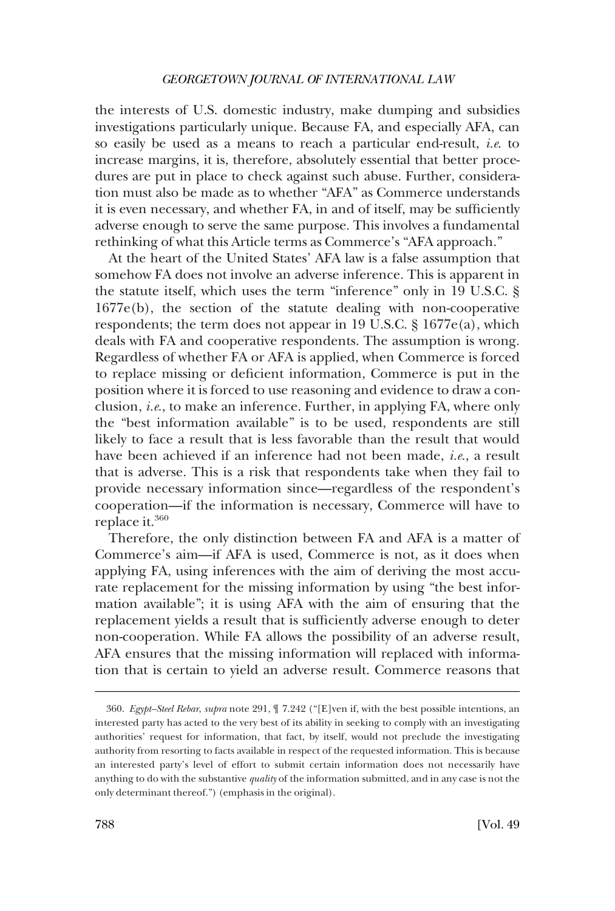## *GEORGETOWN JOURNAL OF INTERNATIONAL LAW*

the interests of U.S. domestic industry, make dumping and subsidies investigations particularly unique. Because FA, and especially AFA, can so easily be used as a means to reach a particular end-result, *i.e*. to increase margins, it is, therefore, absolutely essential that better procedures are put in place to check against such abuse. Further, consideration must also be made as to whether "AFA" as Commerce understands it is even necessary, and whether FA, in and of itself, may be sufficiently adverse enough to serve the same purpose. This involves a fundamental rethinking of what this Article terms as Commerce's "AFA approach."

At the heart of the United States' AFA law is a false assumption that somehow FA does not involve an adverse inference. This is apparent in the statute itself, which uses the term "inference" only in 19 U.S.C. § 1677e(b), the section of the statute dealing with non-cooperative respondents; the term does not appear in 19 U.S.C. § 1677e(a), which deals with FA and cooperative respondents. The assumption is wrong. Regardless of whether FA or AFA is applied, when Commerce is forced to replace missing or deficient information, Commerce is put in the position where it is forced to use reasoning and evidence to draw a conclusion, *i.e*., to make an inference. Further, in applying FA, where only the "best information available" is to be used, respondents are still likely to face a result that is less favorable than the result that would have been achieved if an inference had not been made, *i.e*., a result that is adverse. This is a risk that respondents take when they fail to provide necessary information since—regardless of the respondent's cooperation—if the information is necessary, Commerce will have to replace it.<sup>360</sup>

Therefore, the only distinction between FA and AFA is a matter of Commerce's aim—if AFA is used, Commerce is not, as it does when applying FA, using inferences with the aim of deriving the most accurate replacement for the missing information by using "the best information available"; it is using AFA with the aim of ensuring that the replacement yields a result that is sufficiently adverse enough to deter non-cooperation. While FA allows the possibility of an adverse result, AFA ensures that the missing information will replaced with information that is certain to yield an adverse result. Commerce reasons that

<sup>360.</sup> *Egypt–Steel Rebar*, *supra* note 291, ¶ 7.242 ("[E]ven if, with the best possible intentions, an interested party has acted to the very best of its ability in seeking to comply with an investigating authorities' request for information, that fact, by itself, would not preclude the investigating authority from resorting to facts available in respect of the requested information. This is because an interested party's level of effort to submit certain information does not necessarily have anything to do with the substantive *quality* of the information submitted, and in any case is not the only determinant thereof.") (emphasis in the original).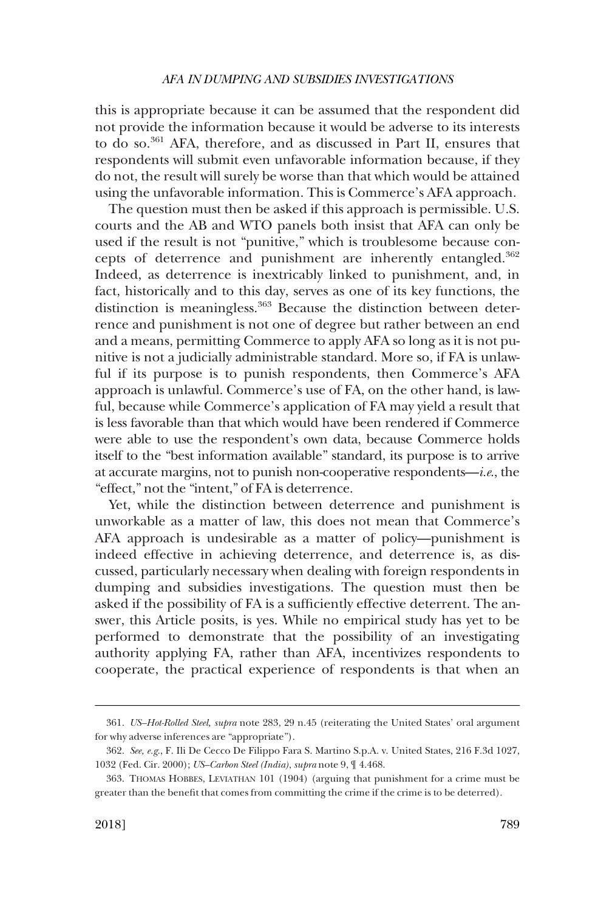this is appropriate because it can be assumed that the respondent did not provide the information because it would be adverse to its interests to do so.361 AFA, therefore, and as discussed in Part II, ensures that respondents will submit even unfavorable information because, if they do not, the result will surely be worse than that which would be attained using the unfavorable information. This is Commerce's AFA approach.

The question must then be asked if this approach is permissible. U.S. courts and the AB and WTO panels both insist that AFA can only be used if the result is not "punitive," which is troublesome because concepts of deterrence and punishment are inherently entangled.<sup>362</sup> Indeed, as deterrence is inextricably linked to punishment, and, in fact, historically and to this day, serves as one of its key functions, the distinction is meaningless.<sup>363</sup> Because the distinction between deterrence and punishment is not one of degree but rather between an end and a means, permitting Commerce to apply AFA so long as it is not punitive is not a judicially administrable standard. More so, if FA is unlawful if its purpose is to punish respondents, then Commerce's AFA approach is unlawful. Commerce's use of FA, on the other hand, is lawful, because while Commerce's application of FA may yield a result that is less favorable than that which would have been rendered if Commerce were able to use the respondent's own data, because Commerce holds itself to the "best information available" standard, its purpose is to arrive at accurate margins, not to punish non-cooperative respondents—*i.e*., the "effect," not the "intent," of FA is deterrence.

Yet, while the distinction between deterrence and punishment is unworkable as a matter of law, this does not mean that Commerce's AFA approach is undesirable as a matter of policy—punishment is indeed effective in achieving deterrence, and deterrence is, as discussed, particularly necessary when dealing with foreign respondents in dumping and subsidies investigations. The question must then be asked if the possibility of FA is a sufficiently effective deterrent. The answer, this Article posits, is yes. While no empirical study has yet to be performed to demonstrate that the possibility of an investigating authority applying FA, rather than AFA, incentivizes respondents to cooperate, the practical experience of respondents is that when an

<sup>361.</sup> *US–Hot-Rolled Steel, supra* note 283, 29 n.45 (reiterating the United States' oral argument for why adverse inferences are "appropriate").

<sup>362.</sup> *See, e.g*., F. Ili De Cecco De Filippo Fara S. Martino S.p.A. v. United States, 216 F.3d 1027, 1032 (Fed. Cir. 2000); *US–Carbon Steel (India)*, *supra* note 9, ¶ 4.468.

<sup>363.</sup> THOMAS HOBBES, LEVIATHAN 101 (1904) (arguing that punishment for a crime must be greater than the benefit that comes from committing the crime if the crime is to be deterred).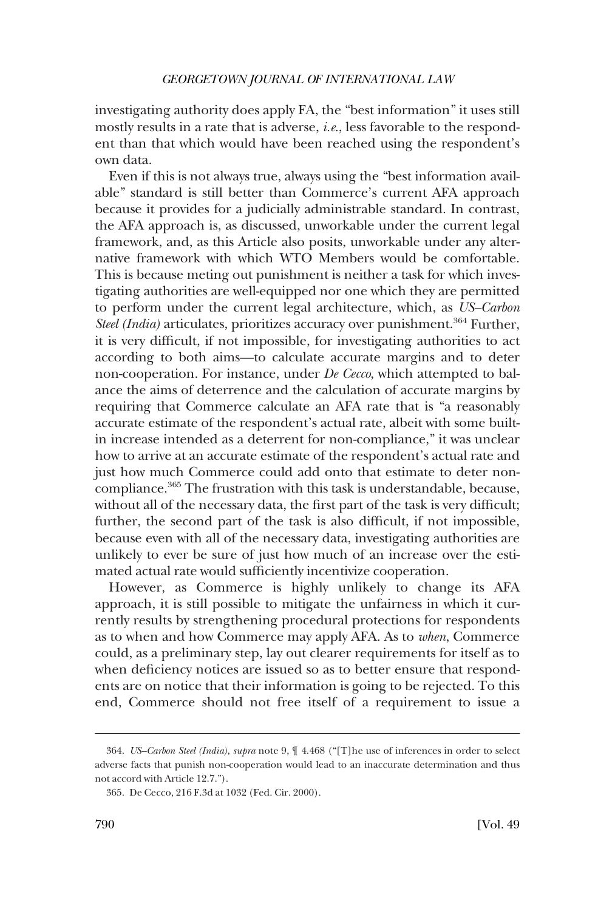investigating authority does apply FA, the "best information" it uses still mostly results in a rate that is adverse, *i.e*., less favorable to the respondent than that which would have been reached using the respondent's own data.

Even if this is not always true, always using the "best information available" standard is still better than Commerce's current AFA approach because it provides for a judicially administrable standard. In contrast, the AFA approach is, as discussed, unworkable under the current legal framework, and, as this Article also posits, unworkable under any alternative framework with which WTO Members would be comfortable. This is because meting out punishment is neither a task for which investigating authorities are well-equipped nor one which they are permitted to perform under the current legal architecture, which, as *US–Carbon Steel (India)* articulates, prioritizes accuracy over punishment.<sup>364</sup> Further, it is very difficult, if not impossible, for investigating authorities to act according to both aims—to calculate accurate margins and to deter non-cooperation. For instance, under *De Cecco*, which attempted to balance the aims of deterrence and the calculation of accurate margins by requiring that Commerce calculate an AFA rate that is "a reasonably accurate estimate of the respondent's actual rate, albeit with some builtin increase intended as a deterrent for non-compliance," it was unclear how to arrive at an accurate estimate of the respondent's actual rate and just how much Commerce could add onto that estimate to deter noncompliance.<sup>365</sup> The frustration with this task is understandable, because, without all of the necessary data, the first part of the task is very difficult; further, the second part of the task is also difficult, if not impossible, because even with all of the necessary data, investigating authorities are unlikely to ever be sure of just how much of an increase over the estimated actual rate would sufficiently incentivize cooperation.

However, as Commerce is highly unlikely to change its AFA approach, it is still possible to mitigate the unfairness in which it currently results by strengthening procedural protections for respondents as to when and how Commerce may apply AFA. As to *when*, Commerce could, as a preliminary step, lay out clearer requirements for itself as to when deficiency notices are issued so as to better ensure that respondents are on notice that their information is going to be rejected. To this end, Commerce should not free itself of a requirement to issue a

<sup>364.</sup> *US–Carbon Steel (India)*, *supra* note 9, ¶ 4.468 ("[T]he use of inferences in order to select adverse facts that punish non-cooperation would lead to an inaccurate determination and thus not accord with Article 12.7.").

<sup>365.</sup> De Cecco, 216 F.3d at 1032 (Fed. Cir. 2000).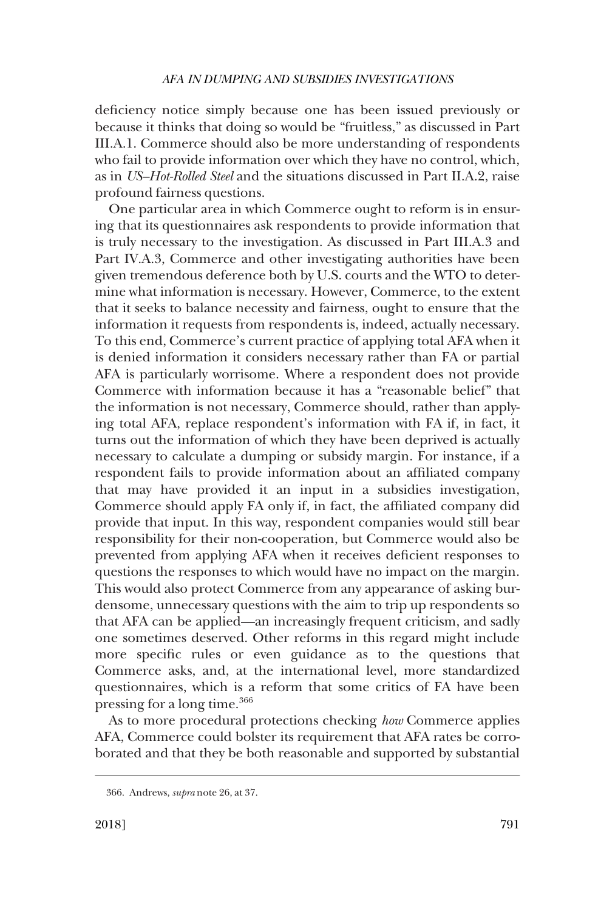deficiency notice simply because one has been issued previously or because it thinks that doing so would be "fruitless," as discussed in Part III.A.1. Commerce should also be more understanding of respondents who fail to provide information over which they have no control, which, as in *US–Hot-Rolled Steel* and the situations discussed in Part II.A.2, raise profound fairness questions.

One particular area in which Commerce ought to reform is in ensuring that its questionnaires ask respondents to provide information that is truly necessary to the investigation. As discussed in Part III.A.3 and Part IV.A.3, Commerce and other investigating authorities have been given tremendous deference both by U.S. courts and the WTO to determine what information is necessary. However, Commerce, to the extent that it seeks to balance necessity and fairness, ought to ensure that the information it requests from respondents is, indeed, actually necessary. To this end, Commerce's current practice of applying total AFA when it is denied information it considers necessary rather than FA or partial AFA is particularly worrisome. Where a respondent does not provide Commerce with information because it has a "reasonable belief" that the information is not necessary, Commerce should, rather than applying total AFA, replace respondent's information with FA if, in fact, it turns out the information of which they have been deprived is actually necessary to calculate a dumping or subsidy margin. For instance, if a respondent fails to provide information about an affiliated company that may have provided it an input in a subsidies investigation, Commerce should apply FA only if, in fact, the affiliated company did provide that input. In this way, respondent companies would still bear responsibility for their non-cooperation, but Commerce would also be prevented from applying AFA when it receives deficient responses to questions the responses to which would have no impact on the margin. This would also protect Commerce from any appearance of asking burdensome, unnecessary questions with the aim to trip up respondents so that AFA can be applied—an increasingly frequent criticism, and sadly one sometimes deserved. Other reforms in this regard might include more specific rules or even guidance as to the questions that Commerce asks, and, at the international level, more standardized questionnaires, which is a reform that some critics of FA have been pressing for a long time.<sup>366</sup>

As to more procedural protections checking *how* Commerce applies AFA, Commerce could bolster its requirement that AFA rates be corroborated and that they be both reasonable and supported by substantial

<sup>366.</sup> Andrews, *supra* note 26, at 37.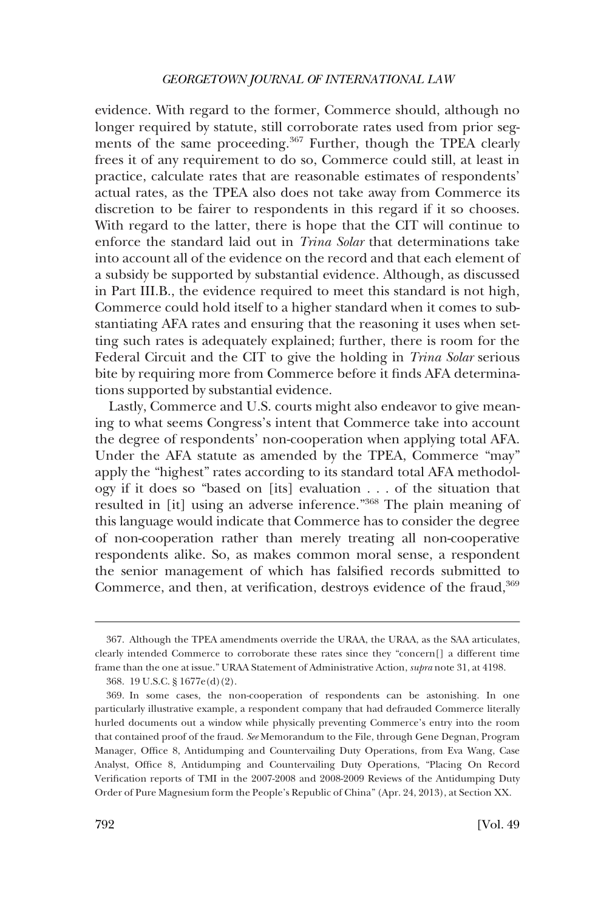# *GEORGETOWN JOURNAL OF INTERNATIONAL LAW*

evidence. With regard to the former, Commerce should, although no longer required by statute, still corroborate rates used from prior segments of the same proceeding.<sup>367</sup> Further, though the TPEA clearly frees it of any requirement to do so, Commerce could still, at least in practice, calculate rates that are reasonable estimates of respondents' actual rates, as the TPEA also does not take away from Commerce its discretion to be fairer to respondents in this regard if it so chooses. With regard to the latter, there is hope that the CIT will continue to enforce the standard laid out in *Trina Solar* that determinations take into account all of the evidence on the record and that each element of a subsidy be supported by substantial evidence. Although, as discussed in Part III.B., the evidence required to meet this standard is not high, Commerce could hold itself to a higher standard when it comes to substantiating AFA rates and ensuring that the reasoning it uses when setting such rates is adequately explained; further, there is room for the Federal Circuit and the CIT to give the holding in *Trina Solar* serious bite by requiring more from Commerce before it finds AFA determinations supported by substantial evidence.

Lastly, Commerce and U.S. courts might also endeavor to give meaning to what seems Congress's intent that Commerce take into account the degree of respondents' non-cooperation when applying total AFA. Under the AFA statute as amended by the TPEA, Commerce "may" apply the "highest" rates according to its standard total AFA methodology if it does so "based on [its] evaluation . . . of the situation that resulted in [it] using an adverse inference."368 The plain meaning of this language would indicate that Commerce has to consider the degree of non-cooperation rather than merely treating all non-cooperative respondents alike. So, as makes common moral sense, a respondent the senior management of which has falsified records submitted to Commerce, and then, at verification, destroys evidence of the fraud,<sup>369</sup>

<sup>367.</sup> Although the TPEA amendments override the URAA, the URAA, as the SAA articulates, clearly intended Commerce to corroborate these rates since they "concern[] a different time frame than the one at issue." URAA Statement of Administrative Action, *supra* note 31, at 4198.

<sup>368. 19</sup> U.S.C. § 1677e(d)(2).

<sup>369.</sup> In some cases, the non-cooperation of respondents can be astonishing. In one particularly illustrative example, a respondent company that had defrauded Commerce literally hurled documents out a window while physically preventing Commerce's entry into the room that contained proof of the fraud. *See* Memorandum to the File, through Gene Degnan, Program Manager, Office 8, Antidumping and Countervailing Duty Operations, from Eva Wang, Case Analyst, Office 8, Antidumping and Countervailing Duty Operations, "Placing On Record Verification reports of TMI in the 2007-2008 and 2008-2009 Reviews of the Antidumping Duty Order of Pure Magnesium form the People's Republic of China" (Apr. 24, 2013), at Section XX.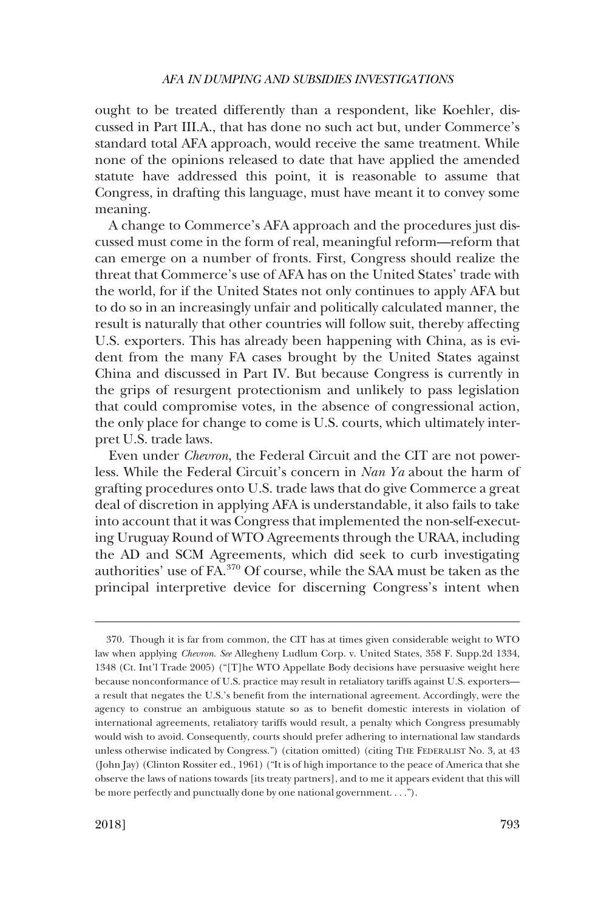ought to be treated differently than a respondent, like Koehler, discussed in Part III.A., that has done no such act but, under Commerce's standard total AFA approach, would receive the same treatment. While none of the opinions released to date that have applied the amended statute have addressed this point, it is reasonable to assume that Congress, in drafting this language, must have meant it to convey some meaning.

A change to Commerce's AFA approach and the procedures just discussed must come in the form of real, meaningful reform—reform that can emerge on a number of fronts. First, Congress should realize the threat that Commerce's use of AFA has on the United States' trade with the world, for if the United States not only continues to apply AFA but to do so in an increasingly unfair and politically calculated manner, the result is naturally that other countries will follow suit, thereby affecting U.S. exporters. This has already been happening with China, as is evident from the many FA cases brought by the United States against China and discussed in Part IV. But because Congress is currently in the grips of resurgent protectionism and unlikely to pass legislation that could compromise votes, in the absence of congressional action, the only place for change to come is U.S. courts, which ultimately interpret U.S. trade laws.

Even under *Chevron*, the Federal Circuit and the CIT are not powerless. While the Federal Circuit's concern in *Nan Ya* about the harm of grafting procedures onto U.S. trade laws that do give Commerce a great deal of discretion in applying AFA is understandable, it also fails to take into account that it was Congress that implemented the non-self-executing Uruguay Round of WTO Agreements through the URAA, including the AD and SCM Agreements, which did seek to curb investigating authorities' use of FA.370 Of course, while the SAA must be taken as the principal interpretive device for discerning Congress's intent when

<sup>370.</sup> Though it is far from common, the CIT has at times given considerable weight to WTO law when applying *Chevron*. *See* Allegheny Ludlum Corp. v. United States, 358 F. Supp.2d 1334, 1348 (Ct. Int'l Trade 2005) ("[T]he WTO Appellate Body decisions have persuasive weight here because nonconformance of U.S. practice may result in retaliatory tariffs against U.S. exporters a result that negates the U.S.'s benefit from the international agreement. Accordingly, were the agency to construe an ambiguous statute so as to benefit domestic interests in violation of international agreements, retaliatory tariffs would result, a penalty which Congress presumably would wish to avoid. Consequently, courts should prefer adhering to international law standards unless otherwise indicated by Congress.") (citation omitted) (citing THE FEDERALIST No. 3, at 43 (John Jay) (Clinton Rossiter ed., 1961) ("It is of high importance to the peace of America that she observe the laws of nations towards [its treaty partners], and to me it appears evident that this will be more perfectly and punctually done by one national government. . . .").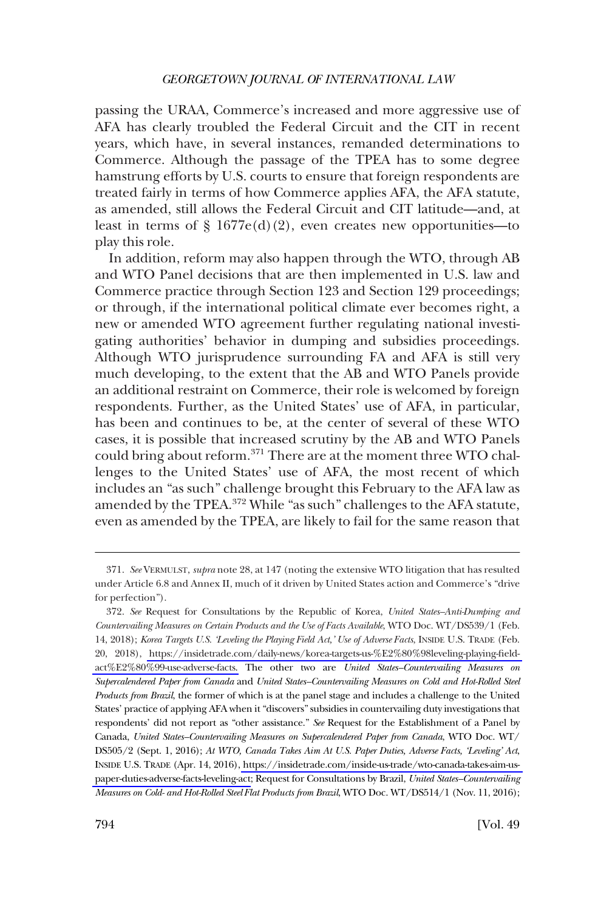passing the URAA, Commerce's increased and more aggressive use of AFA has clearly troubled the Federal Circuit and the CIT in recent years, which have, in several instances, remanded determinations to Commerce. Although the passage of the TPEA has to some degree hamstrung efforts by U.S. courts to ensure that foreign respondents are treated fairly in terms of how Commerce applies AFA, the AFA statute, as amended, still allows the Federal Circuit and CIT latitude—and, at least in terms of  $\S 1677e(d)(2)$ , even creates new opportunities—to play this role.

In addition, reform may also happen through the WTO, through AB and WTO Panel decisions that are then implemented in U.S. law and Commerce practice through Section 123 and Section 129 proceedings; or through, if the international political climate ever becomes right, a new or amended WTO agreement further regulating national investigating authorities' behavior in dumping and subsidies proceedings. Although WTO jurisprudence surrounding FA and AFA is still very much developing, to the extent that the AB and WTO Panels provide an additional restraint on Commerce, their role is welcomed by foreign respondents. Further, as the United States' use of AFA, in particular, has been and continues to be, at the center of several of these WTO cases, it is possible that increased scrutiny by the AB and WTO Panels could bring about reform.<sup>371</sup> There are at the moment three WTO challenges to the United States' use of AFA, the most recent of which includes an "as such" challenge brought this February to the AFA law as amended by the TPEA.372 While "as such" challenges to the AFA statute, even as amended by the TPEA, are likely to fail for the same reason that

<sup>371.</sup> *See* VERMULST, *supra* note 28, at 147 (noting the extensive WTO litigation that has resulted under Article 6.8 and Annex II, much of it driven by United States action and Commerce's "drive for perfection").

<sup>372.</sup>  *See* Request for Consultations by the Republic of Korea, *United States–Anti-Dumping and Countervailing Measures on Certain Products and the Use of Facts Available*, WTO Doc. WT/DS539/1 (Feb. 14, 2018); *Korea Targets U.S. 'Leveling the Playing Field Act,' Use of Adverse Facts*, INSIDE U.S. TRADE (Feb. 20, 2018), [https://insidetrade.com/daily-news/korea-targets-us-%E2%80%98leveling-playing-field](https://insidetrade.com/daily-news/korea-targets-us-%E2%80%98leveling-playing-field-act%E2%80%99-use-adverse-facts)[act%E2%80%99-use-adverse-facts.](https://insidetrade.com/daily-news/korea-targets-us-%E2%80%98leveling-playing-field-act%E2%80%99-use-adverse-facts) The other two are *United States–Countervailing Measures on Supercalendered Paper from Canada* and *United States–Countervailing Measures on Cold and Hot-Rolled Steel Products from Brazil*, the former of which is at the panel stage and includes a challenge to the United States' practice of applying AFA when it "discovers" subsidies in countervailing duty investigations that respondents' did not report as "other assistance." *See* Request for the Establishment of a Panel by Canada, *United States–Countervailing Measures on Supercalendered Paper from Canada*, WTO Doc. WT/ DS505/2 (Sept. 1, 2016); *At WTO, Canada Takes Aim At U.S. Paper Duties, Adverse Facts, 'Leveling' Act*, INSIDE U.S. TRADE (Apr. 14, 2016), [https://insidetrade.com/inside-us-trade/wto-canada-takes-aim-us](https://insidetrade.com/inside-us-trade/wto-canada-takes-aim-us-paper-duties-adverse-facts-leveling-act)[paper-duties-adverse-facts-leveling-act](https://insidetrade.com/inside-us-trade/wto-canada-takes-aim-us-paper-duties-adverse-facts-leveling-act); Request for Consultations by Brazil, *United States–Countervailing Measures on Cold- and Hot-Rolled Steel Flat Products from Brazil*, WTO Doc. WT/DS514/1 (Nov. 11, 2016);